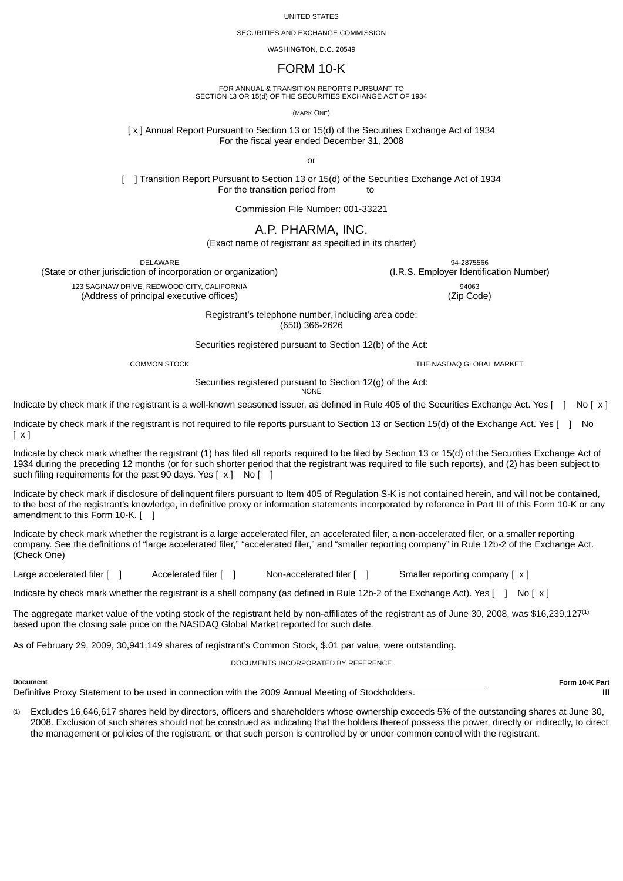#### UNITED STATES

SECURITIES AND EXCHANGE COMMISSION

WASHINGTON, D.C. 20549

# FORM 10-K

FOR ANNUAL & TRANSITION REPORTS PURSUANT TO SECTION 13 OR 15(d) OF THE SECURITIES EXCHANGE ACT OF 1934

(MARK ONE)

[ x ] Annual Report Pursuant to Section 13 or 15(d) of the Securities Exchange Act of 1934 For the fiscal year ended December 31, 2008

or

[ ] Transition Report Pursuant to Section 13 or 15(d) of the Securities Exchange Act of 1934 For the transition period from to

Commission File Number: 001-33221

# A.P. PHARMA, INC.

(Exact name of registrant as specified in its charter)

DELAWARE 94-2875566

(State or other jurisdiction of incorporation or organization) (I.R.S. Employer Identification Number)

123 SAGINAW DRIVE, REDWOOD CITY, CALIFORNIA 94063

(Address of principal executive offices) (Zip Code)

Registrant's telephone number, including area code: (650) 366-2626

Securities registered pursuant to Section 12(b) of the Act:

COMMON STOCK THE NASDAQ GLOBAL MARKET

Securities registered pursuant to Section 12(g) of the Act:

**NONE** 

Indicate by check mark if the registrant is a well-known seasoned issuer, as defined in Rule 405 of the Securities Exchange Act. Yes [ ] No [ x ]

Indicate by check mark if the registrant is not required to file reports pursuant to Section 13 or Section 15(d) of the Exchange Act. Yes [ ] No  $\lceil x \rceil$ 

Indicate by check mark whether the registrant (1) has filed all reports required to be filed by Section 13 or 15(d) of the Securities Exchange Act of 1934 during the preceding 12 months (or for such shorter period that the registrant was required to file such reports), and (2) has been subject to such filing requirements for the past 90 days. Yes  $[x]$  No  $[ ]$ 

Indicate by check mark if disclosure of delinquent filers pursuant to Item 405 of Regulation S-K is not contained herein, and will not be contained, to the best of the registrant's knowledge, in definitive proxy or information statements incorporated by reference in Part III of this Form 10-K or any amendment to this Form 10-K. [ ]

Indicate by check mark whether the registrant is a large accelerated filer, an accelerated filer, a non-accelerated filer, or a smaller reporting company. See the definitions of "large accelerated filer," "accelerated filer," and "smaller reporting company" in Rule 12b-2 of the Exchange Act. (Check One)

Large accelerated filer [ ] Accelerated filer [ ] Non-accelerated filer [ ] Smaller reporting company [ x ]

Indicate by check mark whether the registrant is a shell company (as defined in Rule 12b-2 of the Exchange Act). Yes  $\begin{bmatrix} 1 & No & b \\ 1 & No & b \end{bmatrix}$ 

The aggregate market value of the voting stock of the registrant held by non-affiliates of the registrant as of June 30, 2008, was \$16,239,127(1) based upon the closing sale price on the NASDAQ Global Market reported for such date.

As of February 29, 2009, 30,941,149 shares of registrant's Common Stock, \$.01 par value, were outstanding.

DOCUMENTS INCORPORATED BY REFERENCE

Definitive Proxy Statement to be used in connection with the 2009 Annual Meeting of Stockholders. In the Stockholders of the III

**Document Form 10-K Part**

(1) Excludes 16,646,617 shares held by directors, officers and shareholders whose ownership exceeds 5% of the outstanding shares at June 30, 2008. Exclusion of such shares should not be construed as indicating that the holders thereof possess the power, directly or indirectly, to direct the management or policies of the registrant, or that such person is controlled by or under common control with the registrant.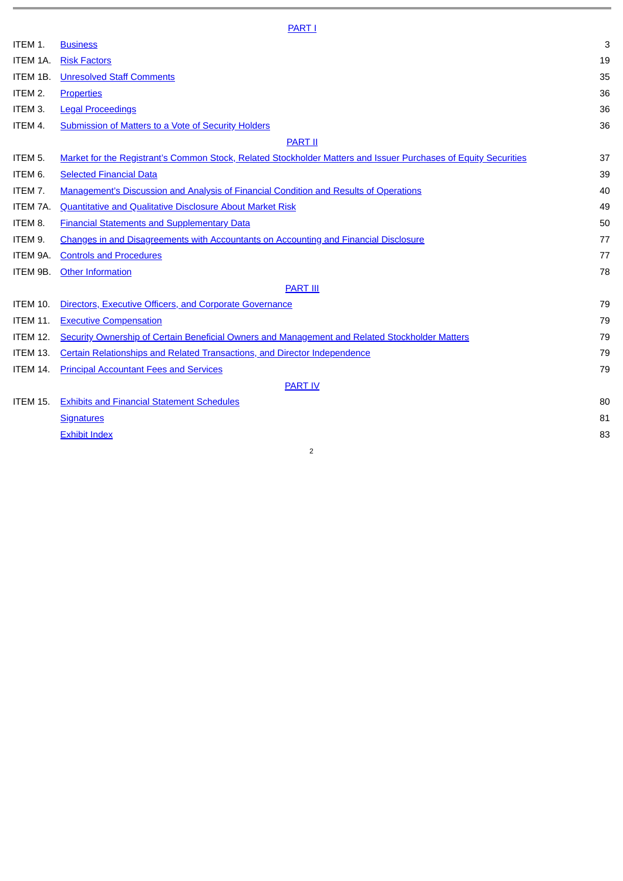|                 | <b>PART I</b>                                                                                                   |    |
|-----------------|-----------------------------------------------------------------------------------------------------------------|----|
| ITEM 1.         | <b>Business</b>                                                                                                 | 3  |
| ITEM 1A.        | <b>Risk Factors</b>                                                                                             | 19 |
| ITEM 1B.        | <b>Unresolved Staff Comments</b>                                                                                | 35 |
| ITEM 2.         | <b>Properties</b>                                                                                               | 36 |
| ITEM 3.         | <b>Legal Proceedings</b>                                                                                        | 36 |
| ITEM 4.         | Submission of Matters to a Vote of Security Holders                                                             | 36 |
|                 | <b>PART II</b>                                                                                                  |    |
| ITEM 5.         | Market for the Registrant's Common Stock, Related Stockholder Matters and Issuer Purchases of Equity Securities | 37 |
| ITEM 6.         | <b>Selected Financial Data</b>                                                                                  | 39 |
| ITEM 7.         | Management's Discussion and Analysis of Financial Condition and Results of Operations                           | 40 |
| ITEM 7A.        | <b>Quantitative and Qualitative Disclosure About Market Risk</b>                                                | 49 |
| ITEM 8.         | <b>Financial Statements and Supplementary Data</b>                                                              | 50 |
| ITEM 9.         | Changes in and Disagreements with Accountants on Accounting and Financial Disclosure                            | 77 |
| ITEM 9A.        | <b>Controls and Procedures</b>                                                                                  | 77 |
| ITEM 9B.        | <b>Other Information</b>                                                                                        | 78 |
|                 | <b>PART III</b>                                                                                                 |    |
| <b>ITEM 10.</b> | Directors, Executive Officers, and Corporate Governance                                                         | 79 |
| <b>ITEM 11.</b> | <b>Executive Compensation</b>                                                                                   | 79 |
| <b>ITEM 12.</b> | Security Ownership of Certain Beneficial Owners and Management and Related Stockholder Matters                  | 79 |
| <b>ITEM 13.</b> | <b>Certain Relationships and Related Transactions, and Director Independence</b>                                | 79 |
| <b>ITEM 14.</b> | <b>Principal Accountant Fees and Services</b>                                                                   | 79 |
|                 | <b>PART IV</b>                                                                                                  |    |
| <b>ITEM 15.</b> | <b>Exhibits and Financial Statement Schedules</b>                                                               | 80 |
|                 | <b>Signatures</b>                                                                                               | 81 |
|                 | <b>Exhibit Index</b>                                                                                            | 83 |
|                 | $\overline{2}$                                                                                                  |    |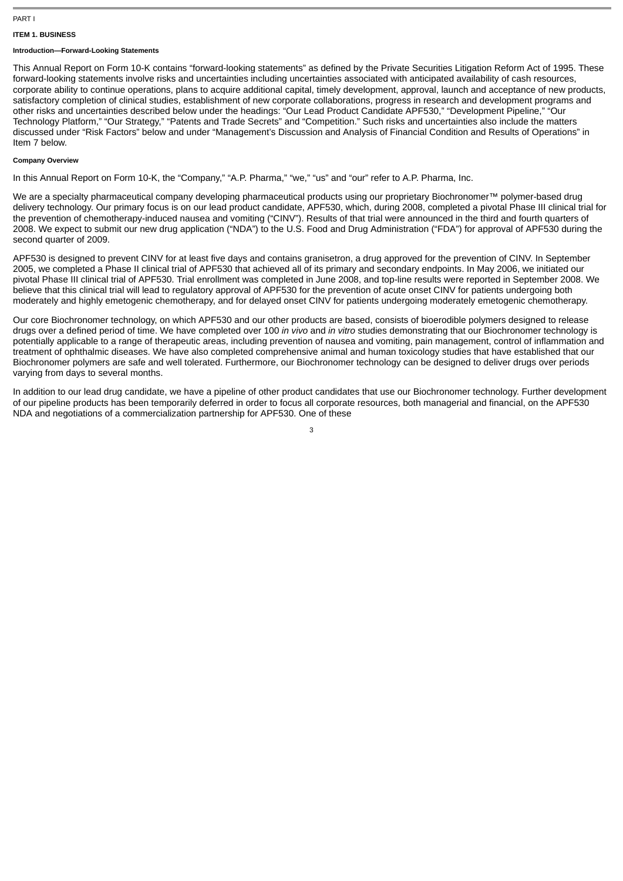#### <span id="page-2-1"></span><span id="page-2-0"></span>**ITEM 1. BUSINESS**

#### **Introduction—Forward-Looking Statements**

This Annual Report on Form 10-K contains "forward-looking statements" as defined by the Private Securities Litigation Reform Act of 1995. These forward-looking statements involve risks and uncertainties including uncertainties associated with anticipated availability of cash resources, corporate ability to continue operations, plans to acquire additional capital, timely development, approval, launch and acceptance of new products, satisfactory completion of clinical studies, establishment of new corporate collaborations, progress in research and development programs and other risks and uncertainties described below under the headings: "Our Lead Product Candidate APF530," "Development Pipeline," "Our Technology Platform," "Our Strategy," "Patents and Trade Secrets" and "Competition." Such risks and uncertainties also include the matters discussed under "Risk Factors" below and under "Management's Discussion and Analysis of Financial Condition and Results of Operations" in Item 7 below.

## **Company Overview**

In this Annual Report on Form 10-K, the "Company," "A.P. Pharma," "we," "us" and "our" refer to A.P. Pharma, Inc.

We are a specialty pharmaceutical company developing pharmaceutical products using our proprietary Biochronomer™ polymer-based drug delivery technology. Our primary focus is on our lead product candidate, APF530, which, during 2008, completed a pivotal Phase III clinical trial for the prevention of chemotherapy-induced nausea and vomiting ("CINV"). Results of that trial were announced in the third and fourth quarters of 2008. We expect to submit our new drug application ("NDA") to the U.S. Food and Drug Administration ("FDA") for approval of APF530 during the second quarter of 2009.

APF530 is designed to prevent CINV for at least five days and contains granisetron, a drug approved for the prevention of CINV. In September 2005, we completed a Phase II clinical trial of APF530 that achieved all of its primary and secondary endpoints. In May 2006, we initiated our pivotal Phase III clinical trial of APF530. Trial enrollment was completed in June 2008, and top-line results were reported in September 2008. We believe that this clinical trial will lead to regulatory approval of APF530 for the prevention of acute onset CINV for patients undergoing both moderately and highly emetogenic chemotherapy, and for delayed onset CINV for patients undergoing moderately emetogenic chemotherapy.

Our core Biochronomer technology, on which APF530 and our other products are based, consists of bioerodible polymers designed to release drugs over a defined period of time. We have completed over 100 *in vivo* and *in vitro* studies demonstrating that our Biochronomer technology is potentially applicable to a range of therapeutic areas, including prevention of nausea and vomiting, pain management, control of inflammation and treatment of ophthalmic diseases. We have also completed comprehensive animal and human toxicology studies that have established that our Biochronomer polymers are safe and well tolerated. Furthermore, our Biochronomer technology can be designed to deliver drugs over periods varying from days to several months.

In addition to our lead drug candidate, we have a pipeline of other product candidates that use our Biochronomer technology. Further development of our pipeline products has been temporarily deferred in order to focus all corporate resources, both managerial and financial, on the APF530 NDA and negotiations of a commercialization partnership for APF530. One of these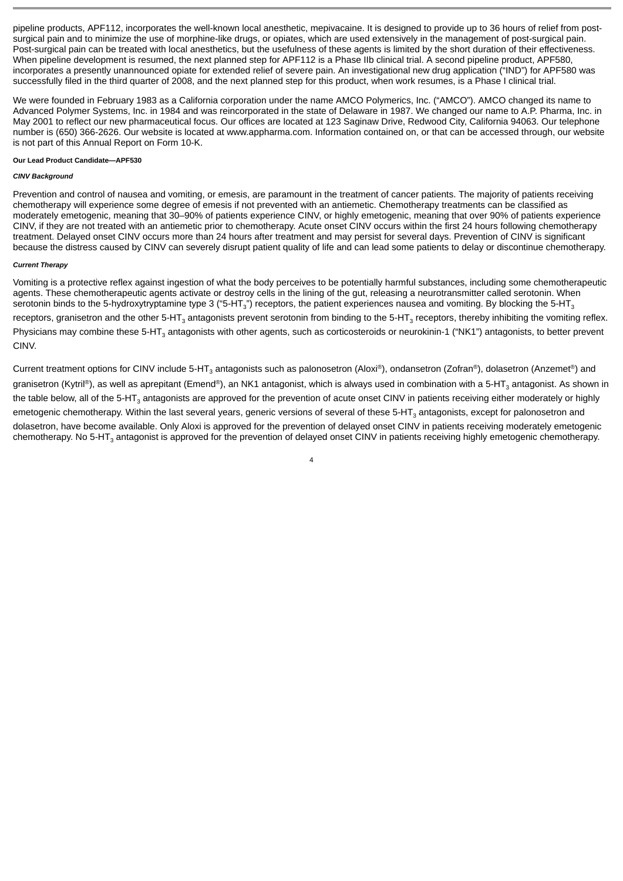pipeline products, APF112, incorporates the well-known local anesthetic, mepivacaine. It is designed to provide up to 36 hours of relief from postsurgical pain and to minimize the use of morphine-like drugs, or opiates, which are used extensively in the management of post-surgical pain. Post-surgical pain can be treated with local anesthetics, but the usefulness of these agents is limited by the short duration of their effectiveness. When pipeline development is resumed, the next planned step for APF112 is a Phase IIb clinical trial. A second pipeline product, APF580, incorporates a presently unannounced opiate for extended relief of severe pain. An investigational new drug application ("IND") for APF580 was successfully filed in the third quarter of 2008, and the next planned step for this product, when work resumes, is a Phase I clinical trial.

We were founded in February 1983 as a California corporation under the name AMCO Polymerics, Inc. ("AMCO"). AMCO changed its name to Advanced Polymer Systems, Inc. in 1984 and was reincorporated in the state of Delaware in 1987. We changed our name to A.P. Pharma, Inc. in May 2001 to reflect our new pharmaceutical focus. Our offices are located at 123 Saginaw Drive, Redwood City, California 94063. Our telephone number is (650) 366-2626. Our website is located at www.appharma.com. Information contained on, or that can be accessed through, our website is not part of this Annual Report on Form 10-K.

#### **Our Lead Product Candidate—APF530**

## *CINV Background*

Prevention and control of nausea and vomiting, or emesis, are paramount in the treatment of cancer patients. The majority of patients receiving chemotherapy will experience some degree of emesis if not prevented with an antiemetic. Chemotherapy treatments can be classified as moderately emetogenic, meaning that 30–90% of patients experience CINV, or highly emetogenic, meaning that over 90% of patients experience CINV, if they are not treated with an antiemetic prior to chemotherapy. Acute onset CINV occurs within the first 24 hours following chemotherapy treatment. Delayed onset CINV occurs more than 24 hours after treatment and may persist for several days. Prevention of CINV is significant because the distress caused by CINV can severely disrupt patient quality of life and can lead some patients to delay or discontinue chemotherapy.

## *Current Therapy*

Vomiting is a protective reflex against ingestion of what the body perceives to be potentially harmful substances, including some chemotherapeutic agents. These chemotherapeutic agents activate or destroy cells in the lining of the gut, releasing a neurotransmitter called serotonin. When serotonin binds to the 5-hydroxytryptamine type 3 ("5-HT $_3$ ") receptors, the patient experiences nausea and vomiting. By blocking the 5-HT $_3$ receptors, granisetron and the other 5-HT $_{\rm 3}$  antagonists prevent serotonin from binding to the 5-HT $_{\rm 3}$  receptors, thereby inhibiting the vomiting reflex. Physicians may combine these 5-HT $_{\rm 3}$  antagonists with other agents, such as corticosteroids or neurokinin-1 ("NK1") antagonists, to better prevent CINV.

Current treatment options for CINV include 5-HT<sub>3</sub> antagonists such as palonosetron (Aloxi®), ondansetron (Zofran®), dolasetron (Anzemet®) and granisetron (Kytril®), as well as aprepitant (Emend®), an NK1 antagonist, which is always used in combination with a 5-HT $_3$  antagonist. As shown in the table below, all of the 5-HT $_{\rm 3}$  antagonists are approved for the prevention of acute onset CINV in patients receiving either moderately or highly emetogenic chemotherapy. Within the last several years, generic versions of several of these 5-HT<sub>3</sub> antagonists, except for palonosetron and dolasetron, have become available. Only Aloxi is approved for the prevention of delayed onset CINV in patients receiving moderately emetogenic chemotherapy. No 5-HT<sub>3</sub> antagonist is approved for the prevention of delayed onset CINV in patients receiving highly emetogenic chemotherapy.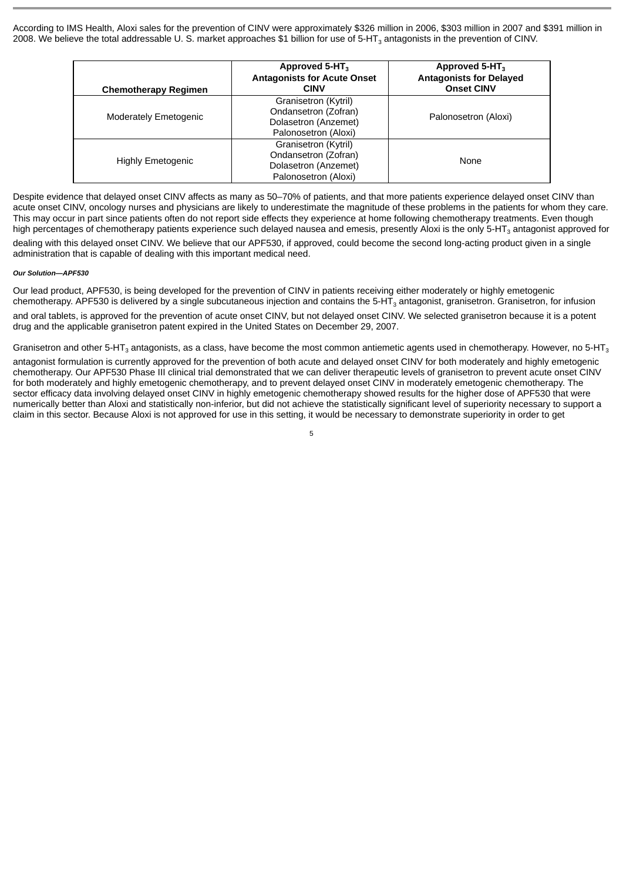According to IMS Health, Aloxi sales for the prevention of CINV were approximately \$326 million in 2006, \$303 million in 2007 and \$391 million in 2008. We believe the total addressable U. S. market approaches \$1 billion for use of 5-HT $_3$  antagonists in the prevention of CINV.

| <b>Chemotherapy Regimen</b> | Approved 5-HT <sub>3</sub><br><b>Antagonists for Acute Onset</b><br><b>CINV</b>              | Approved 5-HT <sub>3</sub><br><b>Antagonists for Delayed</b><br><b>Onset CINV</b> |
|-----------------------------|----------------------------------------------------------------------------------------------|-----------------------------------------------------------------------------------|
| Moderately Emetogenic       | Granisetron (Kytril)<br>Ondansetron (Zofran)<br>Dolasetron (Anzemet)<br>Palonosetron (Aloxi) | Palonosetron (Aloxi)                                                              |
| <b>Highly Emetogenic</b>    | Granisetron (Kytril)<br>Ondansetron (Zofran)<br>Dolasetron (Anzemet)<br>Palonosetron (Aloxi) | None                                                                              |

Despite evidence that delayed onset CINV affects as many as 50–70% of patients, and that more patients experience delayed onset CINV than acute onset CINV, oncology nurses and physicians are likely to underestimate the magnitude of these problems in the patients for whom they care. This may occur in part since patients often do not report side effects they experience at home following chemotherapy treatments. Even though high percentages of chemotherapy patients experience such delayed nausea and emesis, presently Aloxi is the only 5-HT $_{\rm 3}$  antagonist approved for dealing with this delayed onset CINV. We believe that our APF530, if approved, could become the second long-acting product given in a single administration that is capable of dealing with this important medical need.

# *Our Solution—APF530*

Our lead product, APF530, is being developed for the prevention of CINV in patients receiving either moderately or highly emetogenic chemotherapy. APF530 is delivered by a single subcutaneous injection and contains the 5-HT $_{\rm 3}$  antagonist, granisetron. Granisetron, for infusion and oral tablets, is approved for the prevention of acute onset CINV, but not delayed onset CINV. We selected granisetron because it is a potent drug and the applicable granisetron patent expired in the United States on December 29, 2007.

Granisetron and other 5-HT $_3$  antagonists, as a class, have become the most common antiemetic agents used in chemotherapy. However, no 5-HT $_3$ antagonist formulation is currently approved for the prevention of both acute and delayed onset CINV for both moderately and highly emetogenic chemotherapy. Our APF530 Phase III clinical trial demonstrated that we can deliver therapeutic levels of granisetron to prevent acute onset CINV for both moderately and highly emetogenic chemotherapy, and to prevent delayed onset CINV in moderately emetogenic chemotherapy. The sector efficacy data involving delayed onset CINV in highly emetogenic chemotherapy showed results for the higher dose of APF530 that were numerically better than Aloxi and statistically non-inferior, but did not achieve the statistically significant level of superiority necessary to support a claim in this sector. Because Aloxi is not approved for use in this setting, it would be necessary to demonstrate superiority in order to get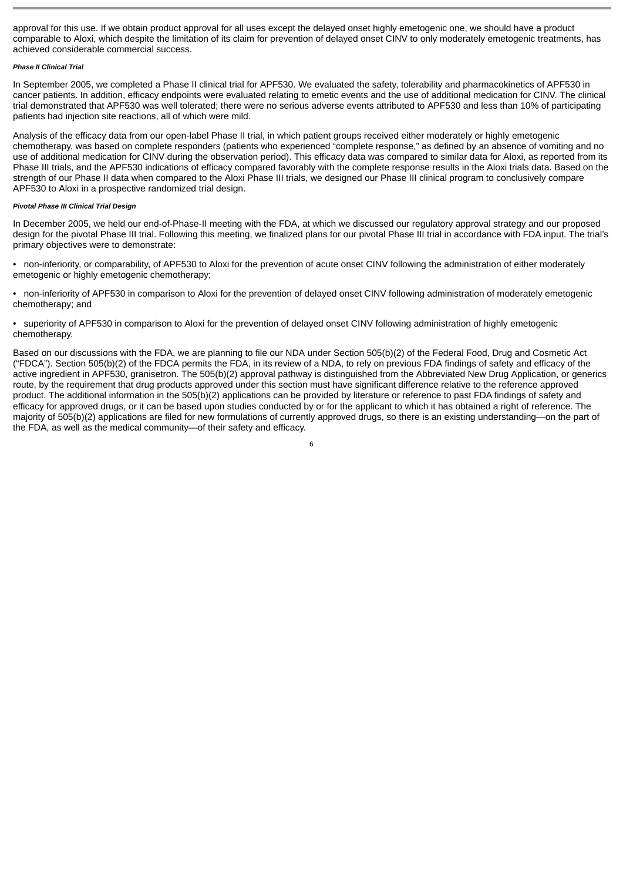approval for this use. If we obtain product approval for all uses except the delayed onset highly emetogenic one, we should have a product comparable to Aloxi, which despite the limitation of its claim for prevention of delayed onset CINV to only moderately emetogenic treatments, has achieved considerable commercial success.

## *Phase II Clinical Trial*

In September 2005, we completed a Phase II clinical trial for APF530. We evaluated the safety, tolerability and pharmacokinetics of APF530 in cancer patients. In addition, efficacy endpoints were evaluated relating to emetic events and the use of additional medication for CINV. The clinical trial demonstrated that APF530 was well tolerated; there were no serious adverse events attributed to APF530 and less than 10% of participating patients had injection site reactions, all of which were mild.

Analysis of the efficacy data from our open-label Phase II trial, in which patient groups received either moderately or highly emetogenic chemotherapy, was based on complete responders (patients who experienced "complete response," as defined by an absence of vomiting and no use of additional medication for CINV during the observation period). This efficacy data was compared to similar data for Aloxi, as reported from its Phase III trials, and the APF530 indications of efficacy compared favorably with the complete response results in the Aloxi trials data. Based on the strength of our Phase II data when compared to the Aloxi Phase III trials, we designed our Phase III clinical program to conclusively compare APF530 to Aloxi in a prospective randomized trial design.

## *Pivotal Phase III Clinical Trial Design*

In December 2005, we held our end-of-Phase-II meeting with the FDA, at which we discussed our regulatory approval strategy and our proposed design for the pivotal Phase III trial. Following this meeting, we finalized plans for our pivotal Phase III trial in accordance with FDA input. The trial's primary objectives were to demonstrate:

• non-inferiority, or comparability, of APF530 to Aloxi for the prevention of acute onset CINV following the administration of either moderately emetogenic or highly emetogenic chemotherapy;

• non-inferiority of APF530 in comparison to Aloxi for the prevention of delayed onset CINV following administration of moderately emetogenic chemotherapy; and

• superiority of APF530 in comparison to Aloxi for the prevention of delayed onset CINV following administration of highly emetogenic chemotherapy.

Based on our discussions with the FDA, we are planning to file our NDA under Section 505(b)(2) of the Federal Food, Drug and Cosmetic Act ("FDCA"). Section 505(b)(2) of the FDCA permits the FDA, in its review of a NDA, to rely on previous FDA findings of safety and efficacy of the active ingredient in APF530, granisetron. The 505(b)(2) approval pathway is distinguished from the Abbreviated New Drug Application, or generics route, by the requirement that drug products approved under this section must have significant difference relative to the reference approved product. The additional information in the 505(b)(2) applications can be provided by literature or reference to past FDA findings of safety and efficacy for approved drugs, or it can be based upon studies conducted by or for the applicant to which it has obtained a right of reference. The majority of 505(b)(2) applications are filed for new formulations of currently approved drugs, so there is an existing understanding—on the part of the FDA, as well as the medical community—of their safety and efficacy.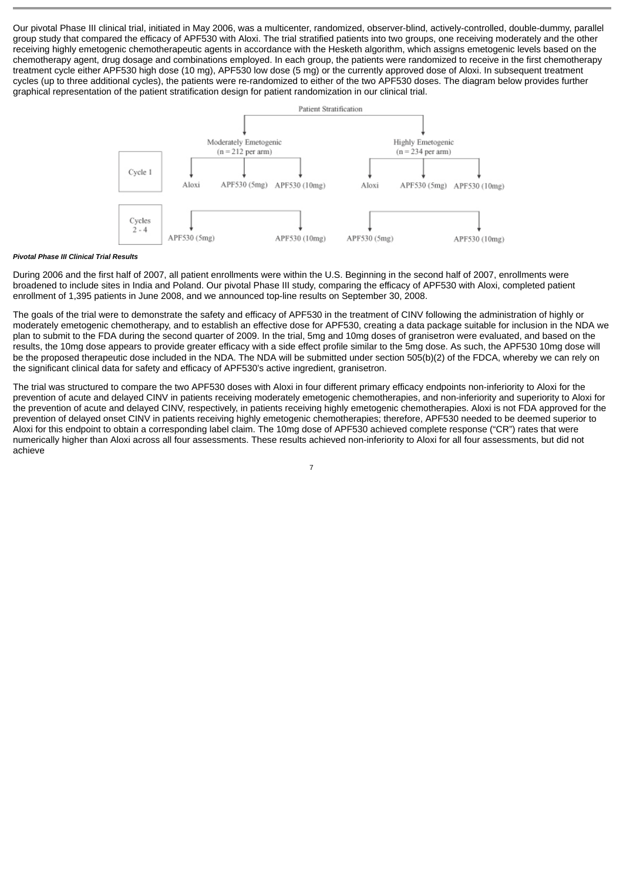Our pivotal Phase III clinical trial, initiated in May 2006, was a multicenter, randomized, observer-blind, actively-controlled, double-dummy, parallel group study that compared the efficacy of APF530 with Aloxi. The trial stratified patients into two groups, one receiving moderately and the other receiving highly emetogenic chemotherapeutic agents in accordance with the Hesketh algorithm, which assigns emetogenic levels based on the chemotherapy agent, drug dosage and combinations employed. In each group, the patients were randomized to receive in the first chemotherapy treatment cycle either APF530 high dose (10 mg), APF530 low dose (5 mg) or the currently approved dose of Aloxi. In subsequent treatment cycles (up to three additional cycles), the patients were re-randomized to either of the two APF530 doses. The diagram below provides further graphical representation of the patient stratification design for patient randomization in our clinical trial.



*Pivotal Phase III Clinical Trial Results*

During 2006 and the first half of 2007, all patient enrollments were within the U.S. Beginning in the second half of 2007, enrollments were broadened to include sites in India and Poland. Our pivotal Phase III study, comparing the efficacy of APF530 with Aloxi, completed patient enrollment of 1,395 patients in June 2008, and we announced top-line results on September 30, 2008.

The goals of the trial were to demonstrate the safety and efficacy of APF530 in the treatment of CINV following the administration of highly or moderately emetogenic chemotherapy, and to establish an effective dose for APF530, creating a data package suitable for inclusion in the NDA we plan to submit to the FDA during the second quarter of 2009. In the trial, 5mg and 10mg doses of granisetron were evaluated, and based on the results, the 10mg dose appears to provide greater efficacy with a side effect profile similar to the 5mg dose. As such, the APF530 10mg dose will be the proposed therapeutic dose included in the NDA. The NDA will be submitted under section 505(b)(2) of the FDCA, whereby we can rely on the significant clinical data for safety and efficacy of APF530's active ingredient, granisetron.

The trial was structured to compare the two APF530 doses with Aloxi in four different primary efficacy endpoints non-inferiority to Aloxi for the prevention of acute and delayed CINV in patients receiving moderately emetogenic chemotherapies, and non-inferiority and superiority to Aloxi for the prevention of acute and delayed CINV, respectively, in patients receiving highly emetogenic chemotherapies. Aloxi is not FDA approved for the prevention of delayed onset CINV in patients receiving highly emetogenic chemotherapies; therefore, APF530 needed to be deemed superior to Aloxi for this endpoint to obtain a corresponding label claim. The 10mg dose of APF530 achieved complete response ("CR") rates that were numerically higher than Aloxi across all four assessments. These results achieved non-inferiority to Aloxi for all four assessments, but did not achieve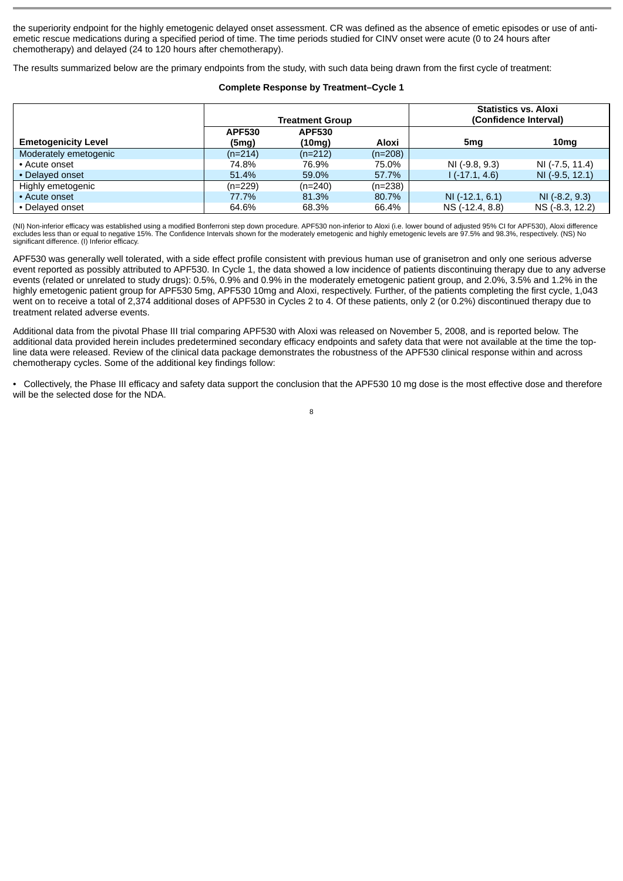the superiority endpoint for the highly emetogenic delayed onset assessment. CR was defined as the absence of emetic episodes or use of antiemetic rescue medications during a specified period of time. The time periods studied for CINV onset were acute (0 to 24 hours after chemotherapy) and delayed (24 to 120 hours after chemotherapy).

The results summarized below are the primary endpoints from the study, with such data being drawn from the first cycle of treatment:

# **Complete Response by Treatment–Cycle 1**

|                            | <b>Treatment Group</b> |                         |           | <b>Statistics vs. Aloxi</b><br>(Confidence Interval) |                  |  |
|----------------------------|------------------------|-------------------------|-----------|------------------------------------------------------|------------------|--|
| <b>Emetogenicity Level</b> | <b>APF530</b><br>(5mg) | <b>APF530</b><br>(10mg) | Aloxi     | 5 <sub>mg</sub>                                      | 10 <sub>mg</sub> |  |
| Moderately emetogenic      | $(n=214)$              | $(n=212)$               | $(n=208)$ |                                                      |                  |  |
| • Acute onset              | 74.8%                  | 76.9%                   | 75.0%     | NI (-9.8, 9.3)                                       | NI (-7.5, 11.4)  |  |
| • Delayed onset            | 51.4%                  | 59.0%                   | 57.7%     | $1(-17.1, 4.6)$                                      | NI (-9.5, 12.1)  |  |
| Highly emetogenic          | $(n=229)$              | $(n=240)$               | $(n=238)$ |                                                      |                  |  |
| • Acute onset              | 77.7%                  | 81.3%                   | 80.7%     | $NI (-12.1, 6.1)$                                    | NI (-8.2, 9.3)   |  |
| • Delayed onset            | 64.6%                  | 68.3%                   | 66.4%     | NS (-12.4, 8.8)                                      | NS (-8.3, 12.2)  |  |

(NI) Non-inferior efficacy was established using a modified Bonferroni step down procedure. APF530 non-inferior to Aloxi (i.e. lower bound of adjusted 95% CI for APF530), Aloxi difference excludes less than or equal to negative 15%. The Confidence Intervals shown for the moderately emetogenic and highly emetogenic levels are 97.5% and 98.3%, respectively. (NS) No significant difference. (I) Inferior efficacy.

APF530 was generally well tolerated, with a side effect profile consistent with previous human use of granisetron and only one serious adverse event reported as possibly attributed to APF530. In Cycle 1, the data showed a low incidence of patients discontinuing therapy due to any adverse events (related or unrelated to study drugs): 0.5%, 0.9% and 0.9% in the moderately emetogenic patient group, and 2.0%, 3.5% and 1.2% in the highly emetogenic patient group for APF530 5mg, APF530 10mg and Aloxi, respectively. Further, of the patients completing the first cycle, 1,043 went on to receive a total of 2,374 additional doses of APF530 in Cycles 2 to 4. Of these patients, only 2 (or 0.2%) discontinued therapy due to treatment related adverse events.

Additional data from the pivotal Phase III trial comparing APF530 with Aloxi was released on November 5, 2008, and is reported below. The additional data provided herein includes predetermined secondary efficacy endpoints and safety data that were not available at the time the topline data were released. Review of the clinical data package demonstrates the robustness of the APF530 clinical response within and across chemotherapy cycles. Some of the additional key findings follow:

• Collectively, the Phase III efficacy and safety data support the conclusion that the APF530 10 mg dose is the most effective dose and therefore will be the selected dose for the NDA.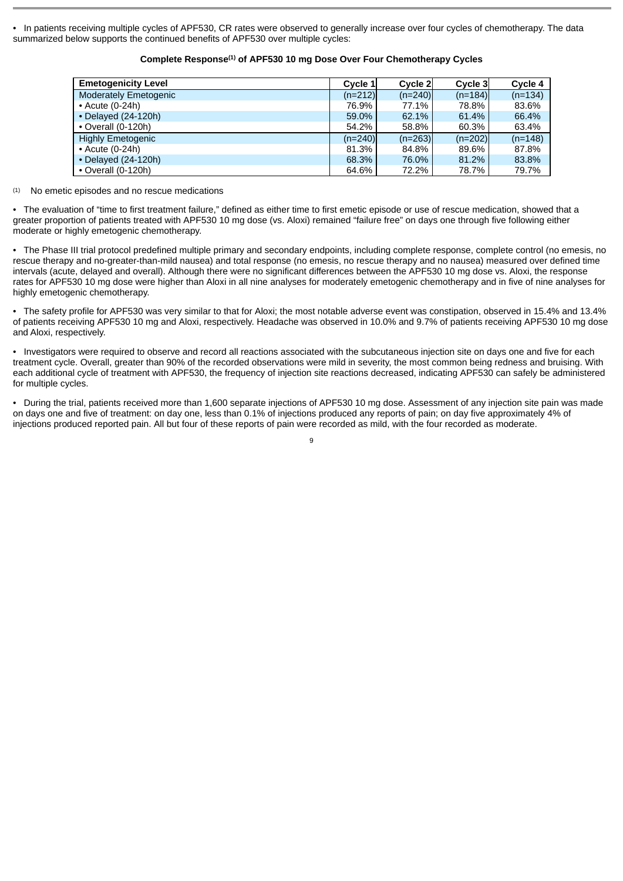• In patients receiving multiple cycles of APF530, CR rates were observed to generally increase over four cycles of chemotherapy. The data summarized below supports the continued benefits of APF530 over multiple cycles:

# **Complete Response(1) of APF530 10 mg Dose Over Four Chemotherapy Cycles**

| <b>Emetogenicity Level</b>   |           | Cycle 2<br>Cycle 1 | Cycle 3   | Cycle 4   |
|------------------------------|-----------|--------------------|-----------|-----------|
| <b>Moderately Emetogenic</b> | $(n=212)$ | $(n=240)$          | $(n=184)$ | $(n=134)$ |
| • Acute (0-24h)              | 76.9%     | 77.1%              | 78.8%     | 83.6%     |
| • Delayed (24-120h)          | 59.0%     | 62.1%              | 61.4%     | 66.4%     |
| $\cdot$ Overall (0-120h)     | 54.2%     | 58.8%              | 60.3%     | 63.4%     |
| <b>Highly Emetogenic</b>     | $(n=240)$ | $(n=263)$          | $(n=202)$ | $(n=148)$ |
| • Acute (0-24h)              | 81.3%     | 84.8%              | 89.6%     | 87.8%     |
| • Delayed $(24-120h)$        | 68.3%     | 76.0%              | 81.2%     | 83.8%     |
| $\cdot$ Overall (0-120h)     | 64.6%     | 72.2%              | 78.7%     | 79.7%     |

(1) No emetic episodes and no rescue medications

• The evaluation of "time to first treatment failure," defined as either time to first emetic episode or use of rescue medication, showed that a greater proportion of patients treated with APF530 10 mg dose (vs. Aloxi) remained "failure free" on days one through five following either moderate or highly emetogenic chemotherapy.

• The Phase III trial protocol predefined multiple primary and secondary endpoints, including complete response, complete control (no emesis, no rescue therapy and no-greater-than-mild nausea) and total response (no emesis, no rescue therapy and no nausea) measured over defined time intervals (acute, delayed and overall). Although there were no significant differences between the APF530 10 mg dose vs. Aloxi, the response rates for APF530 10 mg dose were higher than Aloxi in all nine analyses for moderately emetogenic chemotherapy and in five of nine analyses for highly emetogenic chemotherapy.

• The safety profile for APF530 was very similar to that for Aloxi; the most notable adverse event was constipation, observed in 15.4% and 13.4% of patients receiving APF530 10 mg and Aloxi, respectively. Headache was observed in 10.0% and 9.7% of patients receiving APF530 10 mg dose and Aloxi, respectively.

• Investigators were required to observe and record all reactions associated with the subcutaneous injection site on days one and five for each treatment cycle. Overall, greater than 90% of the recorded observations were mild in severity, the most common being redness and bruising. With each additional cycle of treatment with APF530, the frequency of injection site reactions decreased, indicating APF530 can safely be administered for multiple cycles.

• During the trial, patients received more than 1,600 separate injections of APF530 10 mg dose. Assessment of any injection site pain was made on days one and five of treatment: on day one, less than 0.1% of injections produced any reports of pain; on day five approximately 4% of injections produced reported pain. All but four of these reports of pain were recorded as mild, with the four recorded as moderate.

 $\overline{9}$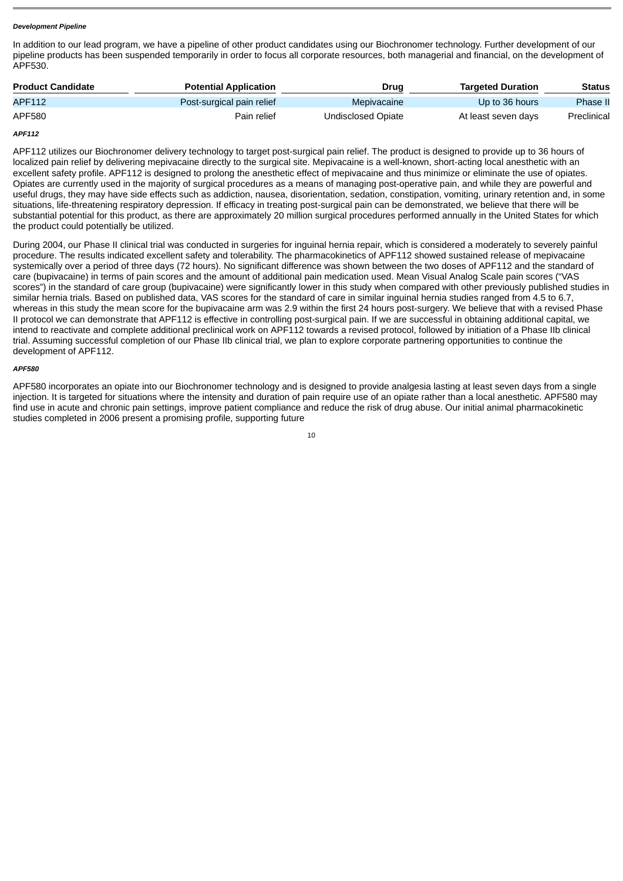#### *Development Pipeline*

In addition to our lead program, we have a pipeline of other product candidates using our Biochronomer technology. Further development of our pipeline products has been suspended temporarily in order to focus all corporate resources, both managerial and financial, on the development of APF530.

| <b>Product Candidate</b> | <b>Potential Application</b> | Drua               | <b>Targeted Duration</b> | Status      |
|--------------------------|------------------------------|--------------------|--------------------------|-------------|
| APF112                   | Post-surgical pain relief    | Mepivacaine        | Up to 36 hours           | Phase II    |
| APF580                   | Pain relief                  | Undisclosed Opiate | At least seven days      | Preclinical |

## *APF112*

APF112 utilizes our Biochronomer delivery technology to target post-surgical pain relief. The product is designed to provide up to 36 hours of localized pain relief by delivering mepivacaine directly to the surgical site. Mepivacaine is a well-known, short-acting local anesthetic with an excellent safety profile. APF112 is designed to prolong the anesthetic effect of mepivacaine and thus minimize or eliminate the use of opiates. Opiates are currently used in the majority of surgical procedures as a means of managing post-operative pain, and while they are powerful and useful drugs, they may have side effects such as addiction, nausea, disorientation, sedation, constipation, vomiting, urinary retention and, in some situations, life-threatening respiratory depression. If efficacy in treating post-surgical pain can be demonstrated, we believe that there will be substantial potential for this product, as there are approximately 20 million surgical procedures performed annually in the United States for which the product could potentially be utilized.

During 2004, our Phase II clinical trial was conducted in surgeries for inguinal hernia repair, which is considered a moderately to severely painful procedure. The results indicated excellent safety and tolerability. The pharmacokinetics of APF112 showed sustained release of mepivacaine systemically over a period of three days (72 hours). No significant difference was shown between the two doses of APF112 and the standard of care (bupivacaine) in terms of pain scores and the amount of additional pain medication used. Mean Visual Analog Scale pain scores ("VAS scores") in the standard of care group (bupivacaine) were significantly lower in this study when compared with other previously published studies in similar hernia trials. Based on published data, VAS scores for the standard of care in similar inguinal hernia studies ranged from 4.5 to 6.7, whereas in this study the mean score for the bupivacaine arm was 2.9 within the first 24 hours post-surgery. We believe that with a revised Phase II protocol we can demonstrate that APF112 is effective in controlling post-surgical pain. If we are successful in obtaining additional capital, we intend to reactivate and complete additional preclinical work on APF112 towards a revised protocol, followed by initiation of a Phase IIb clinical trial. Assuming successful completion of our Phase IIb clinical trial, we plan to explore corporate partnering opportunities to continue the development of APF112.

## *APF580*

APF580 incorporates an opiate into our Biochronomer technology and is designed to provide analgesia lasting at least seven days from a single injection. It is targeted for situations where the intensity and duration of pain require use of an opiate rather than a local anesthetic. APF580 may find use in acute and chronic pain settings, improve patient compliance and reduce the risk of drug abuse. Our initial animal pharmacokinetic studies completed in 2006 present a promising profile, supporting future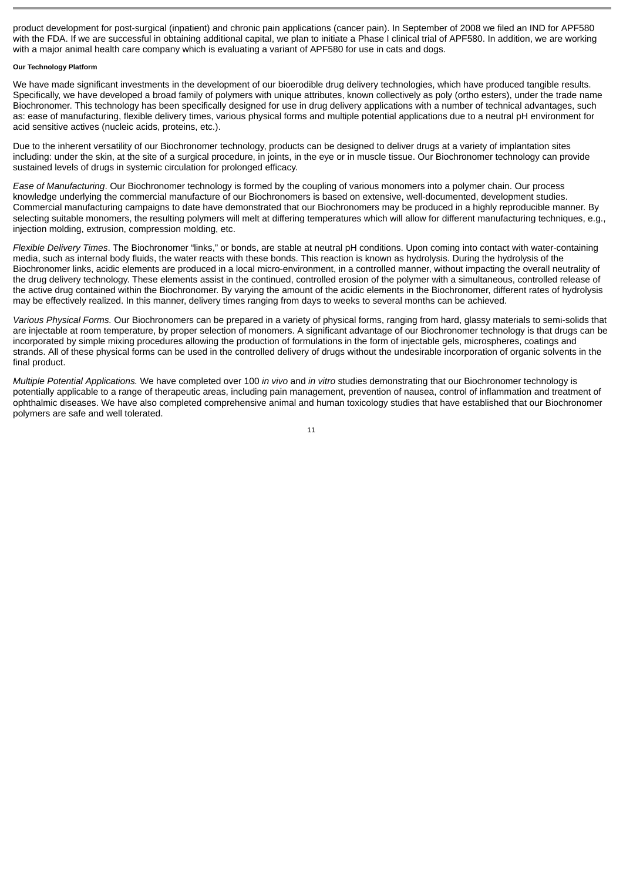product development for post-surgical (inpatient) and chronic pain applications (cancer pain). In September of 2008 we filed an IND for APF580 with the FDA. If we are successful in obtaining additional capital, we plan to initiate a Phase I clinical trial of APF580. In addition, we are working with a major animal health care company which is evaluating a variant of APF580 for use in cats and dogs.

## **Our Technology Platform**

We have made significant investments in the development of our bioerodible drug delivery technologies, which have produced tangible results. Specifically, we have developed a broad family of polymers with unique attributes, known collectively as poly (ortho esters), under the trade name Biochronomer. This technology has been specifically designed for use in drug delivery applications with a number of technical advantages, such as: ease of manufacturing, flexible delivery times, various physical forms and multiple potential applications due to a neutral pH environment for acid sensitive actives (nucleic acids, proteins, etc.).

Due to the inherent versatility of our Biochronomer technology, products can be designed to deliver drugs at a variety of implantation sites including: under the skin, at the site of a surgical procedure, in joints, in the eye or in muscle tissue. Our Biochronomer technology can provide sustained levels of drugs in systemic circulation for prolonged efficacy.

*Ease of Manufacturing*. Our Biochronomer technology is formed by the coupling of various monomers into a polymer chain. Our process knowledge underlying the commercial manufacture of our Biochronomers is based on extensive, well-documented, development studies. Commercial manufacturing campaigns to date have demonstrated that our Biochronomers may be produced in a highly reproducible manner. By selecting suitable monomers, the resulting polymers will melt at differing temperatures which will allow for different manufacturing techniques, e.g., injection molding, extrusion, compression molding, etc.

*Flexible Delivery Times*. The Biochronomer "links," or bonds, are stable at neutral pH conditions. Upon coming into contact with water-containing media, such as internal body fluids, the water reacts with these bonds. This reaction is known as hydrolysis. During the hydrolysis of the Biochronomer links, acidic elements are produced in a local micro-environment, in a controlled manner, without impacting the overall neutrality of the drug delivery technology. These elements assist in the continued, controlled erosion of the polymer with a simultaneous, controlled release of the active drug contained within the Biochronomer. By varying the amount of the acidic elements in the Biochronomer, different rates of hydrolysis may be effectively realized. In this manner, delivery times ranging from days to weeks to several months can be achieved.

*Various Physical Forms.* Our Biochronomers can be prepared in a variety of physical forms, ranging from hard, glassy materials to semi-solids that are injectable at room temperature, by proper selection of monomers. A significant advantage of our Biochronomer technology is that drugs can be incorporated by simple mixing procedures allowing the production of formulations in the form of injectable gels, microspheres, coatings and strands. All of these physical forms can be used in the controlled delivery of drugs without the undesirable incorporation of organic solvents in the final product.

*Multiple Potential Applications.* We have completed over 100 *in vivo* and *in vitro* studies demonstrating that our Biochronomer technology is potentially applicable to a range of therapeutic areas, including pain management, prevention of nausea, control of inflammation and treatment of ophthalmic diseases. We have also completed comprehensive animal and human toxicology studies that have established that our Biochronomer polymers are safe and well tolerated.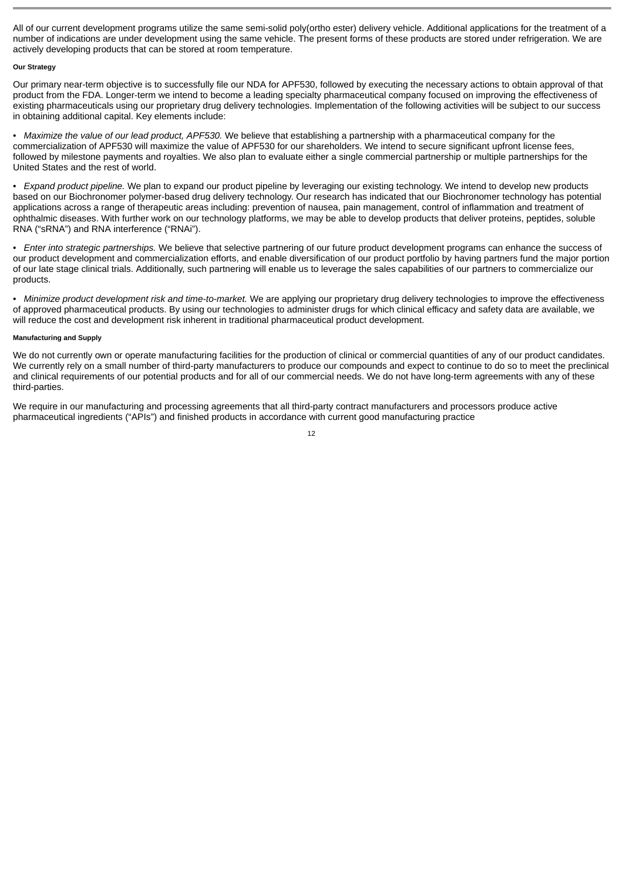All of our current development programs utilize the same semi-solid poly(ortho ester) delivery vehicle. Additional applications for the treatment of a number of indications are under development using the same vehicle. The present forms of these products are stored under refrigeration. We are actively developing products that can be stored at room temperature.

## **Our Strategy**

Our primary near-term objective is to successfully file our NDA for APF530, followed by executing the necessary actions to obtain approval of that product from the FDA. Longer-term we intend to become a leading specialty pharmaceutical company focused on improving the effectiveness of existing pharmaceuticals using our proprietary drug delivery technologies. Implementation of the following activities will be subject to our success in obtaining additional capital. Key elements include:

• *Maximize the value of our lead product, APF530.* We believe that establishing a partnership with a pharmaceutical company for the commercialization of APF530 will maximize the value of APF530 for our shareholders. We intend to secure significant upfront license fees, followed by milestone payments and royalties. We also plan to evaluate either a single commercial partnership or multiple partnerships for the United States and the rest of world.

• *Expand product pipeline.* We plan to expand our product pipeline by leveraging our existing technology. We intend to develop new products based on our Biochronomer polymer-based drug delivery technology. Our research has indicated that our Biochronomer technology has potential applications across a range of therapeutic areas including: prevention of nausea, pain management, control of inflammation and treatment of ophthalmic diseases. With further work on our technology platforms, we may be able to develop products that deliver proteins, peptides, soluble RNA ("sRNA") and RNA interference ("RNAi").

• *Enter into strategic partnerships.* We believe that selective partnering of our future product development programs can enhance the success of our product development and commercialization efforts, and enable diversification of our product portfolio by having partners fund the major portion of our late stage clinical trials. Additionally, such partnering will enable us to leverage the sales capabilities of our partners to commercialize our products.

• *Minimize product development risk and time-to-market.* We are applying our proprietary drug delivery technologies to improve the effectiveness of approved pharmaceutical products. By using our technologies to administer drugs for which clinical efficacy and safety data are available, we will reduce the cost and development risk inherent in traditional pharmaceutical product development.

# **Manufacturing and Supply**

We do not currently own or operate manufacturing facilities for the production of clinical or commercial quantities of any of our product candidates. We currently rely on a small number of third-party manufacturers to produce our compounds and expect to continue to do so to meet the preclinical and clinical requirements of our potential products and for all of our commercial needs. We do not have long-term agreements with any of these third-parties.

We require in our manufacturing and processing agreements that all third-party contract manufacturers and processors produce active pharmaceutical ingredients ("APIs") and finished products in accordance with current good manufacturing practice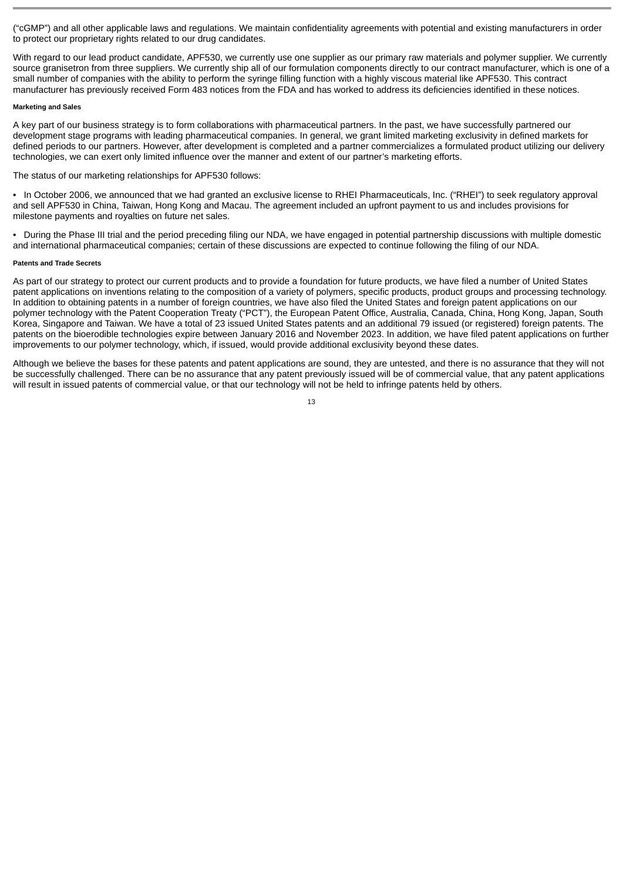("cGMP") and all other applicable laws and regulations. We maintain confidentiality agreements with potential and existing manufacturers in order to protect our proprietary rights related to our drug candidates.

With regard to our lead product candidate, APF530, we currently use one supplier as our primary raw materials and polymer supplier. We currently source granisetron from three suppliers. We currently ship all of our formulation components directly to our contract manufacturer, which is one of a small number of companies with the ability to perform the syringe filling function with a highly viscous material like APF530. This contract manufacturer has previously received Form 483 notices from the FDA and has worked to address its deficiencies identified in these notices.

## **Marketing and Sales**

A key part of our business strategy is to form collaborations with pharmaceutical partners. In the past, we have successfully partnered our development stage programs with leading pharmaceutical companies. In general, we grant limited marketing exclusivity in defined markets for defined periods to our partners. However, after development is completed and a partner commercializes a formulated product utilizing our delivery technologies, we can exert only limited influence over the manner and extent of our partner's marketing efforts.

The status of our marketing relationships for APF530 follows:

• In October 2006, we announced that we had granted an exclusive license to RHEI Pharmaceuticals, Inc. ("RHEI") to seek regulatory approval and sell APF530 in China, Taiwan, Hong Kong and Macau. The agreement included an upfront payment to us and includes provisions for milestone payments and royalties on future net sales.

• During the Phase III trial and the period preceding filing our NDA, we have engaged in potential partnership discussions with multiple domestic and international pharmaceutical companies; certain of these discussions are expected to continue following the filing of our NDA.

#### **Patents and Trade Secrets**

As part of our strategy to protect our current products and to provide a foundation for future products, we have filed a number of United States patent applications on inventions relating to the composition of a variety of polymers, specific products, product groups and processing technology. In addition to obtaining patents in a number of foreign countries, we have also filed the United States and foreign patent applications on our polymer technology with the Patent Cooperation Treaty ("PCT"), the European Patent Office, Australia, Canada, China, Hong Kong, Japan, South Korea, Singapore and Taiwan. We have a total of 23 issued United States patents and an additional 79 issued (or registered) foreign patents. The patents on the bioerodible technologies expire between January 2016 and November 2023. In addition, we have filed patent applications on further improvements to our polymer technology, which, if issued, would provide additional exclusivity beyond these dates.

Although we believe the bases for these patents and patent applications are sound, they are untested, and there is no assurance that they will not be successfully challenged. There can be no assurance that any patent previously issued will be of commercial value, that any patent applications will result in issued patents of commercial value, or that our technology will not be held to infringe patents held by others.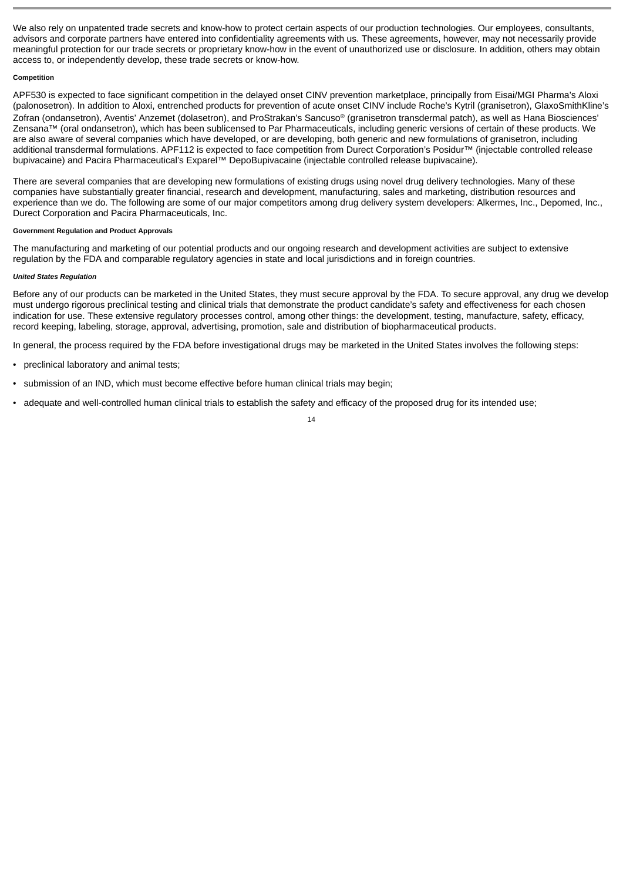We also rely on unpatented trade secrets and know-how to protect certain aspects of our production technologies. Our employees, consultants, advisors and corporate partners have entered into confidentiality agreements with us. These agreements, however, may not necessarily provide meaningful protection for our trade secrets or proprietary know-how in the event of unauthorized use or disclosure. In addition, others may obtain access to, or independently develop, these trade secrets or know-how.

## **Competition**

APF530 is expected to face significant competition in the delayed onset CINV prevention marketplace, principally from Eisai/MGI Pharma's Aloxi (palonosetron). In addition to Aloxi, entrenched products for prevention of acute onset CINV include Roche's Kytril (granisetron), GlaxoSmithKline's Zofran (ondansetron), Aventis' Anzemet (dolasetron), and ProStrakan's Sancuso® (granisetron transdermal patch), as well as Hana Biosciences' Zensana™ (oral ondansetron), which has been sublicensed to Par Pharmaceuticals, including generic versions of certain of these products. We are also aware of several companies which have developed, or are developing, both generic and new formulations of granisetron, including additional transdermal formulations. APF112 is expected to face competition from Durect Corporation's Posidur™ (injectable controlled release bupivacaine) and Pacira Pharmaceutical's Exparel™ DepoBupivacaine (injectable controlled release bupivacaine).

There are several companies that are developing new formulations of existing drugs using novel drug delivery technologies. Many of these companies have substantially greater financial, research and development, manufacturing, sales and marketing, distribution resources and experience than we do. The following are some of our major competitors among drug delivery system developers: Alkermes, Inc., Depomed, Inc., Durect Corporation and Pacira Pharmaceuticals, Inc.

#### **Government Regulation and Product Approvals**

The manufacturing and marketing of our potential products and our ongoing research and development activities are subject to extensive regulation by the FDA and comparable regulatory agencies in state and local jurisdictions and in foreign countries.

## *United States Regulation*

Before any of our products can be marketed in the United States, they must secure approval by the FDA. To secure approval, any drug we develop must undergo rigorous preclinical testing and clinical trials that demonstrate the product candidate's safety and effectiveness for each chosen indication for use. These extensive regulatory processes control, among other things: the development, testing, manufacture, safety, efficacy, record keeping, labeling, storage, approval, advertising, promotion, sale and distribution of biopharmaceutical products.

In general, the process required by the FDA before investigational drugs may be marketed in the United States involves the following steps:

- preclinical laboratory and animal tests;
- submission of an IND, which must become effective before human clinical trials may begin;
- adequate and well-controlled human clinical trials to establish the safety and efficacy of the proposed drug for its intended use;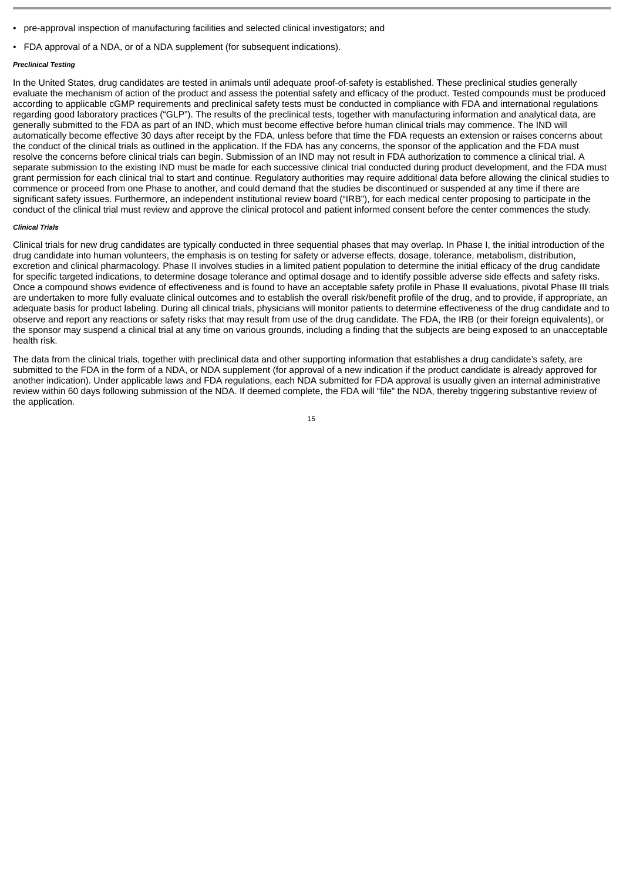- pre-approval inspection of manufacturing facilities and selected clinical investigators; and
- FDA approval of a NDA, or of a NDA supplement (for subsequent indications).

## *Preclinical Testing*

In the United States, drug candidates are tested in animals until adequate proof-of-safety is established. These preclinical studies generally evaluate the mechanism of action of the product and assess the potential safety and efficacy of the product. Tested compounds must be produced according to applicable cGMP requirements and preclinical safety tests must be conducted in compliance with FDA and international regulations regarding good laboratory practices ("GLP"). The results of the preclinical tests, together with manufacturing information and analytical data, are generally submitted to the FDA as part of an IND, which must become effective before human clinical trials may commence. The IND will automatically become effective 30 days after receipt by the FDA, unless before that time the FDA requests an extension or raises concerns about the conduct of the clinical trials as outlined in the application. If the FDA has any concerns, the sponsor of the application and the FDA must resolve the concerns before clinical trials can begin. Submission of an IND may not result in FDA authorization to commence a clinical trial. A separate submission to the existing IND must be made for each successive clinical trial conducted during product development, and the FDA must grant permission for each clinical trial to start and continue. Regulatory authorities may require additional data before allowing the clinical studies to commence or proceed from one Phase to another, and could demand that the studies be discontinued or suspended at any time if there are significant safety issues. Furthermore, an independent institutional review board ("IRB"), for each medical center proposing to participate in the conduct of the clinical trial must review and approve the clinical protocol and patient informed consent before the center commences the study.

#### *Clinical Trials*

Clinical trials for new drug candidates are typically conducted in three sequential phases that may overlap. In Phase I, the initial introduction of the drug candidate into human volunteers, the emphasis is on testing for safety or adverse effects, dosage, tolerance, metabolism, distribution, excretion and clinical pharmacology. Phase II involves studies in a limited patient population to determine the initial efficacy of the drug candidate for specific targeted indications, to determine dosage tolerance and optimal dosage and to identify possible adverse side effects and safety risks. Once a compound shows evidence of effectiveness and is found to have an acceptable safety profile in Phase II evaluations, pivotal Phase III trials are undertaken to more fully evaluate clinical outcomes and to establish the overall risk/benefit profile of the drug, and to provide, if appropriate, an adequate basis for product labeling. During all clinical trials, physicians will monitor patients to determine effectiveness of the drug candidate and to observe and report any reactions or safety risks that may result from use of the drug candidate. The FDA, the IRB (or their foreign equivalents), or the sponsor may suspend a clinical trial at any time on various grounds, including a finding that the subjects are being exposed to an unacceptable health risk.

The data from the clinical trials, together with preclinical data and other supporting information that establishes a drug candidate's safety, are submitted to the FDA in the form of a NDA, or NDA supplement (for approval of a new indication if the product candidate is already approved for another indication). Under applicable laws and FDA regulations, each NDA submitted for FDA approval is usually given an internal administrative review within 60 days following submission of the NDA. If deemed complete, the FDA will "file" the NDA, thereby triggering substantive review of the application.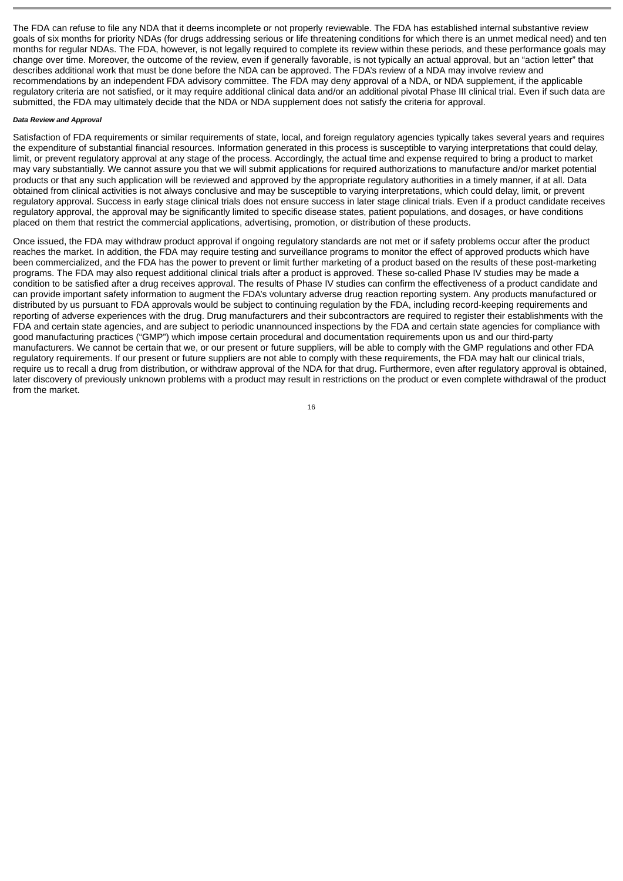The FDA can refuse to file any NDA that it deems incomplete or not properly reviewable. The FDA has established internal substantive review goals of six months for priority NDAs (for drugs addressing serious or life threatening conditions for which there is an unmet medical need) and ten months for regular NDAs. The FDA, however, is not legally required to complete its review within these periods, and these performance goals may change over time. Moreover, the outcome of the review, even if generally favorable, is not typically an actual approval, but an "action letter" that describes additional work that must be done before the NDA can be approved. The FDA's review of a NDA may involve review and recommendations by an independent FDA advisory committee. The FDA may deny approval of a NDA, or NDA supplement, if the applicable regulatory criteria are not satisfied, or it may require additional clinical data and/or an additional pivotal Phase III clinical trial. Even if such data are submitted, the FDA may ultimately decide that the NDA or NDA supplement does not satisfy the criteria for approval.

#### *Data Review and Approval*

Satisfaction of FDA requirements or similar requirements of state, local, and foreign regulatory agencies typically takes several years and requires the expenditure of substantial financial resources. Information generated in this process is susceptible to varying interpretations that could delay, limit, or prevent regulatory approval at any stage of the process. Accordingly, the actual time and expense required to bring a product to market may vary substantially. We cannot assure you that we will submit applications for required authorizations to manufacture and/or market potential products or that any such application will be reviewed and approved by the appropriate regulatory authorities in a timely manner, if at all. Data obtained from clinical activities is not always conclusive and may be susceptible to varying interpretations, which could delay, limit, or prevent regulatory approval. Success in early stage clinical trials does not ensure success in later stage clinical trials. Even if a product candidate receives regulatory approval, the approval may be significantly limited to specific disease states, patient populations, and dosages, or have conditions placed on them that restrict the commercial applications, advertising, promotion, or distribution of these products.

Once issued, the FDA may withdraw product approval if ongoing regulatory standards are not met or if safety problems occur after the product reaches the market. In addition, the FDA may require testing and surveillance programs to monitor the effect of approved products which have been commercialized, and the FDA has the power to prevent or limit further marketing of a product based on the results of these post-marketing programs. The FDA may also request additional clinical trials after a product is approved. These so-called Phase IV studies may be made a condition to be satisfied after a drug receives approval. The results of Phase IV studies can confirm the effectiveness of a product candidate and can provide important safety information to augment the FDA's voluntary adverse drug reaction reporting system. Any products manufactured or distributed by us pursuant to FDA approvals would be subject to continuing regulation by the FDA, including record-keeping requirements and reporting of adverse experiences with the drug. Drug manufacturers and their subcontractors are required to register their establishments with the FDA and certain state agencies, and are subject to periodic unannounced inspections by the FDA and certain state agencies for compliance with good manufacturing practices ("GMP") which impose certain procedural and documentation requirements upon us and our third-party manufacturers. We cannot be certain that we, or our present or future suppliers, will be able to comply with the GMP regulations and other FDA regulatory requirements. If our present or future suppliers are not able to comply with these requirements, the FDA may halt our clinical trials, require us to recall a drug from distribution, or withdraw approval of the NDA for that drug. Furthermore, even after regulatory approval is obtained, later discovery of previously unknown problems with a product may result in restrictions on the product or even complete withdrawal of the product from the market.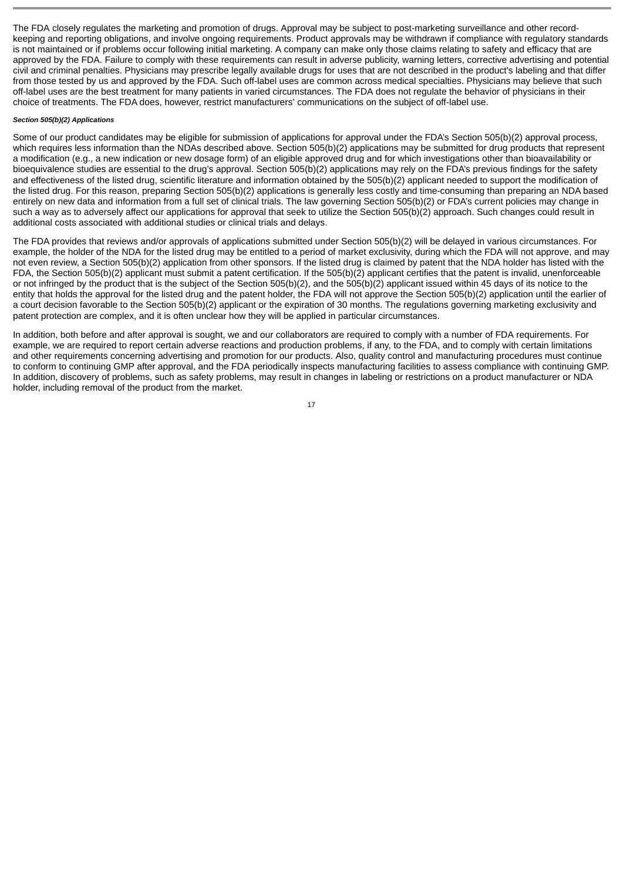The FDA closely regulates the marketing and promotion of drugs. Approval may be subject to post-marketing surveillance and other recordkeeping and reporting obligations, and involve ongoing requirements. Product approvals may be withdrawn if compliance with regulatory standards is not maintained or if problems occur following initial marketing. A company can make only those claims relating to safety and efficacy that are approved by the FDA. Failure to comply with these requirements can result in adverse publicity, warning letters, corrective advertising and potential civil and criminal penalties. Physicians may prescribe legally available drugs for uses that are not described in the product's labeling and that differ from those tested by us and approved by the FDA. Such off-label uses are common across medical specialties. Physicians may believe that such off-label uses are the best treatment for many patients in varied circumstances. The FDA does not regulate the behavior of physicians in their choice of treatments. The FDA does, however, restrict manufacturers' communications on the subject of off-label use.

#### *Section 505(b)(2) Applications*

Some of our product candidates may be eligible for submission of applications for approval under the FDA's Section 505(b)(2) approval process, which requires less information than the NDAs described above. Section 505(b)(2) applications may be submitted for drug products that represent a modification (e.g., a new indication or new dosage form) of an eligible approved drug and for which investigations other than bioavailability or bioequivalence studies are essential to the drug's approval. Section 505(b)(2) applications may rely on the FDA's previous findings for the safety and effectiveness of the listed drug, scientific literature and information obtained by the 505(b)(2) applicant needed to support the modification of the listed drug. For this reason, preparing Section 505(b)(2) applications is generally less costly and time-consuming than preparing an NDA based entirely on new data and information from a full set of clinical trials. The law governing Section 505(b)(2) or FDA's current policies may change in such a way as to adversely affect our applications for approval that seek to utilize the Section 505(b)(2) approach. Such changes could result in additional costs associated with additional studies or clinical trials and delays.

The FDA provides that reviews and/or approvals of applications submitted under Section 505(b)(2) will be delayed in various circumstances. For example, the holder of the NDA for the listed drug may be entitled to a period of market exclusivity, during which the FDA will not approve, and may not even review, a Section 505(b)(2) application from other sponsors. If the listed drug is claimed by patent that the NDA holder has listed with the FDA, the Section 505(b)(2) applicant must submit a patent certification. If the 505(b)(2) applicant certifies that the patent is invalid, unenforceable or not infringed by the product that is the subject of the Section 505(b)(2), and the 505(b)(2) applicant issued within 45 days of its notice to the entity that holds the approval for the listed drug and the patent holder, the FDA will not approve the Section 505(b)(2) application until the earlier of a court decision favorable to the Section 505(b)(2) applicant or the expiration of 30 months. The regulations governing marketing exclusivity and patent protection are complex, and it is often unclear how they will be applied in particular circumstances.

In addition, both before and after approval is sought, we and our collaborators are required to comply with a number of FDA requirements. For example, we are required to report certain adverse reactions and production problems, if any, to the FDA, and to comply with certain limitations and other requirements concerning advertising and promotion for our products. Also, quality control and manufacturing procedures must continue to conform to continuing GMP after approval, and the FDA periodically inspects manufacturing facilities to assess compliance with continuing GMP. In addition, discovery of problems, such as safety problems, may result in changes in labeling or restrictions on a product manufacturer or NDA holder, including removal of the product from the market.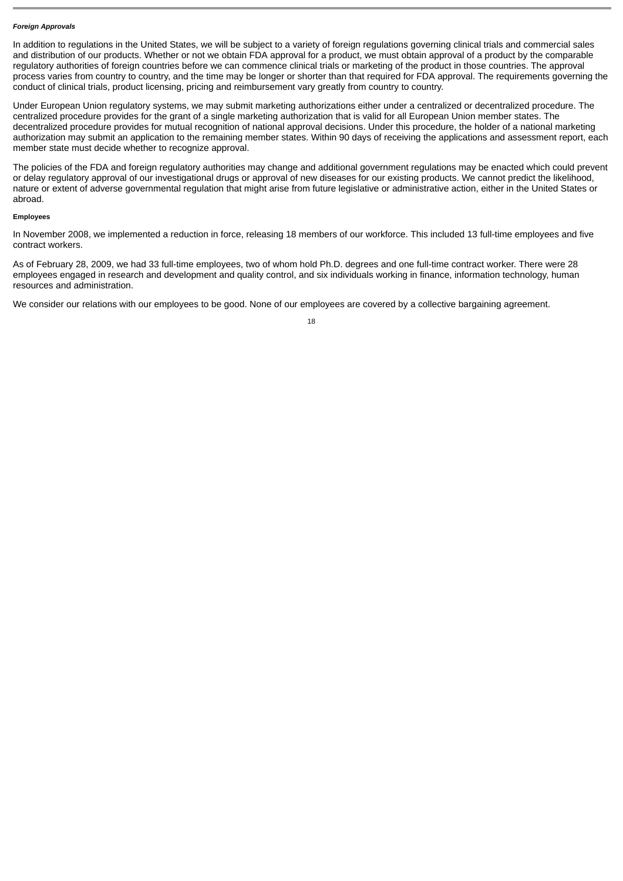#### *Foreign Approvals*

In addition to regulations in the United States, we will be subject to a variety of foreign regulations governing clinical trials and commercial sales and distribution of our products. Whether or not we obtain FDA approval for a product, we must obtain approval of a product by the comparable regulatory authorities of foreign countries before we can commence clinical trials or marketing of the product in those countries. The approval process varies from country to country, and the time may be longer or shorter than that required for FDA approval. The requirements governing the conduct of clinical trials, product licensing, pricing and reimbursement vary greatly from country to country.

Under European Union regulatory systems, we may submit marketing authorizations either under a centralized or decentralized procedure. The centralized procedure provides for the grant of a single marketing authorization that is valid for all European Union member states. The decentralized procedure provides for mutual recognition of national approval decisions. Under this procedure, the holder of a national marketing authorization may submit an application to the remaining member states. Within 90 days of receiving the applications and assessment report, each member state must decide whether to recognize approval.

The policies of the FDA and foreign regulatory authorities may change and additional government regulations may be enacted which could prevent or delay regulatory approval of our investigational drugs or approval of new diseases for our existing products. We cannot predict the likelihood, nature or extent of adverse governmental regulation that might arise from future legislative or administrative action, either in the United States or abroad.

## **Employees**

In November 2008, we implemented a reduction in force, releasing 18 members of our workforce. This included 13 full-time employees and five contract workers.

As of February 28, 2009, we had 33 full-time employees, two of whom hold Ph.D. degrees and one full-time contract worker. There were 28 employees engaged in research and development and quality control, and six individuals working in finance, information technology, human resources and administration.

We consider our relations with our employees to be good. None of our employees are covered by a collective bargaining agreement.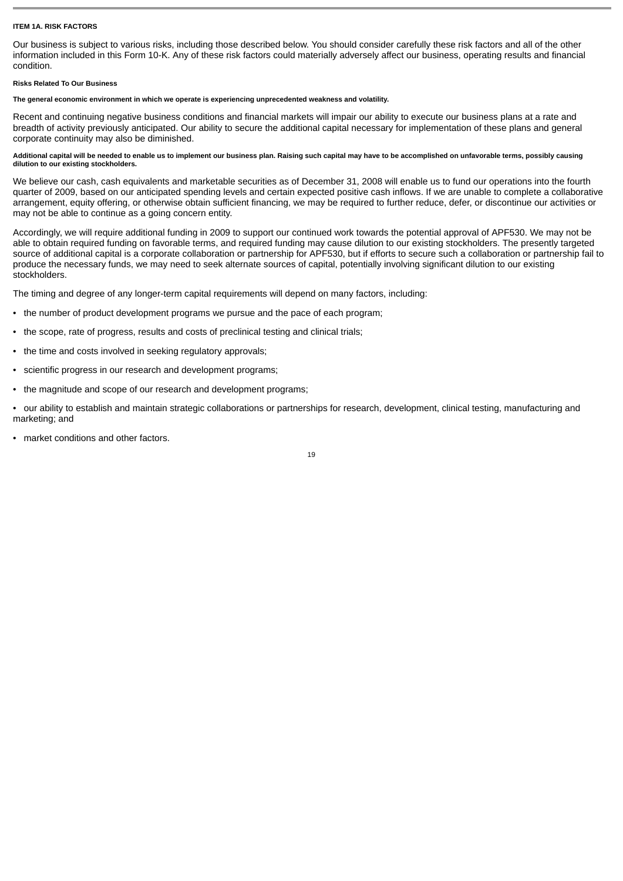#### <span id="page-18-0"></span>**ITEM 1A. RISK FACTORS**

Our business is subject to various risks, including those described below. You should consider carefully these risk factors and all of the other information included in this Form 10-K. Any of these risk factors could materially adversely affect our business, operating results and financial condition.

## **Risks Related To Our Business**

**The general economic environment in which we operate is experiencing unprecedented weakness and volatility.**

Recent and continuing negative business conditions and financial markets will impair our ability to execute our business plans at a rate and breadth of activity previously anticipated. Our ability to secure the additional capital necessary for implementation of these plans and general corporate continuity may also be diminished.

## **Additional capital will be needed to enable us to implement our business plan. Raising such capital may have to be accomplished on unfavorable terms, possibly causing dilution to our existing stockholders.**

We believe our cash, cash equivalents and marketable securities as of December 31, 2008 will enable us to fund our operations into the fourth quarter of 2009, based on our anticipated spending levels and certain expected positive cash inflows. If we are unable to complete a collaborative arrangement, equity offering, or otherwise obtain sufficient financing, we may be required to further reduce, defer, or discontinue our activities or may not be able to continue as a going concern entity.

Accordingly, we will require additional funding in 2009 to support our continued work towards the potential approval of APF530. We may not be able to obtain required funding on favorable terms, and required funding may cause dilution to our existing stockholders. The presently targeted source of additional capital is a corporate collaboration or partnership for APF530, but if efforts to secure such a collaboration or partnership fail to produce the necessary funds, we may need to seek alternate sources of capital, potentially involving significant dilution to our existing stockholders.

The timing and degree of any longer-term capital requirements will depend on many factors, including:

- the number of product development programs we pursue and the pace of each program;
- the scope, rate of progress, results and costs of preclinical testing and clinical trials;
- the time and costs involved in seeking regulatory approvals;
- scientific progress in our research and development programs;
- the magnitude and scope of our research and development programs;
- our ability to establish and maintain strategic collaborations or partnerships for research, development, clinical testing, manufacturing and marketing; and
- market conditions and other factors.

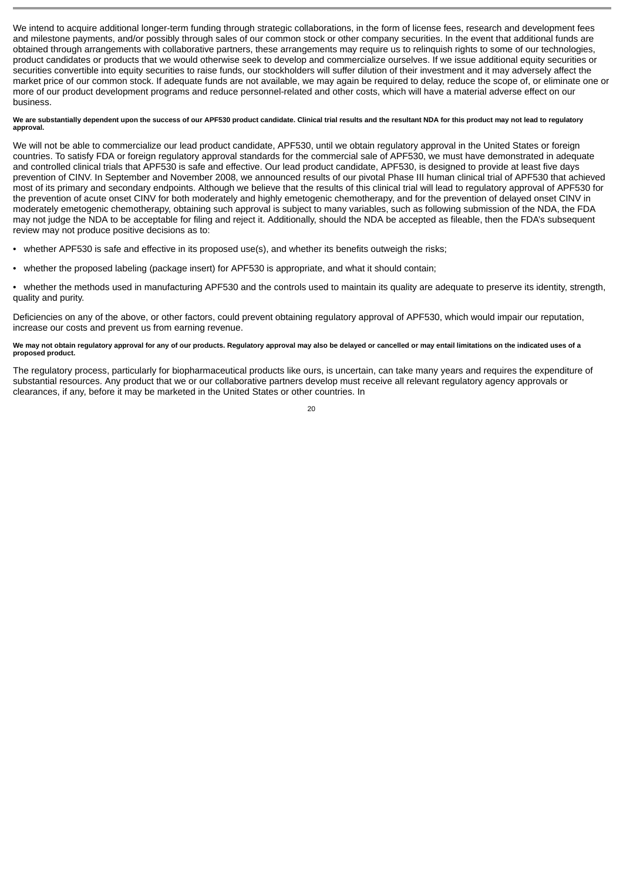We intend to acquire additional longer-term funding through strategic collaborations, in the form of license fees, research and development fees and milestone payments, and/or possibly through sales of our common stock or other company securities. In the event that additional funds are obtained through arrangements with collaborative partners, these arrangements may require us to relinquish rights to some of our technologies, product candidates or products that we would otherwise seek to develop and commercialize ourselves. If we issue additional equity securities or securities convertible into equity securities to raise funds, our stockholders will suffer dilution of their investment and it may adversely affect the market price of our common stock. If adequate funds are not available, we may again be required to delay, reduce the scope of, or eliminate one or more of our product development programs and reduce personnel-related and other costs, which will have a material adverse effect on our business.

#### **We are substantially dependent upon the success of our APF530 product candidate. Clinical trial results and the resultant NDA for this product may not lead to regulatory approval.**

We will not be able to commercialize our lead product candidate, APF530, until we obtain regulatory approval in the United States or foreign countries. To satisfy FDA or foreign regulatory approval standards for the commercial sale of APF530, we must have demonstrated in adequate and controlled clinical trials that APF530 is safe and effective. Our lead product candidate, APF530, is designed to provide at least five days prevention of CINV. In September and November 2008, we announced results of our pivotal Phase III human clinical trial of APF530 that achieved most of its primary and secondary endpoints. Although we believe that the results of this clinical trial will lead to regulatory approval of APF530 for the prevention of acute onset CINV for both moderately and highly emetogenic chemotherapy, and for the prevention of delayed onset CINV in moderately emetogenic chemotherapy, obtaining such approval is subject to many variables, such as following submission of the NDA, the FDA may not judge the NDA to be acceptable for filing and reject it. Additionally, should the NDA be accepted as fileable, then the FDA's subsequent review may not produce positive decisions as to:

- whether APF530 is safe and effective in its proposed use(s), and whether its benefits outweigh the risks;
- whether the proposed labeling (package insert) for APF530 is appropriate, and what it should contain;
- whether the methods used in manufacturing APF530 and the controls used to maintain its quality are adequate to preserve its identity, strength, quality and purity.

Deficiencies on any of the above, or other factors, could prevent obtaining regulatory approval of APF530, which would impair our reputation, increase our costs and prevent us from earning revenue.

## **We may not obtain regulatory approval for any of our products. Regulatory approval may also be delayed or cancelled or may entail limitations on the indicated uses of a proposed product.**

The regulatory process, particularly for biopharmaceutical products like ours, is uncertain, can take many years and requires the expenditure of substantial resources. Any product that we or our collaborative partners develop must receive all relevant regulatory agency approvals or clearances, if any, before it may be marketed in the United States or other countries. In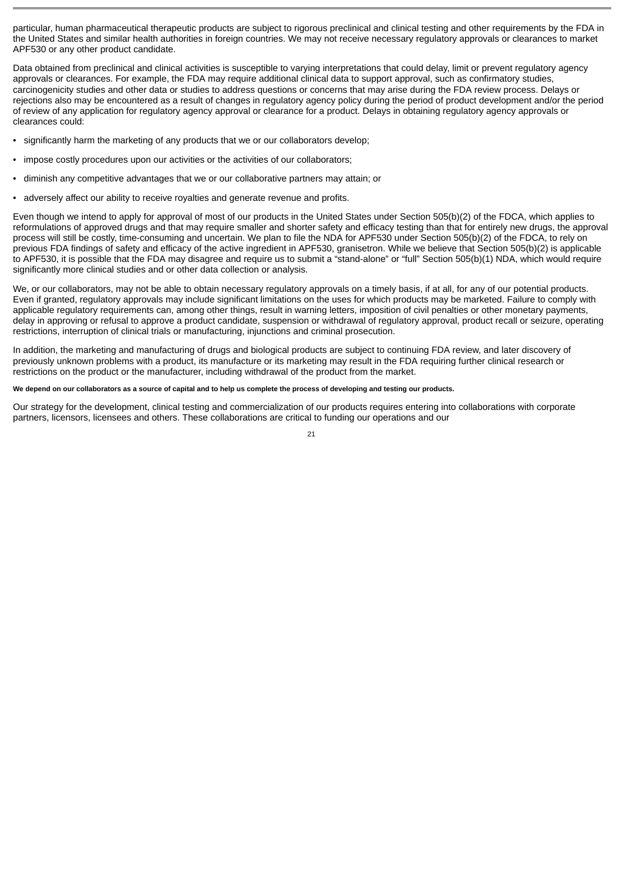particular, human pharmaceutical therapeutic products are subject to rigorous preclinical and clinical testing and other requirements by the FDA in the United States and similar health authorities in foreign countries. We may not receive necessary regulatory approvals or clearances to market APF530 or any other product candidate.

Data obtained from preclinical and clinical activities is susceptible to varying interpretations that could delay, limit or prevent regulatory agency approvals or clearances. For example, the FDA may require additional clinical data to support approval, such as confirmatory studies, carcinogenicity studies and other data or studies to address questions or concerns that may arise during the FDA review process. Delays or rejections also may be encountered as a result of changes in regulatory agency policy during the period of product development and/or the period of review of any application for regulatory agency approval or clearance for a product. Delays in obtaining regulatory agency approvals or clearances could:

- significantly harm the marketing of any products that we or our collaborators develop;
- impose costly procedures upon our activities or the activities of our collaborators;
- diminish any competitive advantages that we or our collaborative partners may attain; or
- adversely affect our ability to receive royalties and generate revenue and profits.

Even though we intend to apply for approval of most of our products in the United States under Section 505(b)(2) of the FDCA, which applies to reformulations of approved drugs and that may require smaller and shorter safety and efficacy testing than that for entirely new drugs, the approval process will still be costly, time-consuming and uncertain. We plan to file the NDA for APF530 under Section 505(b)(2) of the FDCA, to rely on previous FDA findings of safety and efficacy of the active ingredient in APF530, granisetron. While we believe that Section 505(b)(2) is applicable to APF530, it is possible that the FDA may disagree and require us to submit a "stand-alone" or "full" Section 505(b)(1) NDA, which would require significantly more clinical studies and or other data collection or analysis.

We, or our collaborators, may not be able to obtain necessary regulatory approvals on a timely basis, if at all, for any of our potential products. Even if granted, regulatory approvals may include significant limitations on the uses for which products may be marketed. Failure to comply with applicable regulatory requirements can, among other things, result in warning letters, imposition of civil penalties or other monetary payments, delay in approving or refusal to approve a product candidate, suspension or withdrawal of regulatory approval, product recall or seizure, operating restrictions, interruption of clinical trials or manufacturing, injunctions and criminal prosecution.

In addition, the marketing and manufacturing of drugs and biological products are subject to continuing FDA review, and later discovery of previously unknown problems with a product, its manufacture or its marketing may result in the FDA requiring further clinical research or restrictions on the product or the manufacturer, including withdrawal of the product from the market.

**We depend on our collaborators as a source of capital and to help us complete the process of developing and testing our products.**

Our strategy for the development, clinical testing and commercialization of our products requires entering into collaborations with corporate partners, licensors, licensees and others. These collaborations are critical to funding our operations and our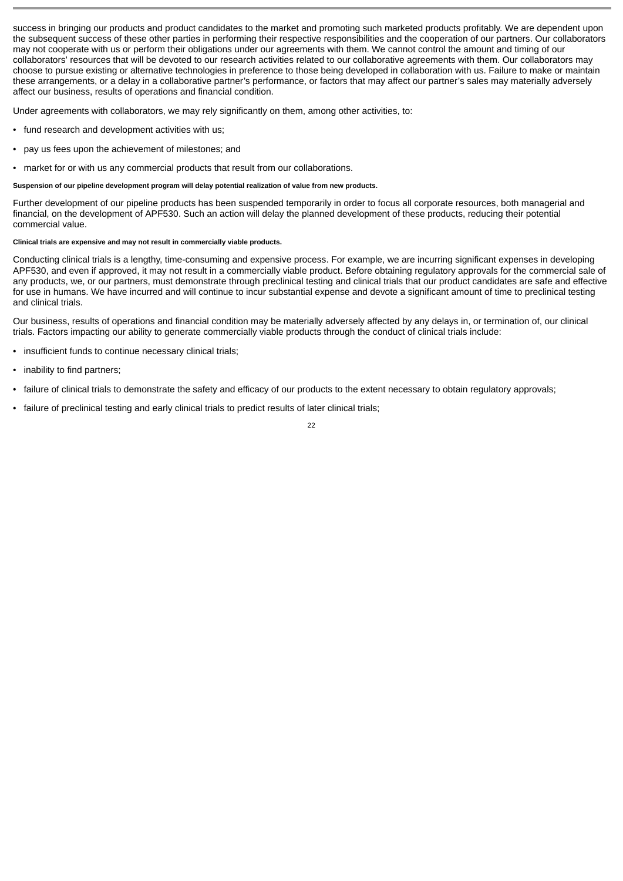success in bringing our products and product candidates to the market and promoting such marketed products profitably. We are dependent upon the subsequent success of these other parties in performing their respective responsibilities and the cooperation of our partners. Our collaborators may not cooperate with us or perform their obligations under our agreements with them. We cannot control the amount and timing of our collaborators' resources that will be devoted to our research activities related to our collaborative agreements with them. Our collaborators may choose to pursue existing or alternative technologies in preference to those being developed in collaboration with us. Failure to make or maintain these arrangements, or a delay in a collaborative partner's performance, or factors that may affect our partner's sales may materially adversely affect our business, results of operations and financial condition.

Under agreements with collaborators, we may rely significantly on them, among other activities, to:

- fund research and development activities with us;
- pay us fees upon the achievement of milestones; and
- market for or with us any commercial products that result from our collaborations.

## **Suspension of our pipeline development program will delay potential realization of value from new products.**

Further development of our pipeline products has been suspended temporarily in order to focus all corporate resources, both managerial and financial, on the development of APF530. Such an action will delay the planned development of these products, reducing their potential commercial value.

## **Clinical trials are expensive and may not result in commercially viable products.**

Conducting clinical trials is a lengthy, time-consuming and expensive process. For example, we are incurring significant expenses in developing APF530, and even if approved, it may not result in a commercially viable product. Before obtaining regulatory approvals for the commercial sale of any products, we, or our partners, must demonstrate through preclinical testing and clinical trials that our product candidates are safe and effective for use in humans. We have incurred and will continue to incur substantial expense and devote a significant amount of time to preclinical testing and clinical trials.

Our business, results of operations and financial condition may be materially adversely affected by any delays in, or termination of, our clinical trials. Factors impacting our ability to generate commercially viable products through the conduct of clinical trials include:

- insufficient funds to continue necessary clinical trials;
- inability to find partners;
- failure of clinical trials to demonstrate the safety and efficacy of our products to the extent necessary to obtain regulatory approvals;
- failure of preclinical testing and early clinical trials to predict results of later clinical trials;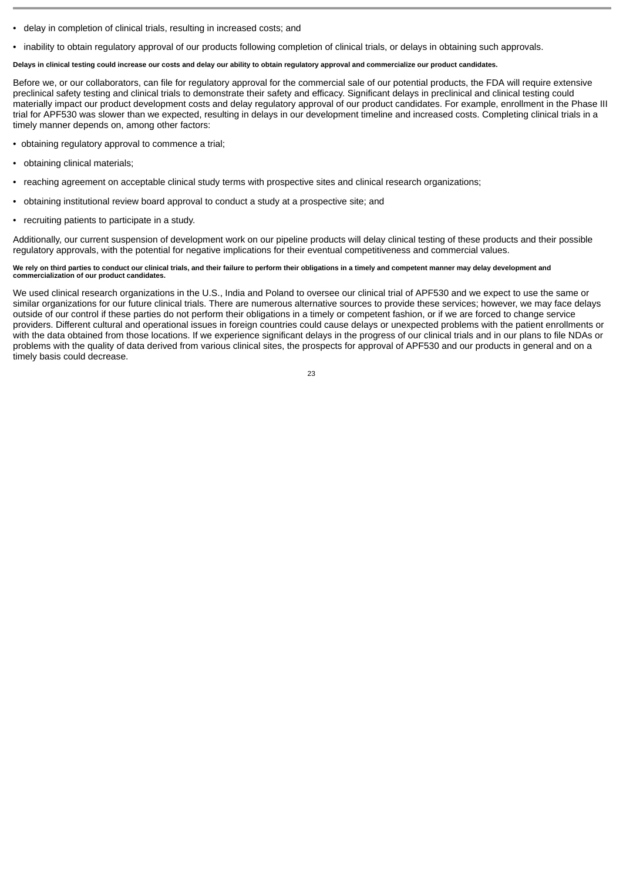- delay in completion of clinical trials, resulting in increased costs; and
- inability to obtain regulatory approval of our products following completion of clinical trials, or delays in obtaining such approvals.

# **Delays in clinical testing could increase our costs and delay our ability to obtain regulatory approval and commercialize our product candidates.**

Before we, or our collaborators, can file for regulatory approval for the commercial sale of our potential products, the FDA will require extensive preclinical safety testing and clinical trials to demonstrate their safety and efficacy. Significant delays in preclinical and clinical testing could materially impact our product development costs and delay regulatory approval of our product candidates. For example, enrollment in the Phase III trial for APF530 was slower than we expected, resulting in delays in our development timeline and increased costs. Completing clinical trials in a timely manner depends on, among other factors:

- obtaining regulatory approval to commence a trial;
- obtaining clinical materials;
- reaching agreement on acceptable clinical study terms with prospective sites and clinical research organizations;
- obtaining institutional review board approval to conduct a study at a prospective site; and
- recruiting patients to participate in a study.

Additionally, our current suspension of development work on our pipeline products will delay clinical testing of these products and their possible regulatory approvals, with the potential for negative implications for their eventual competitiveness and commercial values.

## **We rely on third parties to conduct our clinical trials, and their failure to perform their obligations in a timely and competent manner may delay development and commercialization of our product candidates.**

We used clinical research organizations in the U.S., India and Poland to oversee our clinical trial of APF530 and we expect to use the same or similar organizations for our future clinical trials. There are numerous alternative sources to provide these services; however, we may face delays outside of our control if these parties do not perform their obligations in a timely or competent fashion, or if we are forced to change service providers. Different cultural and operational issues in foreign countries could cause delays or unexpected problems with the patient enrollments or with the data obtained from those locations. If we experience significant delays in the progress of our clinical trials and in our plans to file NDAs or problems with the quality of data derived from various clinical sites, the prospects for approval of APF530 and our products in general and on a timely basis could decrease.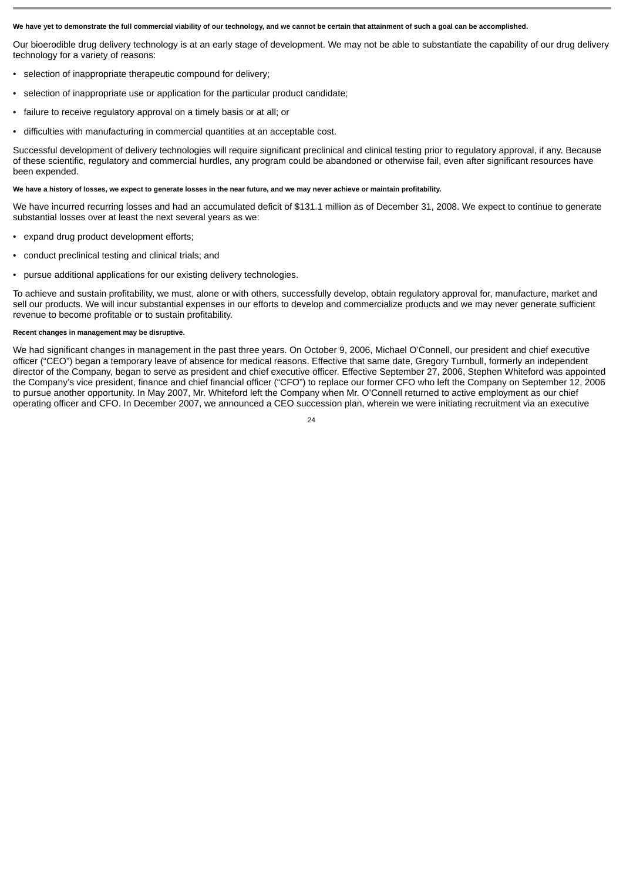**We have yet to demonstrate the full commercial viability of our technology, and we cannot be certain that attainment of such a goal can be accomplished.**

Our bioerodible drug delivery technology is at an early stage of development. We may not be able to substantiate the capability of our drug delivery technology for a variety of reasons:

- selection of inappropriate therapeutic compound for delivery;
- selection of inappropriate use or application for the particular product candidate;
- failure to receive regulatory approval on a timely basis or at all; or
- difficulties with manufacturing in commercial quantities at an acceptable cost.

Successful development of delivery technologies will require significant preclinical and clinical testing prior to regulatory approval, if any. Because of these scientific, regulatory and commercial hurdles, any program could be abandoned or otherwise fail, even after significant resources have been expended.

**We have a history of losses, we expect to generate losses in the near future, and we may never achieve or maintain profitability.**

We have incurred recurring losses and had an accumulated deficit of \$131.1 million as of December 31, 2008. We expect to continue to generate substantial losses over at least the next several years as we:

- expand drug product development efforts;
- conduct preclinical testing and clinical trials; and
- pursue additional applications for our existing delivery technologies.

To achieve and sustain profitability, we must, alone or with others, successfully develop, obtain regulatory approval for, manufacture, market and sell our products. We will incur substantial expenses in our efforts to develop and commercialize products and we may never generate sufficient revenue to become profitable or to sustain profitability.

## **Recent changes in management may be disruptive.**

We had significant changes in management in the past three years. On October 9, 2006, Michael O'Connell, our president and chief executive officer ("CEO") began a temporary leave of absence for medical reasons. Effective that same date, Gregory Turnbull, formerly an independent director of the Company, began to serve as president and chief executive officer. Effective September 27, 2006, Stephen Whiteford was appointed the Company's vice president, finance and chief financial officer ("CFO") to replace our former CFO who left the Company on September 12, 2006 to pursue another opportunity. In May 2007, Mr. Whiteford left the Company when Mr. O'Connell returned to active employment as our chief operating officer and CFO. In December 2007, we announced a CEO succession plan, wherein we were initiating recruitment via an executive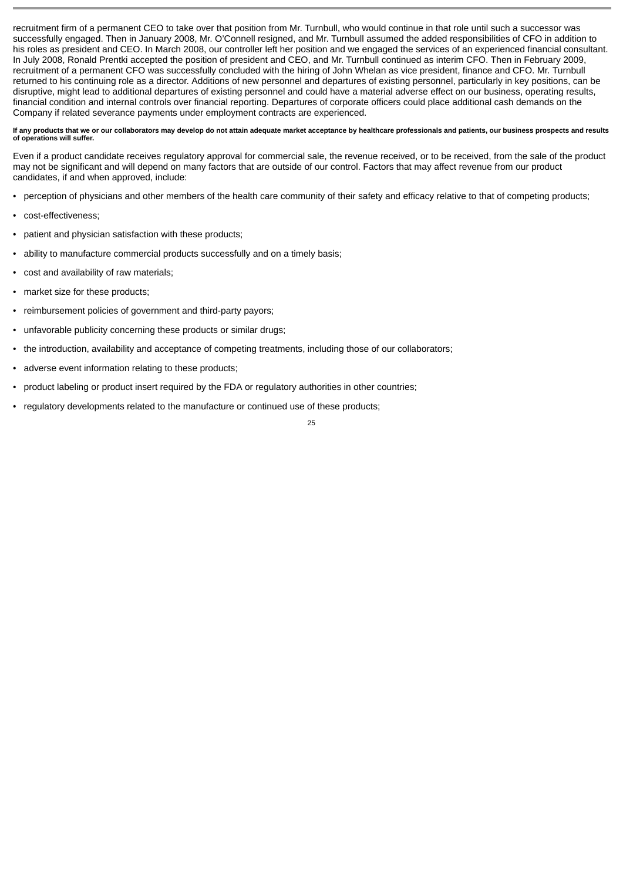recruitment firm of a permanent CEO to take over that position from Mr. Turnbull, who would continue in that role until such a successor was successfully engaged. Then in January 2008, Mr. O'Connell resigned, and Mr. Turnbull assumed the added responsibilities of CFO in addition to his roles as president and CEO. In March 2008, our controller left her position and we engaged the services of an experienced financial consultant. In July 2008, Ronald Prentki accepted the position of president and CEO, and Mr. Turnbull continued as interim CFO. Then in February 2009, recruitment of a permanent CFO was successfully concluded with the hiring of John Whelan as vice president, finance and CFO. Mr. Turnbull returned to his continuing role as a director. Additions of new personnel and departures of existing personnel, particularly in key positions, can be disruptive, might lead to additional departures of existing personnel and could have a material adverse effect on our business, operating results, financial condition and internal controls over financial reporting. Departures of corporate officers could place additional cash demands on the Company if related severance payments under employment contracts are experienced.

**If any products that we or our collaborators may develop do not attain adequate market acceptance by healthcare professionals and patients, our business prospects and results of operations will suffer.**

Even if a product candidate receives regulatory approval for commercial sale, the revenue received, or to be received, from the sale of the product may not be significant and will depend on many factors that are outside of our control. Factors that may affect revenue from our product candidates, if and when approved, include:

- perception of physicians and other members of the health care community of their safety and efficacy relative to that of competing products;
- cost-effectiveness;
- patient and physician satisfaction with these products;
- ability to manufacture commercial products successfully and on a timely basis:
- cost and availability of raw materials;
- market size for these products;
- reimbursement policies of government and third-party payors;
- unfavorable publicity concerning these products or similar drugs;
- the introduction, availability and acceptance of competing treatments, including those of our collaborators;
- adverse event information relating to these products;
- product labeling or product insert required by the FDA or regulatory authorities in other countries;
- regulatory developments related to the manufacture or continued use of these products;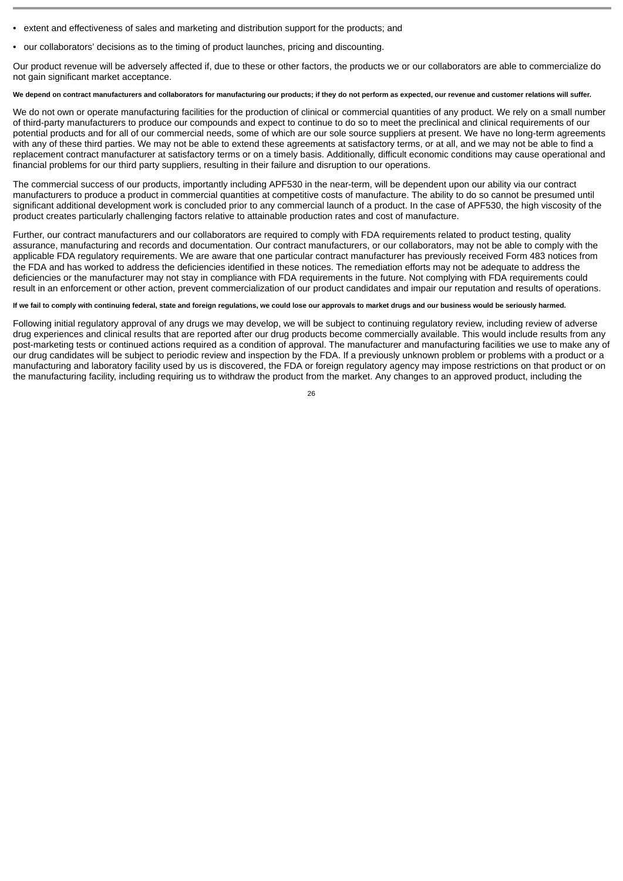- extent and effectiveness of sales and marketing and distribution support for the products; and
- our collaborators' decisions as to the timing of product launches, pricing and discounting.

Our product revenue will be adversely affected if, due to these or other factors, the products we or our collaborators are able to commercialize do not gain significant market acceptance.

## **We depend on contract manufacturers and collaborators for manufacturing our products; if they do not perform as expected, our revenue and customer relations will suffer.**

We do not own or operate manufacturing facilities for the production of clinical or commercial quantities of any product. We rely on a small number of third-party manufacturers to produce our compounds and expect to continue to do so to meet the preclinical and clinical requirements of our potential products and for all of our commercial needs, some of which are our sole source suppliers at present. We have no long-term agreements with any of these third parties. We may not be able to extend these agreements at satisfactory terms, or at all, and we may not be able to find a replacement contract manufacturer at satisfactory terms or on a timely basis. Additionally, difficult economic conditions may cause operational and financial problems for our third party suppliers, resulting in their failure and disruption to our operations.

The commercial success of our products, importantly including APF530 in the near-term, will be dependent upon our ability via our contract manufacturers to produce a product in commercial quantities at competitive costs of manufacture. The ability to do so cannot be presumed until significant additional development work is concluded prior to any commercial launch of a product. In the case of APF530, the high viscosity of the product creates particularly challenging factors relative to attainable production rates and cost of manufacture.

Further, our contract manufacturers and our collaborators are required to comply with FDA requirements related to product testing, quality assurance, manufacturing and records and documentation. Our contract manufacturers, or our collaborators, may not be able to comply with the applicable FDA regulatory requirements. We are aware that one particular contract manufacturer has previously received Form 483 notices from the FDA and has worked to address the deficiencies identified in these notices. The remediation efforts may not be adequate to address the deficiencies or the manufacturer may not stay in compliance with FDA requirements in the future. Not complying with FDA requirements could result in an enforcement or other action, prevent commercialization of our product candidates and impair our reputation and results of operations.

## **If we fail to comply with continuing federal, state and foreign regulations, we could lose our approvals to market drugs and our business would be seriously harmed.**

Following initial regulatory approval of any drugs we may develop, we will be subject to continuing regulatory review, including review of adverse drug experiences and clinical results that are reported after our drug products become commercially available. This would include results from any post-marketing tests or continued actions required as a condition of approval. The manufacturer and manufacturing facilities we use to make any of our drug candidates will be subject to periodic review and inspection by the FDA. If a previously unknown problem or problems with a product or a manufacturing and laboratory facility used by us is discovered, the FDA or foreign regulatory agency may impose restrictions on that product or on the manufacturing facility, including requiring us to withdraw the product from the market. Any changes to an approved product, including the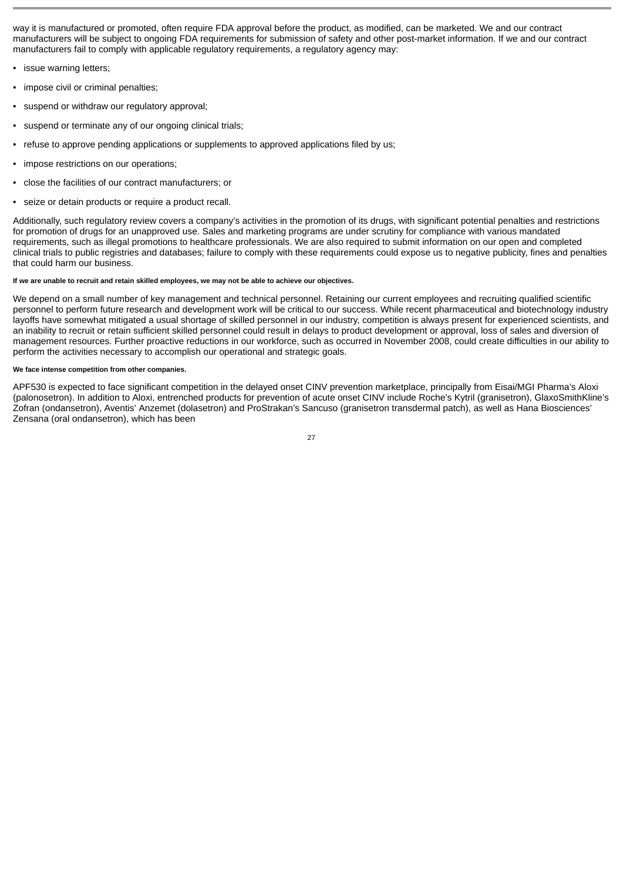way it is manufactured or promoted, often require FDA approval before the product, as modified, can be marketed. We and our contract manufacturers will be subject to ongoing FDA requirements for submission of safety and other post-market information. If we and our contract manufacturers fail to comply with applicable regulatory requirements, a regulatory agency may:

- issue warning letters:
- impose civil or criminal penalties;
- suspend or withdraw our regulatory approval;
- suspend or terminate any of our ongoing clinical trials:
- refuse to approve pending applications or supplements to approved applications filed by us;
- impose restrictions on our operations;
- close the facilities of our contract manufacturers; or
- seize or detain products or require a product recall.

Additionally, such regulatory review covers a company's activities in the promotion of its drugs, with significant potential penalties and restrictions for promotion of drugs for an unapproved use. Sales and marketing programs are under scrutiny for compliance with various mandated requirements, such as illegal promotions to healthcare professionals. We are also required to submit information on our open and completed clinical trials to public registries and databases; failure to comply with these requirements could expose us to negative publicity, fines and penalties that could harm our business.

## **If we are unable to recruit and retain skilled employees, we may not be able to achieve our objectives.**

We depend on a small number of key management and technical personnel. Retaining our current employees and recruiting qualified scientific personnel to perform future research and development work will be critical to our success. While recent pharmaceutical and biotechnology industry layoffs have somewhat mitigated a usual shortage of skilled personnel in our industry, competition is always present for experienced scientists, and an inability to recruit or retain sufficient skilled personnel could result in delays to product development or approval, loss of sales and diversion of management resources. Further proactive reductions in our workforce, such as occurred in November 2008, could create difficulties in our ability to perform the activities necessary to accomplish our operational and strategic goals.

#### **We face intense competition from other companies.**

APF530 is expected to face significant competition in the delayed onset CINV prevention marketplace, principally from Eisai/MGI Pharma's Aloxi (palonosetron). In addition to Aloxi, entrenched products for prevention of acute onset CINV include Roche's Kytril (granisetron), GlaxoSmithKline's Zofran (ondansetron), Aventis' Anzemet (dolasetron) and ProStrakan's Sancuso (granisetron transdermal patch), as well as Hana Biosciences' Zensana (oral ondansetron), which has been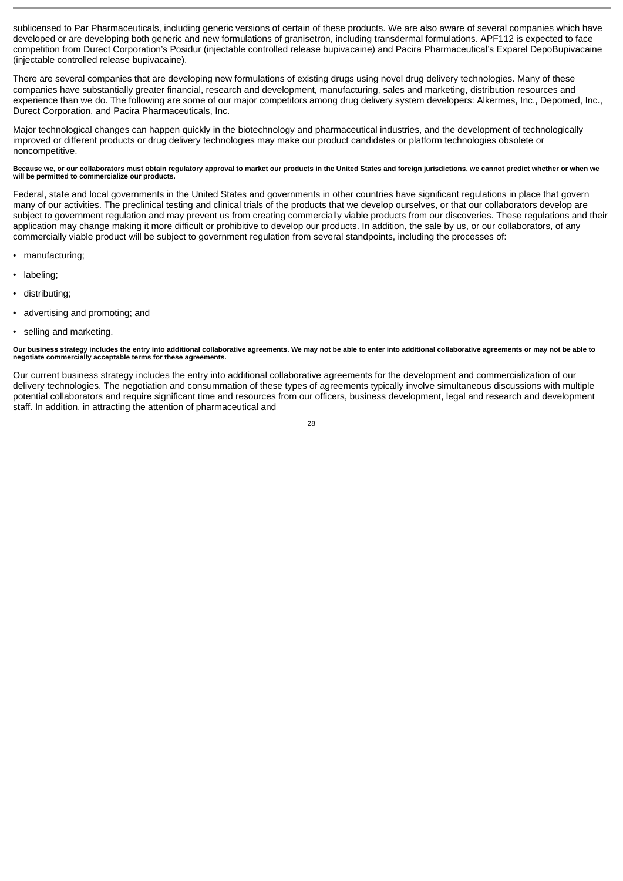sublicensed to Par Pharmaceuticals, including generic versions of certain of these products. We are also aware of several companies which have developed or are developing both generic and new formulations of granisetron, including transdermal formulations. APF112 is expected to face competition from Durect Corporation's Posidur (injectable controlled release bupivacaine) and Pacira Pharmaceutical's Exparel DepoBupivacaine (injectable controlled release bupivacaine).

There are several companies that are developing new formulations of existing drugs using novel drug delivery technologies. Many of these companies have substantially greater financial, research and development, manufacturing, sales and marketing, distribution resources and experience than we do. The following are some of our major competitors among drug delivery system developers: Alkermes, Inc., Depomed, Inc., Durect Corporation, and Pacira Pharmaceuticals, Inc.

Major technological changes can happen quickly in the biotechnology and pharmaceutical industries, and the development of technologically improved or different products or drug delivery technologies may make our product candidates or platform technologies obsolete or noncompetitive.

## **Because we, or our collaborators must obtain regulatory approval to market our products in the United States and foreign jurisdictions, we cannot predict whether or when we will be permitted to commercialize our products.**

Federal, state and local governments in the United States and governments in other countries have significant regulations in place that govern many of our activities. The preclinical testing and clinical trials of the products that we develop ourselves, or that our collaborators develop are subject to government regulation and may prevent us from creating commercially viable products from our discoveries. These regulations and their application may change making it more difficult or prohibitive to develop our products. In addition, the sale by us, or our collaborators, of any commercially viable product will be subject to government regulation from several standpoints, including the processes of:

- manufacturing;
- labeling:
- distributing:
- advertising and promoting; and
- selling and marketing.

**Our business strategy includes the entry into additional collaborative agreements. We may not be able to enter into additional collaborative agreements or may not be able to negotiate commercially acceptable terms for these agreements.**

Our current business strategy includes the entry into additional collaborative agreements for the development and commercialization of our delivery technologies. The negotiation and consummation of these types of agreements typically involve simultaneous discussions with multiple potential collaborators and require significant time and resources from our officers, business development, legal and research and development staff. In addition, in attracting the attention of pharmaceutical and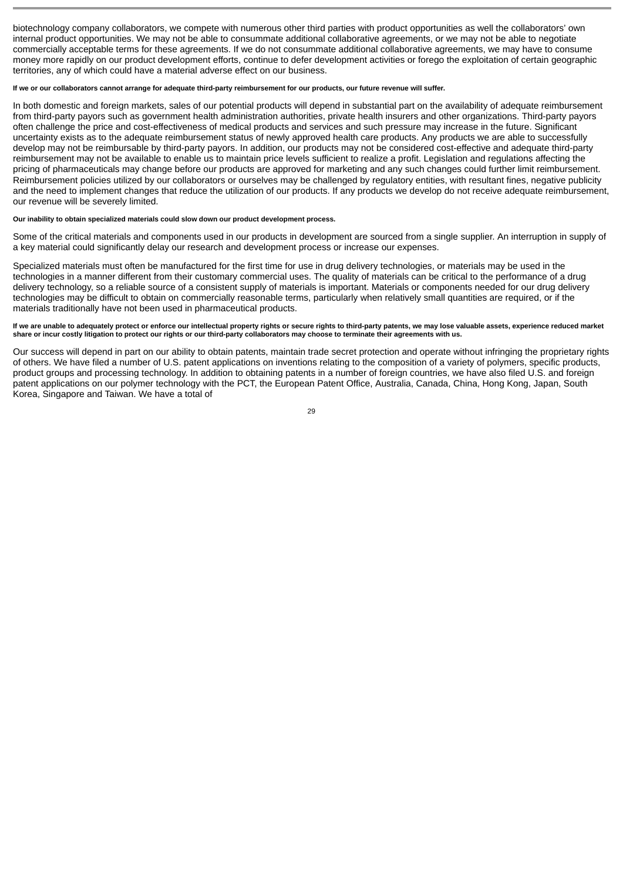biotechnology company collaborators, we compete with numerous other third parties with product opportunities as well the collaborators' own internal product opportunities. We may not be able to consummate additional collaborative agreements, or we may not be able to negotiate commercially acceptable terms for these agreements. If we do not consummate additional collaborative agreements, we may have to consume money more rapidly on our product development efforts, continue to defer development activities or forego the exploitation of certain geographic territories, any of which could have a material adverse effect on our business.

**If we or our collaborators cannot arrange for adequate third-party reimbursement for our products, our future revenue will suffer.**

In both domestic and foreign markets, sales of our potential products will depend in substantial part on the availability of adequate reimbursement from third-party payors such as government health administration authorities, private health insurers and other organizations. Third-party payors often challenge the price and cost-effectiveness of medical products and services and such pressure may increase in the future. Significant uncertainty exists as to the adequate reimbursement status of newly approved health care products. Any products we are able to successfully develop may not be reimbursable by third-party payors. In addition, our products may not be considered cost-effective and adequate third-party reimbursement may not be available to enable us to maintain price levels sufficient to realize a profit. Legislation and regulations affecting the pricing of pharmaceuticals may change before our products are approved for marketing and any such changes could further limit reimbursement. Reimbursement policies utilized by our collaborators or ourselves may be challenged by regulatory entities, with resultant fines, negative publicity and the need to implement changes that reduce the utilization of our products. If any products we develop do not receive adequate reimbursement, our revenue will be severely limited.

## **Our inability to obtain specialized materials could slow down our product development process.**

Some of the critical materials and components used in our products in development are sourced from a single supplier. An interruption in supply of a key material could significantly delay our research and development process or increase our expenses.

Specialized materials must often be manufactured for the first time for use in drug delivery technologies, or materials may be used in the technologies in a manner different from their customary commercial uses. The quality of materials can be critical to the performance of a drug delivery technology, so a reliable source of a consistent supply of materials is important. Materials or components needed for our drug delivery technologies may be difficult to obtain on commercially reasonable terms, particularly when relatively small quantities are required, or if the materials traditionally have not been used in pharmaceutical products.

#### **If we are unable to adequately protect or enforce our intellectual property rights or secure rights to third-party patents, we may lose valuable assets, experience reduced market share or incur costly litigation to protect our rights or our third-party collaborators may choose to terminate their agreements with us.**

Our success will depend in part on our ability to obtain patents, maintain trade secret protection and operate without infringing the proprietary rights of others. We have filed a number of U.S. patent applications on inventions relating to the composition of a variety of polymers, specific products, product groups and processing technology. In addition to obtaining patents in a number of foreign countries, we have also filed U.S. and foreign patent applications on our polymer technology with the PCT, the European Patent Office, Australia, Canada, China, Hong Kong, Japan, South Korea, Singapore and Taiwan. We have a total of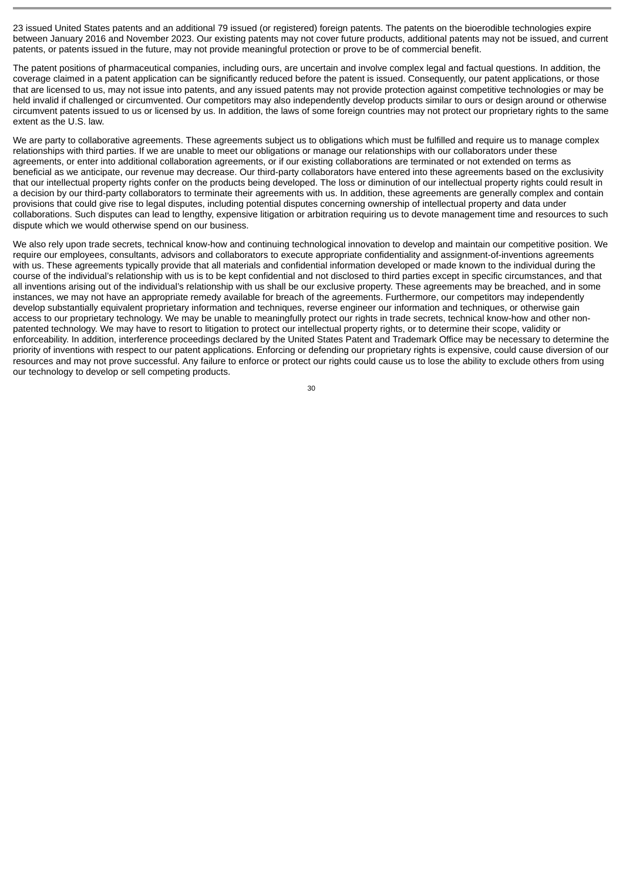23 issued United States patents and an additional 79 issued (or registered) foreign patents. The patents on the bioerodible technologies expire between January 2016 and November 2023. Our existing patents may not cover future products, additional patents may not be issued, and current patents, or patents issued in the future, may not provide meaningful protection or prove to be of commercial benefit.

The patent positions of pharmaceutical companies, including ours, are uncertain and involve complex legal and factual questions. In addition, the coverage claimed in a patent application can be significantly reduced before the patent is issued. Consequently, our patent applications, or those that are licensed to us, may not issue into patents, and any issued patents may not provide protection against competitive technologies or may be held invalid if challenged or circumvented. Our competitors may also independently develop products similar to ours or design around or otherwise circumvent patents issued to us or licensed by us. In addition, the laws of some foreign countries may not protect our proprietary rights to the same extent as the U.S. law.

We are party to collaborative agreements. These agreements subject us to obligations which must be fulfilled and require us to manage complex relationships with third parties. If we are unable to meet our obligations or manage our relationships with our collaborators under these agreements, or enter into additional collaboration agreements, or if our existing collaborations are terminated or not extended on terms as beneficial as we anticipate, our revenue may decrease. Our third-party collaborators have entered into these agreements based on the exclusivity that our intellectual property rights confer on the products being developed. The loss or diminution of our intellectual property rights could result in a decision by our third-party collaborators to terminate their agreements with us. In addition, these agreements are generally complex and contain provisions that could give rise to legal disputes, including potential disputes concerning ownership of intellectual property and data under collaborations. Such disputes can lead to lengthy, expensive litigation or arbitration requiring us to devote management time and resources to such dispute which we would otherwise spend on our business.

We also rely upon trade secrets, technical know-how and continuing technological innovation to develop and maintain our competitive position. We require our employees, consultants, advisors and collaborators to execute appropriate confidentiality and assignment-of-inventions agreements with us. These agreements typically provide that all materials and confidential information developed or made known to the individual during the course of the individual's relationship with us is to be kept confidential and not disclosed to third parties except in specific circumstances, and that all inventions arising out of the individual's relationship with us shall be our exclusive property. These agreements may be breached, and in some instances, we may not have an appropriate remedy available for breach of the agreements. Furthermore, our competitors may independently develop substantially equivalent proprietary information and techniques, reverse engineer our information and techniques, or otherwise gain access to our proprietary technology. We may be unable to meaningfully protect our rights in trade secrets, technical know-how and other nonpatented technology. We may have to resort to litigation to protect our intellectual property rights, or to determine their scope, validity or enforceability. In addition, interference proceedings declared by the United States Patent and Trademark Office may be necessary to determine the priority of inventions with respect to our patent applications. Enforcing or defending our proprietary rights is expensive, could cause diversion of our resources and may not prove successful. Any failure to enforce or protect our rights could cause us to lose the ability to exclude others from using our technology to develop or sell competing products.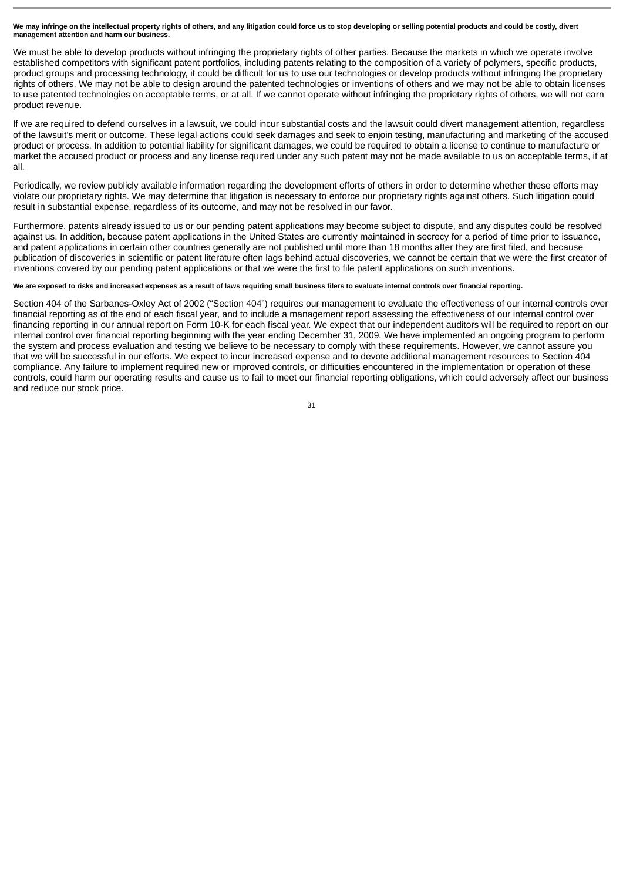We may infringe on the intellectual property rights of others, and any litigation could force us to stop developing or selling potential products and could be costly, divert **management attention and harm our business.**

We must be able to develop products without infringing the proprietary rights of other parties. Because the markets in which we operate involve established competitors with significant patent portfolios, including patents relating to the composition of a variety of polymers, specific products, product groups and processing technology, it could be difficult for us to use our technologies or develop products without infringing the proprietary rights of others. We may not be able to design around the patented technologies or inventions of others and we may not be able to obtain licenses to use patented technologies on acceptable terms, or at all. If we cannot operate without infringing the proprietary rights of others, we will not earn product revenue.

If we are required to defend ourselves in a lawsuit, we could incur substantial costs and the lawsuit could divert management attention, regardless of the lawsuit's merit or outcome. These legal actions could seek damages and seek to enjoin testing, manufacturing and marketing of the accused product or process. In addition to potential liability for significant damages, we could be required to obtain a license to continue to manufacture or market the accused product or process and any license required under any such patent may not be made available to us on acceptable terms, if at all.

Periodically, we review publicly available information regarding the development efforts of others in order to determine whether these efforts may violate our proprietary rights. We may determine that litigation is necessary to enforce our proprietary rights against others. Such litigation could result in substantial expense, regardless of its outcome, and may not be resolved in our favor.

Furthermore, patents already issued to us or our pending patent applications may become subject to dispute, and any disputes could be resolved against us. In addition, because patent applications in the United States are currently maintained in secrecy for a period of time prior to issuance, and patent applications in certain other countries generally are not published until more than 18 months after they are first filed, and because publication of discoveries in scientific or patent literature often lags behind actual discoveries, we cannot be certain that we were the first creator of inventions covered by our pending patent applications or that we were the first to file patent applications on such inventions.

## **We are exposed to risks and increased expenses as a result of laws requiring small business filers to evaluate internal controls over financial reporting.**

Section 404 of the Sarbanes-Oxley Act of 2002 ("Section 404") requires our management to evaluate the effectiveness of our internal controls over financial reporting as of the end of each fiscal year, and to include a management report assessing the effectiveness of our internal control over financing reporting in our annual report on Form 10-K for each fiscal year. We expect that our independent auditors will be required to report on our internal control over financial reporting beginning with the year ending December 31, 2009. We have implemented an ongoing program to perform the system and process evaluation and testing we believe to be necessary to comply with these requirements. However, we cannot assure you that we will be successful in our efforts. We expect to incur increased expense and to devote additional management resources to Section 404 compliance. Any failure to implement required new or improved controls, or difficulties encountered in the implementation or operation of these controls, could harm our operating results and cause us to fail to meet our financial reporting obligations, which could adversely affect our business and reduce our stock price.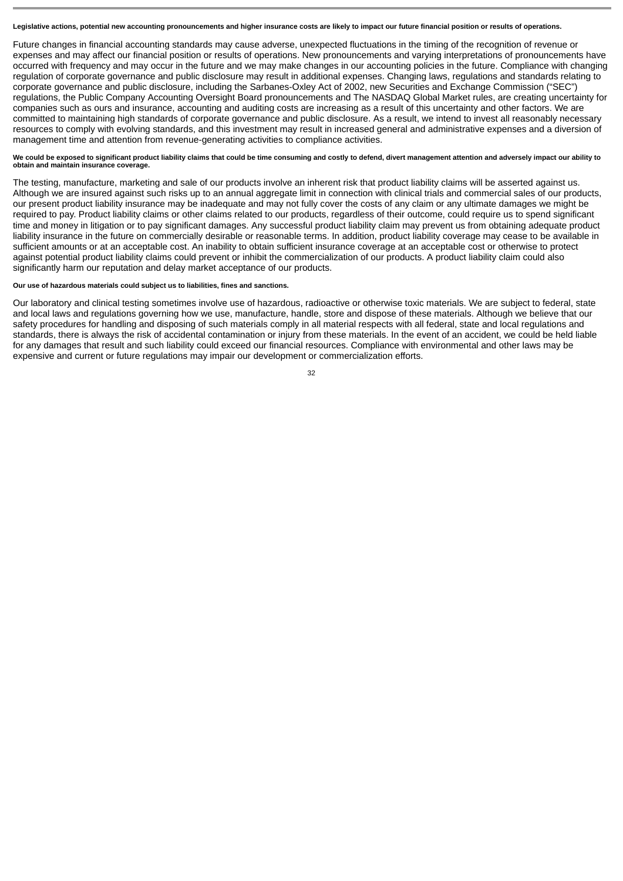#### **Legislative actions, potential new accounting pronouncements and higher insurance costs are likely to impact our future financial position or results of operations.**

Future changes in financial accounting standards may cause adverse, unexpected fluctuations in the timing of the recognition of revenue or expenses and may affect our financial position or results of operations. New pronouncements and varying interpretations of pronouncements have occurred with frequency and may occur in the future and we may make changes in our accounting policies in the future. Compliance with changing regulation of corporate governance and public disclosure may result in additional expenses. Changing laws, regulations and standards relating to corporate governance and public disclosure, including the Sarbanes-Oxley Act of 2002, new Securities and Exchange Commission ("SEC") regulations, the Public Company Accounting Oversight Board pronouncements and The NASDAQ Global Market rules, are creating uncertainty for companies such as ours and insurance, accounting and auditing costs are increasing as a result of this uncertainty and other factors. We are committed to maintaining high standards of corporate governance and public disclosure. As a result, we intend to invest all reasonably necessary resources to comply with evolving standards, and this investment may result in increased general and administrative expenses and a diversion of management time and attention from revenue-generating activities to compliance activities.

#### **We could be exposed to significant product liability claims that could be time consuming and costly to defend, divert management attention and adversely impact our ability to obtain and maintain insurance coverage.**

The testing, manufacture, marketing and sale of our products involve an inherent risk that product liability claims will be asserted against us. Although we are insured against such risks up to an annual aggregate limit in connection with clinical trials and commercial sales of our products, our present product liability insurance may be inadequate and may not fully cover the costs of any claim or any ultimate damages we might be required to pay. Product liability claims or other claims related to our products, regardless of their outcome, could require us to spend significant time and money in litigation or to pay significant damages. Any successful product liability claim may prevent us from obtaining adequate product liability insurance in the future on commercially desirable or reasonable terms. In addition, product liability coverage may cease to be available in sufficient amounts or at an acceptable cost. An inability to obtain sufficient insurance coverage at an acceptable cost or otherwise to protect against potential product liability claims could prevent or inhibit the commercialization of our products. A product liability claim could also significantly harm our reputation and delay market acceptance of our products.

#### **Our use of hazardous materials could subject us to liabilities, fines and sanctions.**

Our laboratory and clinical testing sometimes involve use of hazardous, radioactive or otherwise toxic materials. We are subject to federal, state and local laws and regulations governing how we use, manufacture, handle, store and dispose of these materials. Although we believe that our safety procedures for handling and disposing of such materials comply in all material respects with all federal, state and local regulations and standards, there is always the risk of accidental contamination or injury from these materials. In the event of an accident, we could be held liable for any damages that result and such liability could exceed our financial resources. Compliance with environmental and other laws may be expensive and current or future regulations may impair our development or commercialization efforts.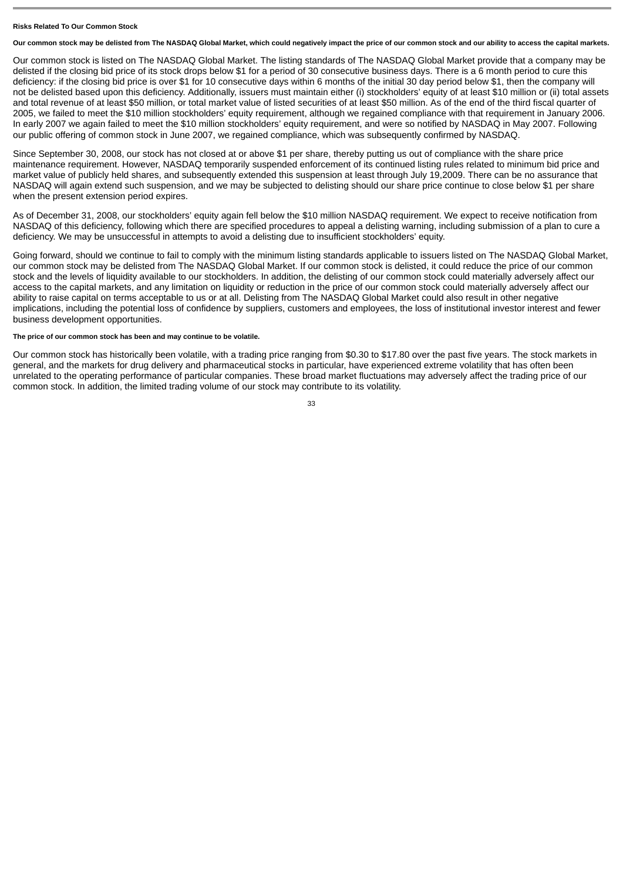#### **Risks Related To Our Common Stock**

**Our common stock may be delisted from The NASDAQ Global Market, which could negatively impact the price of our common stock and our ability to access the capital markets.**

Our common stock is listed on The NASDAQ Global Market. The listing standards of The NASDAQ Global Market provide that a company may be delisted if the closing bid price of its stock drops below \$1 for a period of 30 consecutive business days. There is a 6 month period to cure this deficiency: if the closing bid price is over \$1 for 10 consecutive days within 6 months of the initial 30 day period below \$1, then the company will not be delisted based upon this deficiency. Additionally, issuers must maintain either (i) stockholders' equity of at least \$10 million or (ii) total assets and total revenue of at least \$50 million, or total market value of listed securities of at least \$50 million. As of the end of the third fiscal quarter of 2005, we failed to meet the \$10 million stockholders' equity requirement, although we regained compliance with that requirement in January 2006. In early 2007 we again failed to meet the \$10 million stockholders' equity requirement, and were so notified by NASDAQ in May 2007. Following our public offering of common stock in June 2007, we regained compliance, which was subsequently confirmed by NASDAQ.

Since September 30, 2008, our stock has not closed at or above \$1 per share, thereby putting us out of compliance with the share price maintenance requirement. However, NASDAQ temporarily suspended enforcement of its continued listing rules related to minimum bid price and market value of publicly held shares, and subsequently extended this suspension at least through July 19,2009. There can be no assurance that NASDAQ will again extend such suspension, and we may be subjected to delisting should our share price continue to close below \$1 per share when the present extension period expires.

As of December 31, 2008, our stockholders' equity again fell below the \$10 million NASDAQ requirement. We expect to receive notification from NASDAQ of this deficiency, following which there are specified procedures to appeal a delisting warning, including submission of a plan to cure a deficiency. We may be unsuccessful in attempts to avoid a delisting due to insufficient stockholders' equity.

Going forward, should we continue to fail to comply with the minimum listing standards applicable to issuers listed on The NASDAQ Global Market, our common stock may be delisted from The NASDAQ Global Market. If our common stock is delisted, it could reduce the price of our common stock and the levels of liquidity available to our stockholders. In addition, the delisting of our common stock could materially adversely affect our access to the capital markets, and any limitation on liquidity or reduction in the price of our common stock could materially adversely affect our ability to raise capital on terms acceptable to us or at all. Delisting from The NASDAQ Global Market could also result in other negative implications, including the potential loss of confidence by suppliers, customers and employees, the loss of institutional investor interest and fewer business development opportunities.

## **The price of our common stock has been and may continue to be volatile.**

Our common stock has historically been volatile, with a trading price ranging from \$0.30 to \$17.80 over the past five years. The stock markets in general, and the markets for drug delivery and pharmaceutical stocks in particular, have experienced extreme volatility that has often been unrelated to the operating performance of particular companies. These broad market fluctuations may adversely affect the trading price of our common stock. In addition, the limited trading volume of our stock may contribute to its volatility.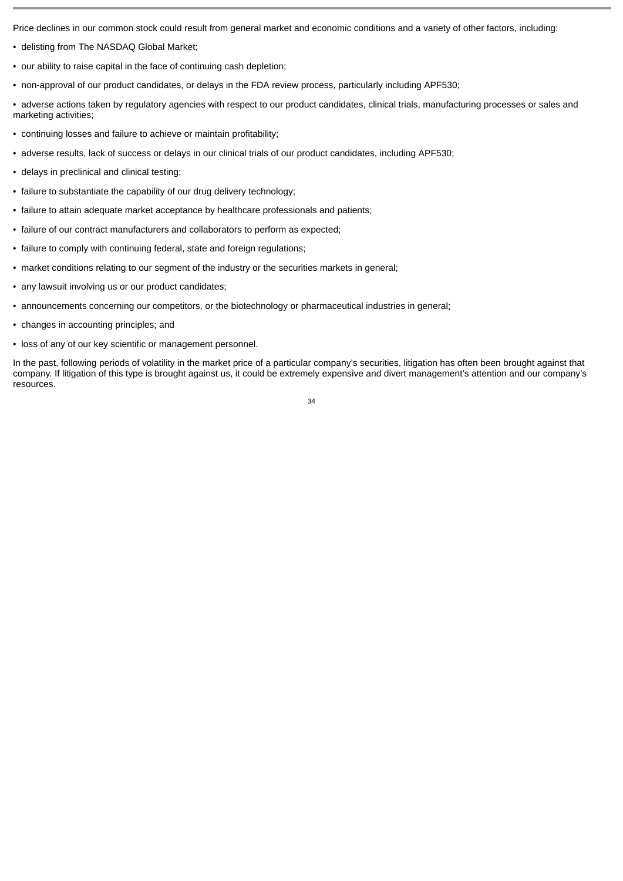Price declines in our common stock could result from general market and economic conditions and a variety of other factors, including:

- delisting from The NASDAQ Global Market;
- our ability to raise capital in the face of continuing cash depletion;
- non-approval of our product candidates, or delays in the FDA review process, particularly including APF530;

• adverse actions taken by regulatory agencies with respect to our product candidates, clinical trials, manufacturing processes or sales and marketing activities;

- continuing losses and failure to achieve or maintain profitability;
- adverse results, lack of success or delays in our clinical trials of our product candidates, including APF530;
- delays in preclinical and clinical testing;
- failure to substantiate the capability of our drug delivery technology;
- failure to attain adequate market acceptance by healthcare professionals and patients;
- failure of our contract manufacturers and collaborators to perform as expected;
- failure to comply with continuing federal, state and foreign regulations;
- market conditions relating to our segment of the industry or the securities markets in general;
- any lawsuit involving us or our product candidates;
- announcements concerning our competitors, or the biotechnology or pharmaceutical industries in general;
- changes in accounting principles; and
- loss of any of our key scientific or management personnel.

In the past, following periods of volatility in the market price of a particular company's securities, litigation has often been brought against that company. If litigation of this type is brought against us, it could be extremely expensive and divert management's attention and our company's resources.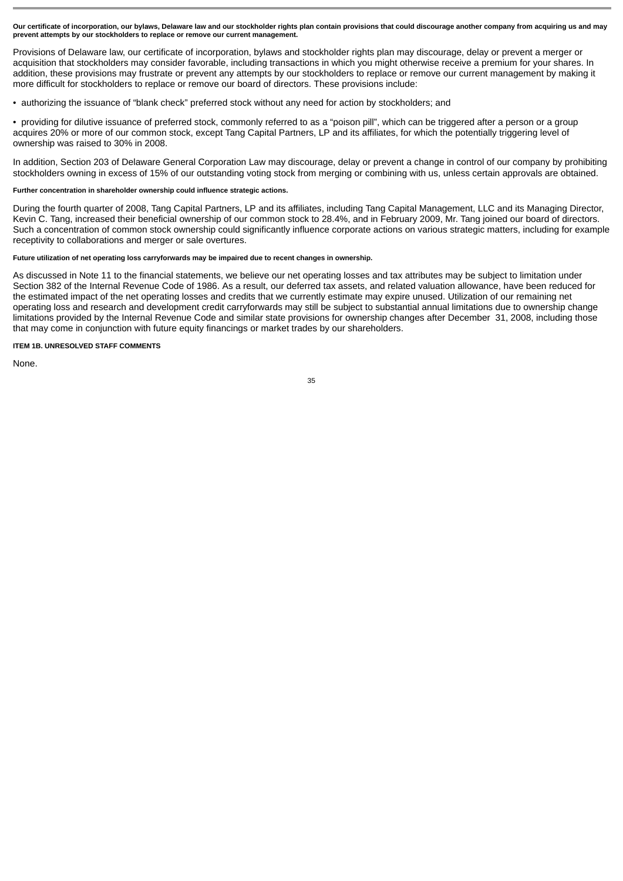**Our certificate of incorporation, our bylaws, Delaware law and our stockholder rights plan contain provisions that could discourage another company from acquiring us and may prevent attempts by our stockholders to replace or remove our current management.**

Provisions of Delaware law, our certificate of incorporation, bylaws and stockholder rights plan may discourage, delay or prevent a merger or acquisition that stockholders may consider favorable, including transactions in which you might otherwise receive a premium for your shares. In addition, these provisions may frustrate or prevent any attempts by our stockholders to replace or remove our current management by making it more difficult for stockholders to replace or remove our board of directors. These provisions include:

• authorizing the issuance of "blank check" preferred stock without any need for action by stockholders; and

• providing for dilutive issuance of preferred stock, commonly referred to as a "poison pill", which can be triggered after a person or a group acquires 20% or more of our common stock, except Tang Capital Partners, LP and its affiliates, for which the potentially triggering level of ownership was raised to 30% in 2008.

In addition, Section 203 of Delaware General Corporation Law may discourage, delay or prevent a change in control of our company by prohibiting stockholders owning in excess of 15% of our outstanding voting stock from merging or combining with us, unless certain approvals are obtained.

## **Further concentration in shareholder ownership could influence strategic actions.**

During the fourth quarter of 2008, Tang Capital Partners, LP and its affiliates, including Tang Capital Management, LLC and its Managing Director, Kevin C. Tang, increased their beneficial ownership of our common stock to 28.4%, and in February 2009, Mr. Tang joined our board of directors. Such a concentration of common stock ownership could significantly influence corporate actions on various strategic matters, including for example receptivity to collaborations and merger or sale overtures.

### **Future utilization of net operating loss carryforwards may be impaired due to recent changes in ownership.**

As discussed in Note 11 to the financial statements, we believe our net operating losses and tax attributes may be subject to limitation under Section 382 of the Internal Revenue Code of 1986. As a result, our deferred tax assets, and related valuation allowance, have been reduced for the estimated impact of the net operating losses and credits that we currently estimate may expire unused. Utilization of our remaining net operating loss and research and development credit carryforwards may still be subject to substantial annual limitations due to ownership change limitations provided by the Internal Revenue Code and similar state provisions for ownership changes after December 31, 2008, including those that may come in conjunction with future equity financings or market trades by our shareholders.

<span id="page-34-0"></span>**ITEM 1B. UNRESOLVED STAFF COMMENTS**

None.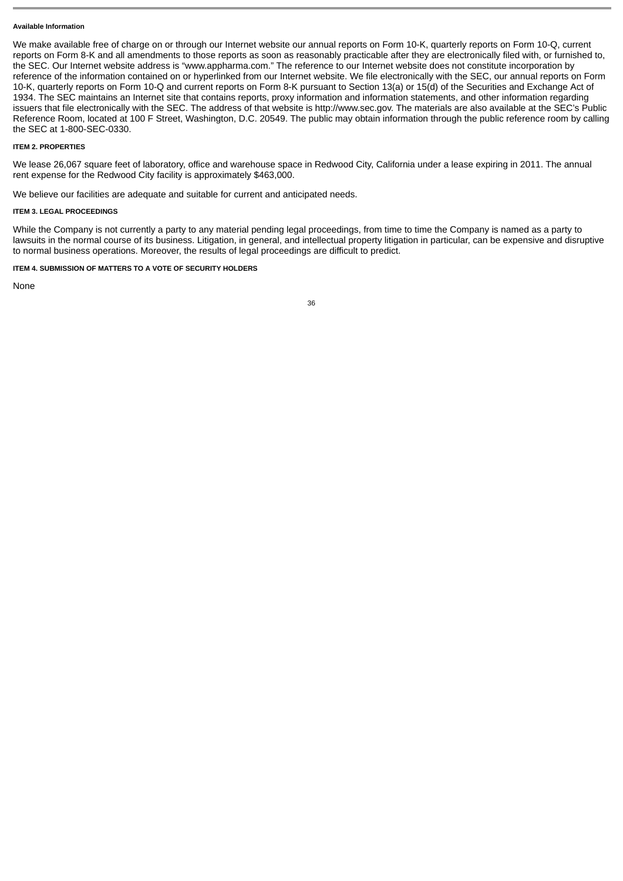#### **Available Information**

We make available free of charge on or through our Internet website our annual reports on Form 10-K, quarterly reports on Form 10-Q, current reports on Form 8-K and all amendments to those reports as soon as reasonably practicable after they are electronically filed with, or furnished to, the SEC. Our Internet website address is "www.appharma.com." The reference to our Internet website does not constitute incorporation by reference of the information contained on or hyperlinked from our Internet website. We file electronically with the SEC, our annual reports on Form 10-K, quarterly reports on Form 10-Q and current reports on Form 8-K pursuant to Section 13(a) or 15(d) of the Securities and Exchange Act of 1934. The SEC maintains an Internet site that contains reports, proxy information and information statements, and other information regarding issuers that file electronically with the SEC. The address of that website is http://www.sec.gov. The materials are also available at the SEC's Public Reference Room, located at 100 F Street, Washington, D.C. 20549. The public may obtain information through the public reference room by calling the SEC at 1-800-SEC-0330.

#### <span id="page-35-0"></span>**ITEM 2. PROPERTIES**

We lease 26,067 square feet of laboratory, office and warehouse space in Redwood City, California under a lease expiring in 2011. The annual rent expense for the Redwood City facility is approximately \$463,000.

We believe our facilities are adequate and suitable for current and anticipated needs.

## <span id="page-35-1"></span>**ITEM 3. LEGAL PROCEEDINGS**

While the Company is not currently a party to any material pending legal proceedings, from time to time the Company is named as a party to lawsuits in the normal course of its business. Litigation, in general, and intellectual property litigation in particular, can be expensive and disruptive to normal business operations. Moreover, the results of legal proceedings are difficult to predict.

# <span id="page-35-2"></span>**ITEM 4. SUBMISSION OF MATTERS TO A VOTE OF SECURITY HOLDERS**

None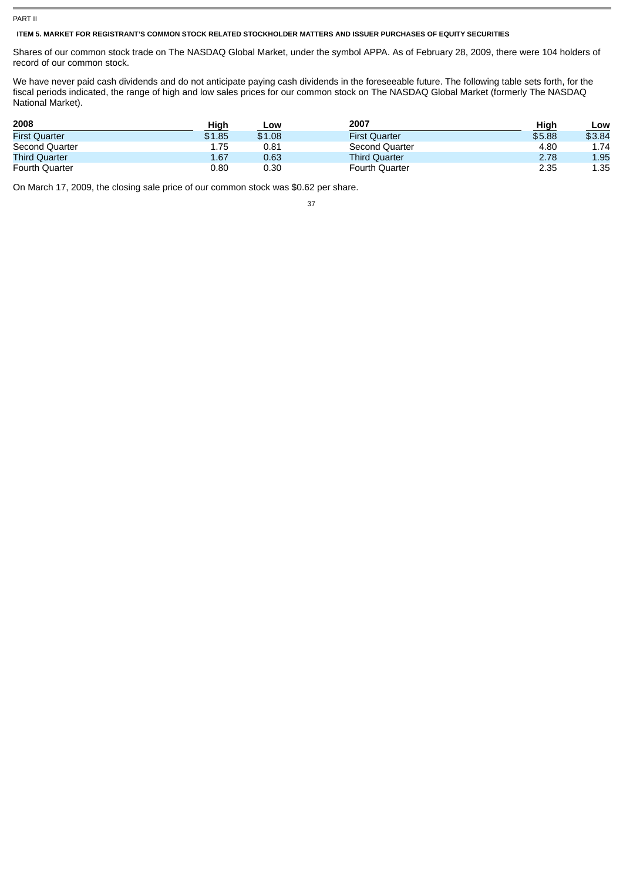#### PART II

# **ITEM 5. MARKET FOR REGISTRANT'S COMMON STOCK RELATED STOCKHOLDER MATTERS AND ISSUER PURCHASES OF EQUITY SECURITIES**

Shares of our common stock trade on The NASDAQ Global Market, under the symbol APPA. As of February 28, 2009, there were 104 holders of record of our common stock.

We have never paid cash dividends and do not anticipate paying cash dividends in the foreseeable future. The following table sets forth, for the fiscal periods indicated, the range of high and low sales prices for our common stock on The NASDAQ Global Market (formerly The NASDAQ National Market).

| 2008                  | High   | <u>Low</u> | 2007                  | <u>High</u> | LOW    |
|-----------------------|--------|------------|-----------------------|-------------|--------|
| <b>First Ouarter</b>  | \$1.85 | \$1.08     | <b>First Ouarter</b>  | \$5.88      | \$3.84 |
| Second Ouarter        | 1.75   | 0.81       | Second Ouarter        | 4.80        | 1.74   |
| <b>Third Quarter</b>  | 1.67   | 0.63       | <b>Third Quarter</b>  | 2.78        | 1.95   |
| <b>Fourth Quarter</b> | 0.80   | 0.30       | <b>Fourth Quarter</b> | 2.35        | 1.35   |

On March 17, 2009, the closing sale price of our common stock was \$0.62 per share.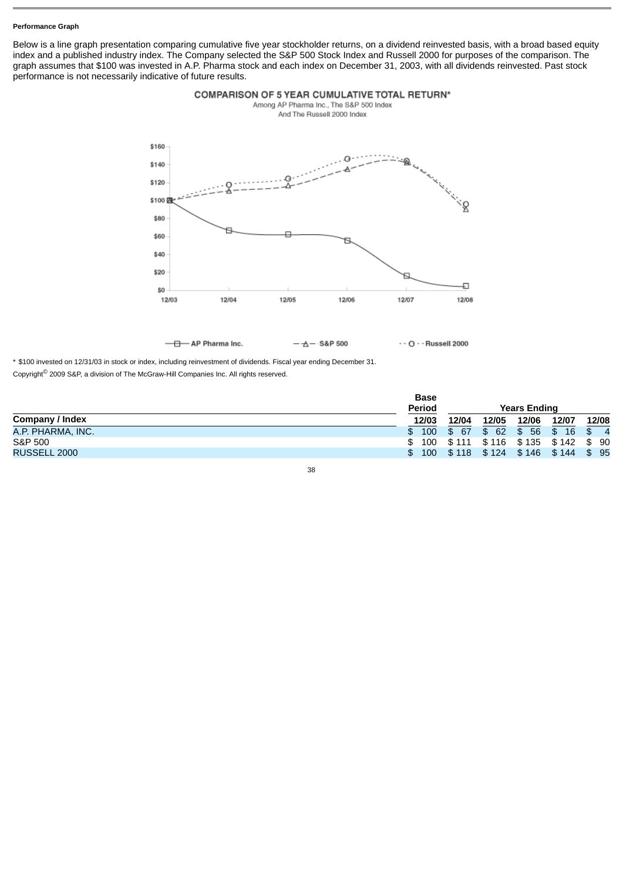# **Performance Graph**

Below is a line graph presentation comparing cumulative five year stockholder returns, on a dividend reinvested basis, with a broad based equity index and a published industry index. The Company selected the S&P 500 Stock Index and Russell 2000 for purposes of the comparison. The graph assumes that \$100 was invested in A.P. Pharma stock and each index on December 31, 2003, with all dividends reinvested. Past stock performance is not necessarily indicative of future results.



 $-\triangle -$  S&P 500  $\cdot$  - O  $\cdot$  - Russell 2000

\* \$100 invested on 12/31/03 in stock or index, including reinvestment of dividends. Fiscal year ending December 31.

Copyright© 2009 S&P, a division of The McGraw-Hill Companies Inc. All rights reserved.

|                   | <b>Base</b><br><b>Period</b>         |       |               | <b>Years Ending</b> |                  |       |
|-------------------|--------------------------------------|-------|---------------|---------------------|------------------|-------|
| Company / Index   | 12/03                                | 12/04 | 12/05         | 12/06               | 12/07            | 12/08 |
| A.P. PHARMA, INC. | \$100 \$67 \$62 \$56 \$16 \$4        |       |               |                     |                  |       |
| S&P 500           | \$ 100 \$111 \$116 \$135 \$142 \$ 90 |       |               |                     |                  |       |
| RUSSELL 2000      | \$100                                |       | $$118$ $$124$ |                     | \$146 \$144 \$95 |       |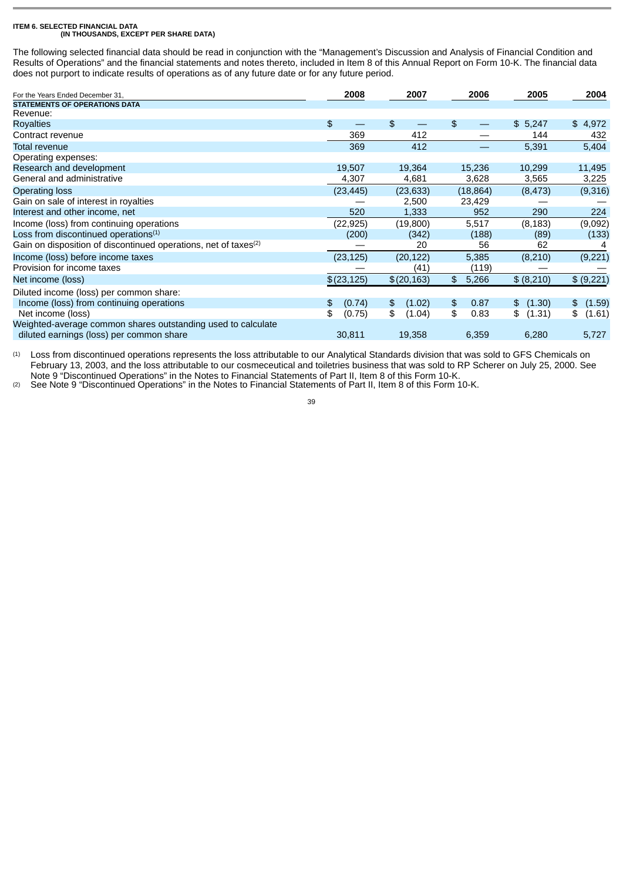#### **ITEM 6. SELECTED FINANCIAL DATA (IN THOUSANDS, EXCEPT PER SHARE DATA)**

The following selected financial data should be read in conjunction with the "Management's Discussion and Analysis of Financial Condition and Results of Operations" and the financial statements and notes thereto, included in Item 8 of this Annual Report on Form 10-K. The financial data does not purport to indicate results of operations as of any future date or for any future period.

| For the Years Ended December 31.                                            | 2008         | 2007         | 2006        | 2005                     | 2004         |
|-----------------------------------------------------------------------------|--------------|--------------|-------------|--------------------------|--------------|
| <b>STATEMENTS OF OPERATIONS DATA</b>                                        |              |              |             |                          |              |
| Revenue:                                                                    |              |              |             |                          |              |
| <b>Royalties</b>                                                            | \$           | \$           | \$          | \$5,247                  | \$4,972      |
| Contract revenue                                                            | 369          | 412          |             | 144                      | 432          |
| <b>Total revenue</b>                                                        | 369          | 412          |             | 5,391                    | 5,404        |
| Operating expenses:                                                         |              |              |             |                          |              |
| Research and development                                                    | 19,507       | 19,364       | 15,236      | 10,299                   | 11,495       |
| General and administrative                                                  | 4,307        | 4,681        | 3,628       | 3,565                    | 3,225        |
| <b>Operating loss</b>                                                       | (23,445)     | (23, 633)    | (18, 864)   | (8, 473)                 | (9,316)      |
| Gain on sale of interest in royalties                                       |              | 2,500        | 23,429      |                          |              |
| Interest and other income, net                                              | 520          | 1,333        | 952         | 290                      | 224          |
| Income (loss) from continuing operations                                    | (22, 925)    | (19,800)     | 5,517       | (8, 183)                 | (9,092)      |
| Loss from discontinued operations <sup>(1)</sup>                            | (200)        | (342)        | (188)       | (89)                     | (133)        |
| Gain on disposition of discontinued operations, net of taxes <sup>(2)</sup> |              | 20           | 56          | 62                       |              |
| Income (loss) before income taxes                                           | (23, 125)    | (20, 122)    | 5,385       | (8,210)                  | (9,221)      |
| Provision for income taxes                                                  |              | (41)         | (119)       |                          |              |
| Net income (loss)                                                           | \$(23,125)   | \$(20,163)   | \$<br>5,266 | \$(8,210)                | \$ (9,221)   |
| Diluted income (loss) per common share:                                     |              |              |             |                          |              |
| Income (loss) from continuing operations                                    | (0.74)<br>\$ | (1.02)<br>\$ | 0.87<br>\$  | (1.30)<br>$\mathfrak{S}$ | (1.59)<br>\$ |
| Net income (loss)                                                           | \$<br>(0.75) | \$<br>(1.04) | 0.83<br>\$  | \$<br>(1.31)             | \$<br>(1.61) |
| Weighted-average common shares outstanding used to calculate                |              |              |             |                          |              |
| diluted earnings (loss) per common share                                    | 30,811       | 19,358       | 6,359       | 6,280                    | 5,727        |

(1) Loss from discontinued operations represents the loss attributable to our Analytical Standards division that was sold to GFS Chemicals on February 13, 2003, and the loss attributable to our cosmeceutical and toiletries business that was sold to RP Scherer on July 25, 2000. See Note 9 "Discontinued Operations" in the Notes to Financial Statements of Part II, Item 8 of this Form 10-K.

(2) See Note 9 "Discontinued Operations" in the Notes to Financial Statements of Part II, Item 8 of this Form 10-K.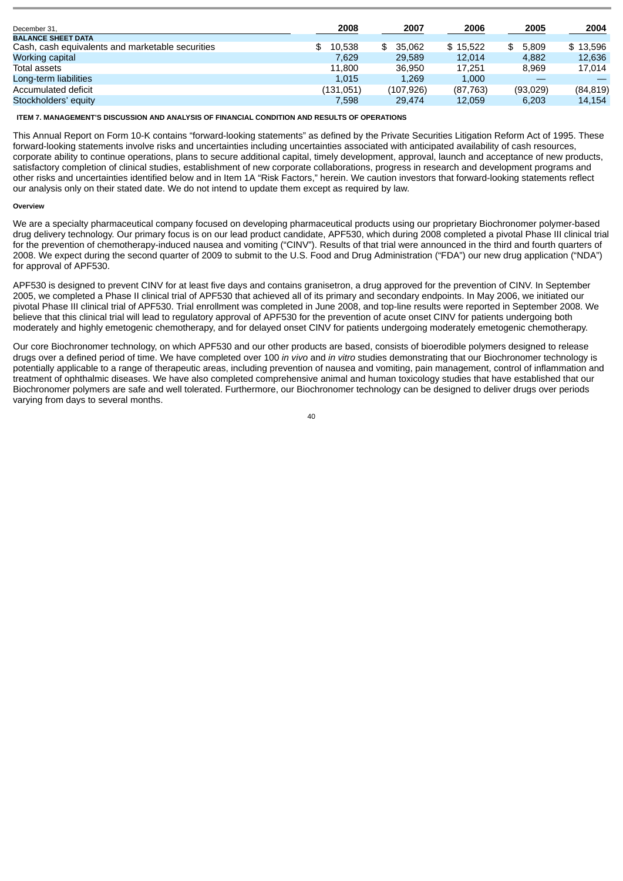| 2008         | 2007         | 2006      | 2005     | 2004      |
|--------------|--------------|-----------|----------|-----------|
| 10.538<br>\$ | 35.062<br>S. | \$15.522  | \$5.809  | \$13,596  |
| 7,629        | 29,589       | 12.014    | 4.882    | 12.636    |
| 11,800       | 36.950       | 17.251    | 8.969    | 17.014    |
| 1.015        | 1.269        | 1.000     |          |           |
| (131,051)    | (107, 926)   | (87, 763) | (93,029) | (84, 819) |
| 7,598        | 29,474       | 12,059    | 6,203    | 14,154    |
|              |              |           |          |           |

**ITEM 7. MANAGEMENT'S DISCUSSION AND ANALYSIS OF FINANCIAL CONDITION AND RESULTS OF OPERATIONS**

This Annual Report on Form 10-K contains "forward-looking statements" as defined by the Private Securities Litigation Reform Act of 1995. These forward-looking statements involve risks and uncertainties including uncertainties associated with anticipated availability of cash resources. corporate ability to continue operations, plans to secure additional capital, timely development, approval, launch and acceptance of new products, satisfactory completion of clinical studies, establishment of new corporate collaborations, progress in research and development programs and other risks and uncertainties identified below and in Item 1A "Risk Factors," herein. We caution investors that forward-looking statements reflect our analysis only on their stated date. We do not intend to update them except as required by law.

# **Overview**

We are a specialty pharmaceutical company focused on developing pharmaceutical products using our proprietary Biochronomer polymer-based drug delivery technology. Our primary focus is on our lead product candidate, APF530, which during 2008 completed a pivotal Phase III clinical trial for the prevention of chemotherapy-induced nausea and vomiting ("CINV"). Results of that trial were announced in the third and fourth quarters of 2008. We expect during the second quarter of 2009 to submit to the U.S. Food and Drug Administration ("FDA") our new drug application ("NDA") for approval of APF530.

APF530 is designed to prevent CINV for at least five days and contains granisetron, a drug approved for the prevention of CINV. In September 2005, we completed a Phase II clinical trial of APF530 that achieved all of its primary and secondary endpoints. In May 2006, we initiated our pivotal Phase III clinical trial of APF530. Trial enrollment was completed in June 2008, and top-line results were reported in September 2008. We believe that this clinical trial will lead to regulatory approval of APF530 for the prevention of acute onset CINV for patients undergoing both moderately and highly emetogenic chemotherapy, and for delayed onset CINV for patients undergoing moderately emetogenic chemotherapy.

Our core Biochronomer technology, on which APF530 and our other products are based, consists of bioerodible polymers designed to release drugs over a defined period of time. We have completed over 100 *in vivo* and *in vitro* studies demonstrating that our Biochronomer technology is potentially applicable to a range of therapeutic areas, including prevention of nausea and vomiting, pain management, control of inflammation and treatment of ophthalmic diseases. We have also completed comprehensive animal and human toxicology studies that have established that our Biochronomer polymers are safe and well tolerated. Furthermore, our Biochronomer technology can be designed to deliver drugs over periods varying from days to several months.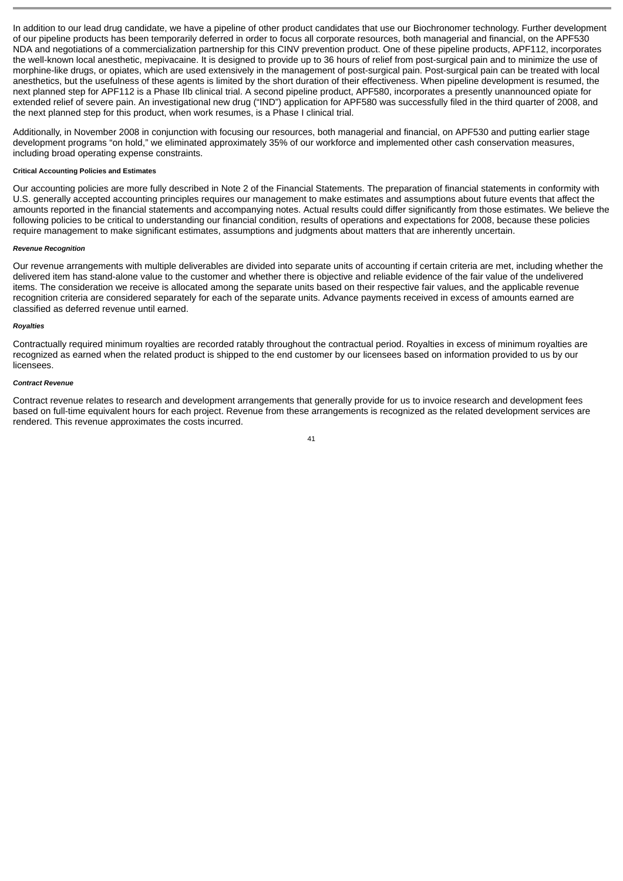In addition to our lead drug candidate, we have a pipeline of other product candidates that use our Biochronomer technology. Further development of our pipeline products has been temporarily deferred in order to focus all corporate resources, both managerial and financial, on the APF530 NDA and negotiations of a commercialization partnership for this CINV prevention product. One of these pipeline products, APF112, incorporates the well-known local anesthetic, mepivacaine. It is designed to provide up to 36 hours of relief from post-surgical pain and to minimize the use of morphine-like drugs, or opiates, which are used extensively in the management of post-surgical pain. Post-surgical pain can be treated with local anesthetics, but the usefulness of these agents is limited by the short duration of their effectiveness. When pipeline development is resumed, the next planned step for APF112 is a Phase IIb clinical trial. A second pipeline product, APF580, incorporates a presently unannounced opiate for extended relief of severe pain. An investigational new drug ("IND") application for APF580 was successfully filed in the third quarter of 2008, and the next planned step for this product, when work resumes, is a Phase I clinical trial.

Additionally, in November 2008 in conjunction with focusing our resources, both managerial and financial, on APF530 and putting earlier stage development programs "on hold," we eliminated approximately 35% of our workforce and implemented other cash conservation measures, including broad operating expense constraints.

#### **Critical Accounting Policies and Estimates**

Our accounting policies are more fully described in Note 2 of the Financial Statements. The preparation of financial statements in conformity with U.S. generally accepted accounting principles requires our management to make estimates and assumptions about future events that affect the amounts reported in the financial statements and accompanying notes. Actual results could differ significantly from those estimates. We believe the following policies to be critical to understanding our financial condition, results of operations and expectations for 2008, because these policies require management to make significant estimates, assumptions and judgments about matters that are inherently uncertain.

#### *Revenue Recognition*

Our revenue arrangements with multiple deliverables are divided into separate units of accounting if certain criteria are met, including whether the delivered item has stand-alone value to the customer and whether there is objective and reliable evidence of the fair value of the undelivered items. The consideration we receive is allocated among the separate units based on their respective fair values, and the applicable revenue recognition criteria are considered separately for each of the separate units. Advance payments received in excess of amounts earned are classified as deferred revenue until earned.

#### *Royalties*

Contractually required minimum royalties are recorded ratably throughout the contractual period. Royalties in excess of minimum royalties are recognized as earned when the related product is shipped to the end customer by our licensees based on information provided to us by our licensees.

# *Contract Revenue*

Contract revenue relates to research and development arrangements that generally provide for us to invoice research and development fees based on full-time equivalent hours for each project. Revenue from these arrangements is recognized as the related development services are rendered. This revenue approximates the costs incurred.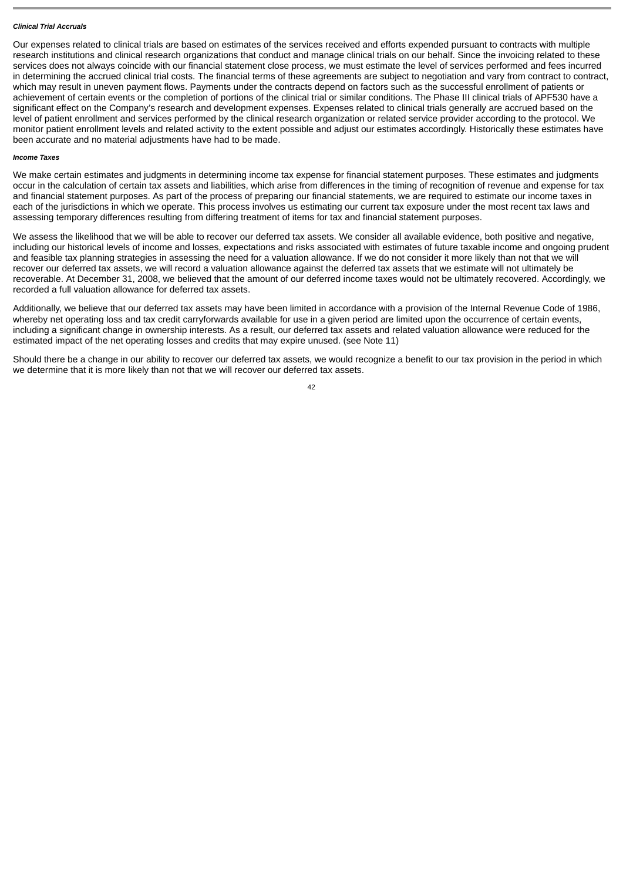#### *Clinical Trial Accruals*

Our expenses related to clinical trials are based on estimates of the services received and efforts expended pursuant to contracts with multiple research institutions and clinical research organizations that conduct and manage clinical trials on our behalf. Since the invoicing related to these services does not always coincide with our financial statement close process, we must estimate the level of services performed and fees incurred in determining the accrued clinical trial costs. The financial terms of these agreements are subject to negotiation and vary from contract to contract, which may result in uneven payment flows. Payments under the contracts depend on factors such as the successful enrollment of patients or achievement of certain events or the completion of portions of the clinical trial or similar conditions. The Phase III clinical trials of APF530 have a significant effect on the Company's research and development expenses. Expenses related to clinical trials generally are accrued based on the level of patient enrollment and services performed by the clinical research organization or related service provider according to the protocol. We monitor patient enrollment levels and related activity to the extent possible and adjust our estimates accordingly. Historically these estimates have been accurate and no material adjustments have had to be made.

#### *Income Taxes*

We make certain estimates and judgments in determining income tax expense for financial statement purposes. These estimates and judgments occur in the calculation of certain tax assets and liabilities, which arise from differences in the timing of recognition of revenue and expense for tax and financial statement purposes. As part of the process of preparing our financial statements, we are required to estimate our income taxes in each of the jurisdictions in which we operate. This process involves us estimating our current tax exposure under the most recent tax laws and assessing temporary differences resulting from differing treatment of items for tax and financial statement purposes.

We assess the likelihood that we will be able to recover our deferred tax assets. We consider all available evidence, both positive and negative, including our historical levels of income and losses, expectations and risks associated with estimates of future taxable income and ongoing prudent and feasible tax planning strategies in assessing the need for a valuation allowance. If we do not consider it more likely than not that we will recover our deferred tax assets, we will record a valuation allowance against the deferred tax assets that we estimate will not ultimately be recoverable. At December 31, 2008, we believed that the amount of our deferred income taxes would not be ultimately recovered. Accordingly, we recorded a full valuation allowance for deferred tax assets.

Additionally, we believe that our deferred tax assets may have been limited in accordance with a provision of the Internal Revenue Code of 1986, whereby net operating loss and tax credit carryforwards available for use in a given period are limited upon the occurrence of certain events, including a significant change in ownership interests. As a result, our deferred tax assets and related valuation allowance were reduced for the estimated impact of the net operating losses and credits that may expire unused. (see Note 11)

Should there be a change in our ability to recover our deferred tax assets, we would recognize a benefit to our tax provision in the period in which we determine that it is more likely than not that we will recover our deferred tax assets.

 $\overline{A}$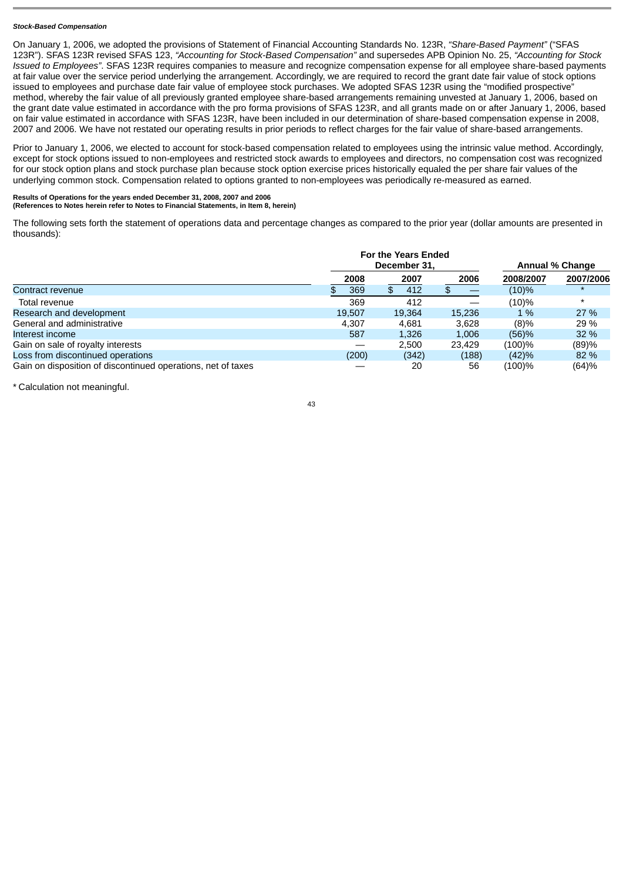#### *Stock-Based Compensation*

On January 1, 2006, we adopted the provisions of Statement of Financial Accounting Standards No. 123R, *"Share-Based Payment"* ("SFAS 123R"). SFAS 123R revised SFAS 123, *"Accounting for Stock-Based Compensation"* and supersedes APB Opinion No. 25, *"Accounting for Stock Issued to Employees"*. SFAS 123R requires companies to measure and recognize compensation expense for all employee share-based payments at fair value over the service period underlying the arrangement. Accordingly, we are required to record the grant date fair value of stock options issued to employees and purchase date fair value of employee stock purchases. We adopted SFAS 123R using the "modified prospective" method, whereby the fair value of all previously granted employee share-based arrangements remaining unvested at January 1, 2006, based on the grant date value estimated in accordance with the pro forma provisions of SFAS 123R, and all grants made on or after January 1, 2006, based on fair value estimated in accordance with SFAS 123R, have been included in our determination of share-based compensation expense in 2008, 2007 and 2006. We have not restated our operating results in prior periods to reflect charges for the fair value of share-based arrangements.

Prior to January 1, 2006, we elected to account for stock-based compensation related to employees using the intrinsic value method. Accordingly, except for stock options issued to non-employees and restricted stock awards to employees and directors, no compensation cost was recognized for our stock option plans and stock purchase plan because stock option exercise prices historically equaled the per share fair values of the underlying common stock. Compensation related to options granted to non-employees was periodically re-measured as earned.

#### **Results of Operations for the years ended December 31, 2008, 2007 and 2006 (References to Notes herein refer to Notes to Financial Statements, in Item 8, herein)**

The following sets forth the statement of operations data and percentage changes as compared to the prior year (dollar amounts are presented in thousands):

|                                                              |        | <b>For the Years Ended</b><br>December 31. | <b>Annual % Change</b> |            |           |
|--------------------------------------------------------------|--------|--------------------------------------------|------------------------|------------|-----------|
|                                                              | 2008   | 2007                                       | 2006                   | 2008/2007  | 2007/2006 |
| Contract revenue                                             | 369    | 412<br>\$.                                 | \$.                    | $(10)\%$   |           |
| Total revenue                                                | 369    | 412                                        |                        | $(10)\%$   | $\star$   |
| Research and development                                     | 19,507 | 19,364                                     | 15,236                 | <b>1</b> % | 27 %      |
| General and administrative                                   | 4,307  | 4,681                                      | 3,628                  | $(8)\%$    | 29 %      |
| Interest income                                              | 587    | 1,326                                      | 1.006                  | (56)%      | 32%       |
| Gain on sale of royalty interests                            |        | 2.500                                      | 23.429                 | $(100)\%$  | (89)%     |
| Loss from discontinued operations                            | (200)  | (342)                                      | (188)                  | (42)%      | 82 %      |
| Gain on disposition of discontinued operations, net of taxes |        | 20                                         | 56                     | $(100)\%$  | (64)%     |

\* Calculation not meaningful.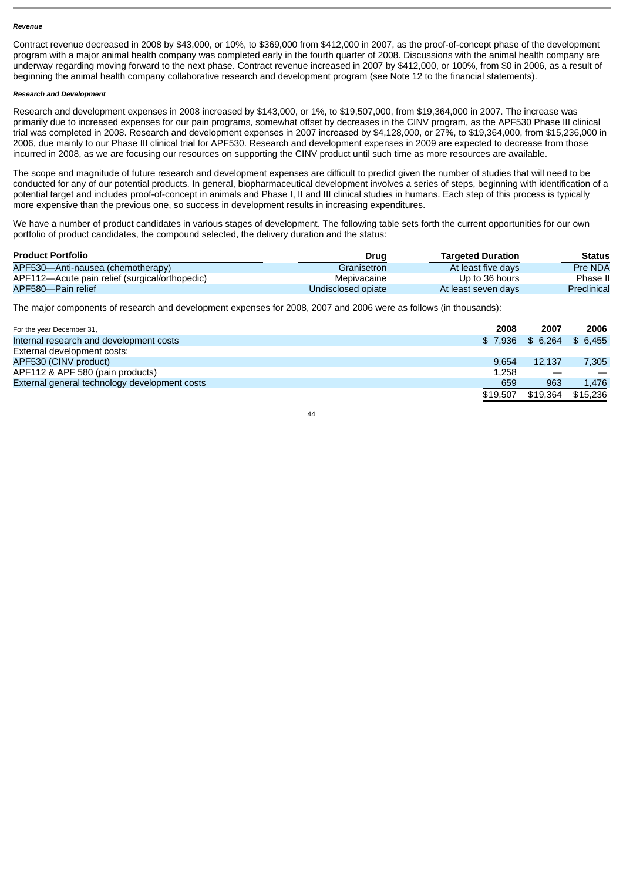#### *Revenue*

Contract revenue decreased in 2008 by \$43,000, or 10%, to \$369,000 from \$412,000 in 2007, as the proof-of-concept phase of the development program with a major animal health company was completed early in the fourth quarter of 2008. Discussions with the animal health company are underway regarding moving forward to the next phase. Contract revenue increased in 2007 by \$412,000, or 100%, from \$0 in 2006, as a result of beginning the animal health company collaborative research and development program (see Note 12 to the financial statements).

#### *Research and Development*

Research and development expenses in 2008 increased by \$143,000, or 1%, to \$19,507,000, from \$19,364,000 in 2007. The increase was primarily due to increased expenses for our pain programs, somewhat offset by decreases in the CINV program, as the APF530 Phase III clinical trial was completed in 2008. Research and development expenses in 2007 increased by \$4,128,000, or 27%, to \$19,364,000, from \$15,236,000 in 2006, due mainly to our Phase III clinical trial for APF530. Research and development expenses in 2009 are expected to decrease from those incurred in 2008, as we are focusing our resources on supporting the CINV product until such time as more resources are available.

The scope and magnitude of future research and development expenses are difficult to predict given the number of studies that will need to be conducted for any of our potential products. In general, biopharmaceutical development involves a series of steps, beginning with identification of a potential target and includes proof-of-concept in animals and Phase I, II and III clinical studies in humans. Each step of this process is typically more expensive than the previous one, so success in development results in increasing expenditures.

We have a number of product candidates in various stages of development. The following table sets forth the current opportunities for our own portfolio of product candidates, the compound selected, the delivery duration and the status:

| <b>Product Portfolio</b>                       | Drug               | <b>Targeted Duration</b> | Status      |
|------------------------------------------------|--------------------|--------------------------|-------------|
| APF530-Anti-nausea (chemotherapy)              | Granisetron        | At least five days       | Pre NDA     |
| APF112—Acute pain relief (surgical/orthopedic) | Mepivacaine        | Up to 36 hours           | Phase II    |
| APF580-Pain relief                             | Undisclosed opiate | At least seven days      | Preclinical |

The major components of research and development expenses for 2008, 2007 and 2006 were as follows (in thousands):

| For the year December 31,                     | 2008     | 2007     | 2006     |
|-----------------------------------------------|----------|----------|----------|
| Internal research and development costs       | \$7.936  | \$6.264  | \$6.455  |
| External development costs:                   |          |          |          |
| APF530 (CINV product)                         | 9.654    | 12.137   | 7,305    |
| APF112 & APF 580 (pain products)              | 1.258    |          |          |
| External general technology development costs | 659      | 963      | 1.476    |
|                                               | \$19.507 | \$19.364 | \$15,236 |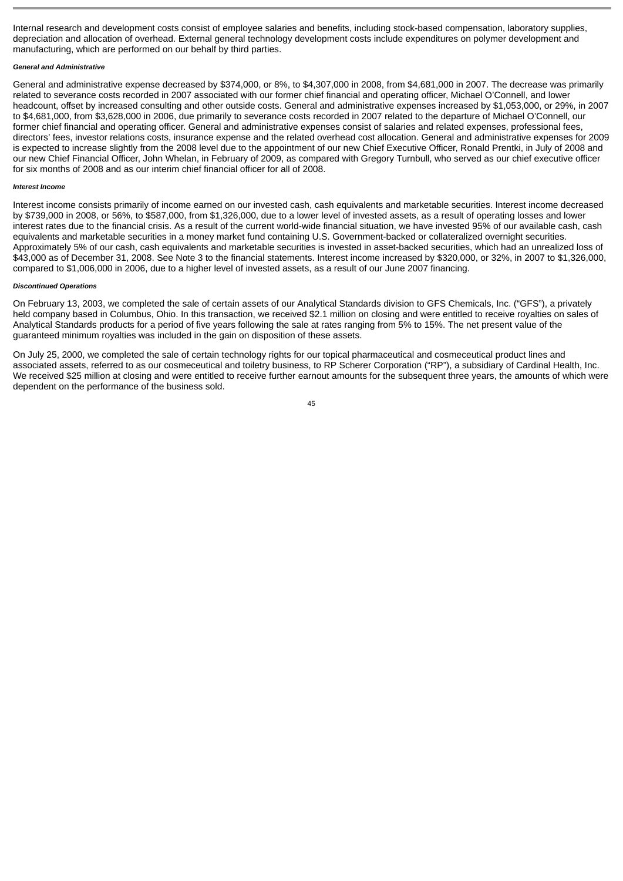Internal research and development costs consist of employee salaries and benefits, including stock-based compensation, laboratory supplies, depreciation and allocation of overhead. External general technology development costs include expenditures on polymer development and manufacturing, which are performed on our behalf by third parties.

# *General and Administrative*

General and administrative expense decreased by \$374,000, or 8%, to \$4,307,000 in 2008, from \$4,681,000 in 2007. The decrease was primarily related to severance costs recorded in 2007 associated with our former chief financial and operating officer, Michael O'Connell, and lower headcount, offset by increased consulting and other outside costs. General and administrative expenses increased by \$1,053,000, or 29%, in 2007 to \$4,681,000, from \$3,628,000 in 2006, due primarily to severance costs recorded in 2007 related to the departure of Michael O'Connell, our former chief financial and operating officer. General and administrative expenses consist of salaries and related expenses, professional fees, directors' fees, investor relations costs, insurance expense and the related overhead cost allocation. General and administrative expenses for 2009 is expected to increase slightly from the 2008 level due to the appointment of our new Chief Executive Officer, Ronald Prentki, in July of 2008 and our new Chief Financial Officer, John Whelan, in February of 2009, as compared with Gregory Turnbull, who served as our chief executive officer for six months of 2008 and as our interim chief financial officer for all of 2008.

# *Interest Income*

Interest income consists primarily of income earned on our invested cash, cash equivalents and marketable securities. Interest income decreased by \$739,000 in 2008, or 56%, to \$587,000, from \$1,326,000, due to a lower level of invested assets, as a result of operating losses and lower interest rates due to the financial crisis. As a result of the current world-wide financial situation, we have invested 95% of our available cash, cash equivalents and marketable securities in a money market fund containing U.S. Government-backed or collateralized overnight securities. Approximately 5% of our cash, cash equivalents and marketable securities is invested in asset-backed securities, which had an unrealized loss of \$43,000 as of December 31, 2008. See Note 3 to the financial statements. Interest income increased by \$320,000, or 32%, in 2007 to \$1,326,000, compared to \$1,006,000 in 2006, due to a higher level of invested assets, as a result of our June 2007 financing.

#### *Discontinued Operations*

On February 13, 2003, we completed the sale of certain assets of our Analytical Standards division to GFS Chemicals, Inc. ("GFS"), a privately held company based in Columbus, Ohio. In this transaction, we received \$2.1 million on closing and were entitled to receive royalties on sales of Analytical Standards products for a period of five years following the sale at rates ranging from 5% to 15%. The net present value of the guaranteed minimum royalties was included in the gain on disposition of these assets.

On July 25, 2000, we completed the sale of certain technology rights for our topical pharmaceutical and cosmeceutical product lines and associated assets, referred to as our cosmeceutical and toiletry business, to RP Scherer Corporation ("RP"), a subsidiary of Cardinal Health, Inc. We received \$25 million at closing and were entitled to receive further earnout amounts for the subsequent three years, the amounts of which were dependent on the performance of the business sold.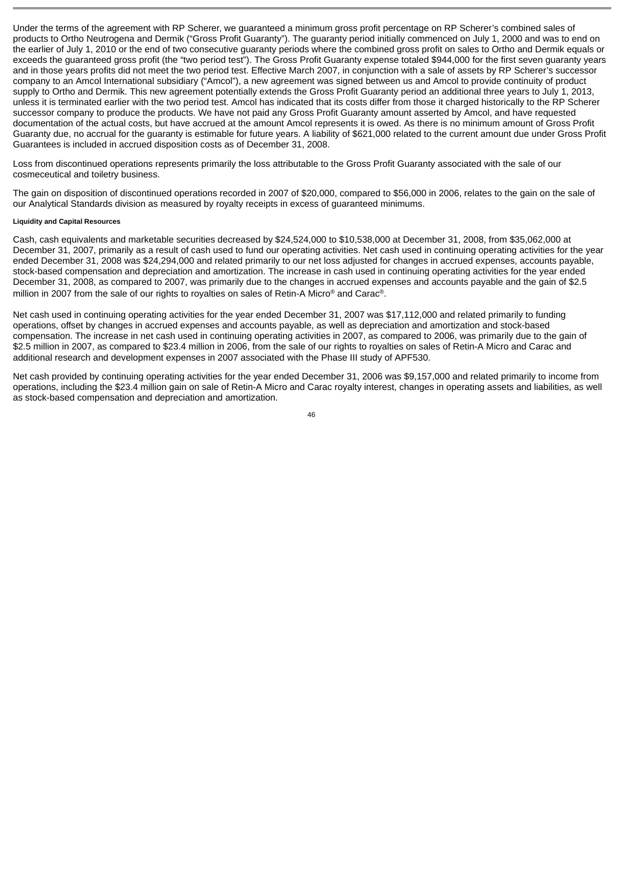Under the terms of the agreement with RP Scherer, we guaranteed a minimum gross profit percentage on RP Scherer's combined sales of products to Ortho Neutrogena and Dermik ("Gross Profit Guaranty"). The guaranty period initially commenced on July 1, 2000 and was to end on the earlier of July 1, 2010 or the end of two consecutive guaranty periods where the combined gross profit on sales to Ortho and Dermik equals or exceeds the guaranteed gross profit (the "two period test"). The Gross Profit Guaranty expense totaled \$944,000 for the first seven guaranty years and in those years profits did not meet the two period test. Effective March 2007, in conjunction with a sale of assets by RP Scherer's successor company to an Amcol International subsidiary ("Amcol"), a new agreement was signed between us and Amcol to provide continuity of product supply to Ortho and Dermik. This new agreement potentially extends the Gross Profit Guaranty period an additional three years to July 1, 2013, unless it is terminated earlier with the two period test. Amcol has indicated that its costs differ from those it charged historically to the RP Scherer successor company to produce the products. We have not paid any Gross Profit Guaranty amount asserted by Amcol, and have requested documentation of the actual costs, but have accrued at the amount Amcol represents it is owed. As there is no minimum amount of Gross Profit Guaranty due, no accrual for the guaranty is estimable for future years. A liability of \$621,000 related to the current amount due under Gross Profit Guarantees is included in accrued disposition costs as of December 31, 2008.

Loss from discontinued operations represents primarily the loss attributable to the Gross Profit Guaranty associated with the sale of our cosmeceutical and toiletry business.

The gain on disposition of discontinued operations recorded in 2007 of \$20,000, compared to \$56,000 in 2006, relates to the gain on the sale of our Analytical Standards division as measured by royalty receipts in excess of guaranteed minimums.

# **Liquidity and Capital Resources**

Cash, cash equivalents and marketable securities decreased by \$24,524,000 to \$10,538,000 at December 31, 2008, from \$35,062,000 at December 31, 2007, primarily as a result of cash used to fund our operating activities. Net cash used in continuing operating activities for the year ended December 31, 2008 was \$24,294,000 and related primarily to our net loss adjusted for changes in accrued expenses, accounts payable, stock-based compensation and depreciation and amortization. The increase in cash used in continuing operating activities for the year ended December 31, 2008, as compared to 2007, was primarily due to the changes in accrued expenses and accounts payable and the gain of \$2.5 million in 2007 from the sale of our rights to rovalties on sales of Retin-A Micro® and Carac®.

Net cash used in continuing operating activities for the year ended December 31, 2007 was \$17,112,000 and related primarily to funding operations, offset by changes in accrued expenses and accounts payable, as well as depreciation and amortization and stock-based compensation. The increase in net cash used in continuing operating activities in 2007, as compared to 2006, was primarily due to the gain of \$2.5 million in 2007, as compared to \$23.4 million in 2006, from the sale of our rights to royalties on sales of Retin-A Micro and Carac and additional research and development expenses in 2007 associated with the Phase III study of APF530.

Net cash provided by continuing operating activities for the year ended December 31, 2006 was \$9,157,000 and related primarily to income from operations, including the \$23.4 million gain on sale of Retin-A Micro and Carac royalty interest, changes in operating assets and liabilities, as well as stock-based compensation and depreciation and amortization.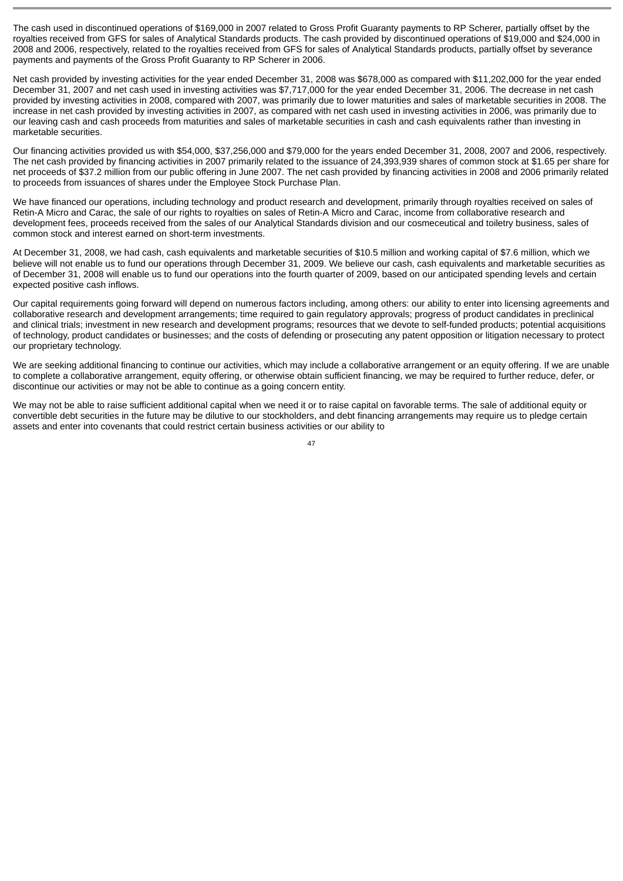The cash used in discontinued operations of \$169,000 in 2007 related to Gross Profit Guaranty payments to RP Scherer, partially offset by the royalties received from GFS for sales of Analytical Standards products. The cash provided by discontinued operations of \$19,000 and \$24,000 in 2008 and 2006, respectively, related to the royalties received from GFS for sales of Analytical Standards products, partially offset by severance payments and payments of the Gross Profit Guaranty to RP Scherer in 2006.

Net cash provided by investing activities for the year ended December 31, 2008 was \$678,000 as compared with \$11,202,000 for the year ended December 31, 2007 and net cash used in investing activities was \$7,717,000 for the year ended December 31, 2006. The decrease in net cash provided by investing activities in 2008, compared with 2007, was primarily due to lower maturities and sales of marketable securities in 2008. The increase in net cash provided by investing activities in 2007, as compared with net cash used in investing activities in 2006, was primarily due to our leaving cash and cash proceeds from maturities and sales of marketable securities in cash and cash equivalents rather than investing in marketable securities.

Our financing activities provided us with \$54,000, \$37,256,000 and \$79,000 for the years ended December 31, 2008, 2007 and 2006, respectively. The net cash provided by financing activities in 2007 primarily related to the issuance of 24,393,939 shares of common stock at \$1.65 per share for net proceeds of \$37.2 million from our public offering in June 2007. The net cash provided by financing activities in 2008 and 2006 primarily related to proceeds from issuances of shares under the Employee Stock Purchase Plan.

We have financed our operations, including technology and product research and development, primarily through royalties received on sales of Retin-A Micro and Carac, the sale of our rights to royalties on sales of Retin-A Micro and Carac, income from collaborative research and development fees, proceeds received from the sales of our Analytical Standards division and our cosmeceutical and toiletry business, sales of common stock and interest earned on short-term investments.

At December 31, 2008, we had cash, cash equivalents and marketable securities of \$10.5 million and working capital of \$7.6 million, which we believe will not enable us to fund our operations through December 31, 2009. We believe our cash, cash equivalents and marketable securities as of December 31, 2008 will enable us to fund our operations into the fourth quarter of 2009, based on our anticipated spending levels and certain expected positive cash inflows.

Our capital requirements going forward will depend on numerous factors including, among others: our ability to enter into licensing agreements and collaborative research and development arrangements; time required to gain regulatory approvals; progress of product candidates in preclinical and clinical trials; investment in new research and development programs; resources that we devote to self-funded products; potential acquisitions of technology, product candidates or businesses; and the costs of defending or prosecuting any patent opposition or litigation necessary to protect our proprietary technology.

We are seeking additional financing to continue our activities, which may include a collaborative arrangement or an equity offering. If we are unable to complete a collaborative arrangement, equity offering, or otherwise obtain sufficient financing, we may be required to further reduce, defer, or discontinue our activities or may not be able to continue as a going concern entity.

We may not be able to raise sufficient additional capital when we need it or to raise capital on favorable terms. The sale of additional equity or convertible debt securities in the future may be dilutive to our stockholders, and debt financing arrangements may require us to pledge certain assets and enter into covenants that could restrict certain business activities or our ability to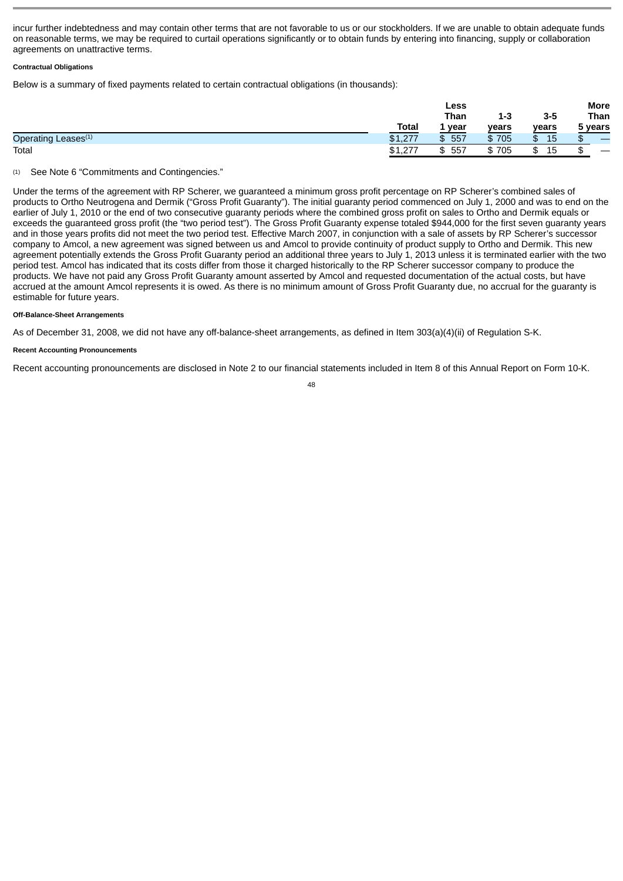incur further indebtedness and may contain other terms that are not favorable to us or our stockholders. If we are unable to obtain adequate funds on reasonable terms, we may be required to curtail operations significantly or to obtain funds by entering into financing, supply or collaboration agreements on unattractive terms.

# **Contractual Obligations**

Below is a summary of fixed payments related to certain contractual obligations (in thousands):

|                                 |              | Less        |           |                         | More    |
|---------------------------------|--------------|-------------|-----------|-------------------------|---------|
|                                 |              | <b>Than</b> | $1 - 3$   | $3-5$                   | Than    |
|                                 | <b>Total</b> | . year      | years     | years                   | 5 years |
| Operating Leases <sup>(1)</sup> | \$1.277      | 557<br>\$   | 705<br>\$ | 15<br>$\mathbf{r}$<br>ъ | w       |
| Total                           | \$1,277      | 557<br>S    | 705<br>\$ | 15                      |         |

# (1) See Note 6 "Commitments and Contingencies."

Under the terms of the agreement with RP Scherer, we guaranteed a minimum gross profit percentage on RP Scherer's combined sales of products to Ortho Neutrogena and Dermik ("Gross Profit Guaranty"). The initial guaranty period commenced on July 1, 2000 and was to end on the earlier of July 1, 2010 or the end of two consecutive guaranty periods where the combined gross profit on sales to Ortho and Dermik equals or exceeds the guaranteed gross profit (the "two period test"). The Gross Profit Guaranty expense totaled \$944,000 for the first seven guaranty years and in those years profits did not meet the two period test. Effective March 2007, in conjunction with a sale of assets by RP Scherer's successor company to Amcol, a new agreement was signed between us and Amcol to provide continuity of product supply to Ortho and Dermik. This new agreement potentially extends the Gross Profit Guaranty period an additional three years to July 1, 2013 unless it is terminated earlier with the two period test. Amcol has indicated that its costs differ from those it charged historically to the RP Scherer successor company to produce the products. We have not paid any Gross Profit Guaranty amount asserted by Amcol and requested documentation of the actual costs, but have accrued at the amount Amcol represents it is owed. As there is no minimum amount of Gross Profit Guaranty due, no accrual for the guaranty is estimable for future years.

# **Off-Balance-Sheet Arrangements**

As of December 31, 2008, we did not have any off-balance-sheet arrangements, as defined in Item 303(a)(4)(ii) of Regulation S-K.

# **Recent Accounting Pronouncements**

Recent accounting pronouncements are disclosed in Note 2 to our financial statements included in Item 8 of this Annual Report on Form 10-K.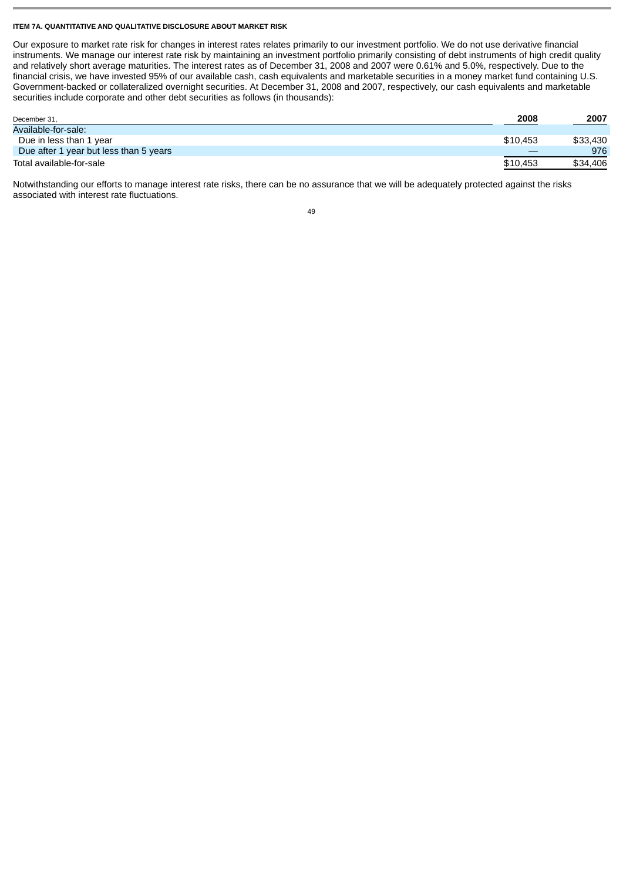#### **ITEM 7A. QUANTITATIVE AND QUALITATIVE DISCLOSURE ABOUT MARKET RISK**

Our exposure to market rate risk for changes in interest rates relates primarily to our investment portfolio. We do not use derivative financial instruments. We manage our interest rate risk by maintaining an investment portfolio primarily consisting of debt instruments of high credit quality and relatively short average maturities. The interest rates as of December 31, 2008 and 2007 were 0.61% and 5.0%, respectively. Due to the financial crisis, we have invested 95% of our available cash, cash equivalents and marketable securities in a money market fund containing U.S. Government-backed or collateralized overnight securities. At December 31, 2008 and 2007, respectively, our cash equivalents and marketable securities include corporate and other debt securities as follows (in thousands):

| December 31,                           | 2008     | 2007     |
|----------------------------------------|----------|----------|
| Available-for-sale:                    |          |          |
| Due in less than 1 year                | \$10.453 | \$33,430 |
| Due after 1 year but less than 5 years |          | 976      |
| Total available-for-sale               | \$10.453 | \$34,406 |

Notwithstanding our efforts to manage interest rate risks, there can be no assurance that we will be adequately protected against the risks associated with interest rate fluctuations.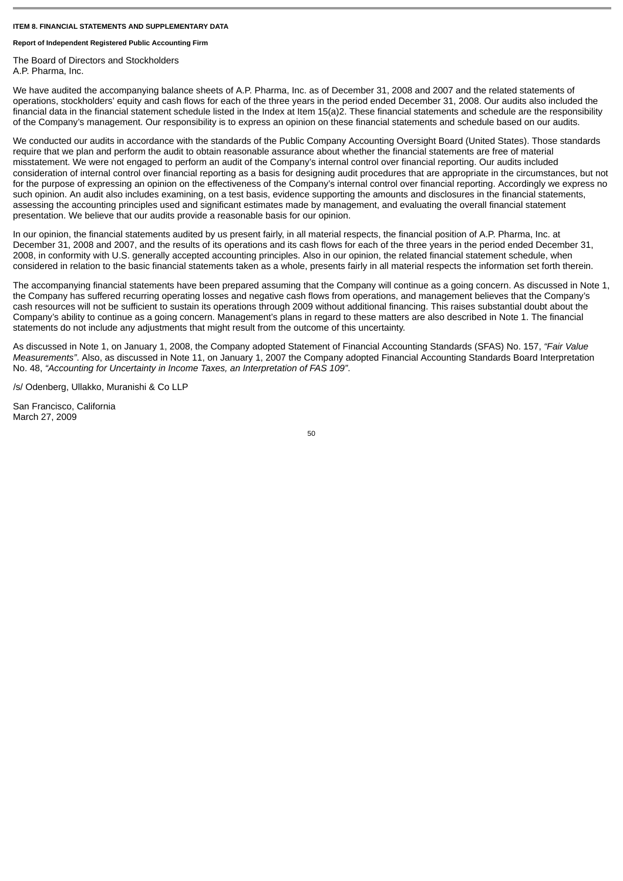#### **ITEM 8. FINANCIAL STATEMENTS AND SUPPLEMENTARY DATA**

#### **Report of Independent Registered Public Accounting Firm**

The Board of Directors and Stockholders A.P. Pharma, Inc.

We have audited the accompanying balance sheets of A.P. Pharma, Inc. as of December 31, 2008 and 2007 and the related statements of operations, stockholders' equity and cash flows for each of the three years in the period ended December 31, 2008. Our audits also included the financial data in the financial statement schedule listed in the Index at Item 15(a)2. These financial statements and schedule are the responsibility of the Company's management. Our responsibility is to express an opinion on these financial statements and schedule based on our audits.

We conducted our audits in accordance with the standards of the Public Company Accounting Oversight Board (United States). Those standards require that we plan and perform the audit to obtain reasonable assurance about whether the financial statements are free of material misstatement. We were not engaged to perform an audit of the Company's internal control over financial reporting. Our audits included consideration of internal control over financial reporting as a basis for designing audit procedures that are appropriate in the circumstances, but not for the purpose of expressing an opinion on the effectiveness of the Company's internal control over financial reporting. Accordingly we express no such opinion. An audit also includes examining, on a test basis, evidence supporting the amounts and disclosures in the financial statements, assessing the accounting principles used and significant estimates made by management, and evaluating the overall financial statement presentation. We believe that our audits provide a reasonable basis for our opinion.

In our opinion, the financial statements audited by us present fairly, in all material respects, the financial position of A.P. Pharma, Inc. at December 31, 2008 and 2007, and the results of its operations and its cash flows for each of the three years in the period ended December 31, 2008, in conformity with U.S. generally accepted accounting principles. Also in our opinion, the related financial statement schedule, when considered in relation to the basic financial statements taken as a whole, presents fairly in all material respects the information set forth therein.

The accompanying financial statements have been prepared assuming that the Company will continue as a going concern. As discussed in Note 1, the Company has suffered recurring operating losses and negative cash flows from operations, and management believes that the Company's cash resources will not be sufficient to sustain its operations through 2009 without additional financing. This raises substantial doubt about the Company's ability to continue as a going concern. Management's plans in regard to these matters are also described in Note 1. The financial statements do not include any adjustments that might result from the outcome of this uncertainty.

As discussed in Note 1, on January 1, 2008, the Company adopted Statement of Financial Accounting Standards (SFAS) No. 157, *"Fair Value Measurements"*. Also, as discussed in Note 11, on January 1, 2007 the Company adopted Financial Accounting Standards Board Interpretation No. 48, *"Accounting for Uncertainty in Income Taxes, an Interpretation of FAS 109"*.

/s/ Odenberg, Ullakko, Muranishi & Co LLP

San Francisco, California March 27, 2009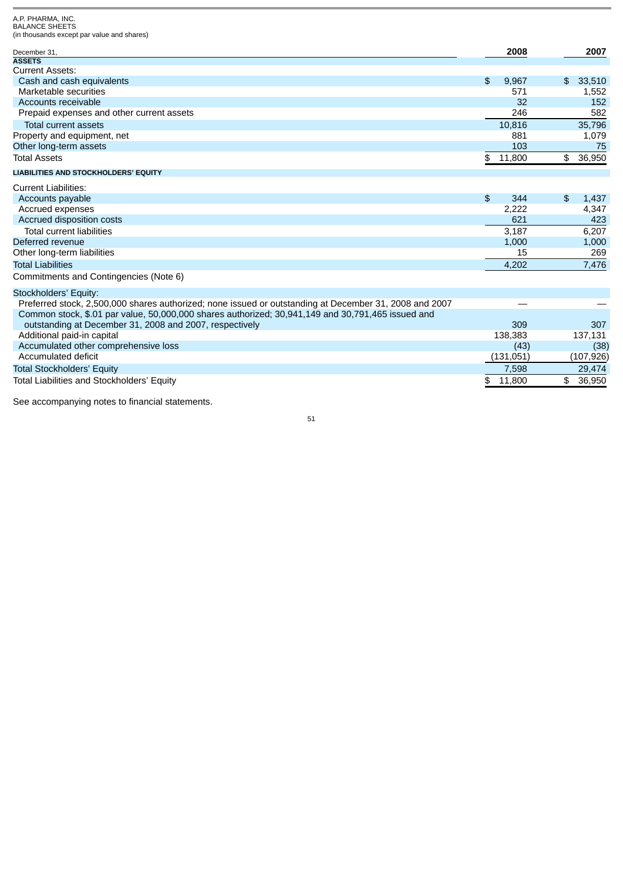| December 31,                                                                                           |                | 2008      |                | 2007       |
|--------------------------------------------------------------------------------------------------------|----------------|-----------|----------------|------------|
| <b>ASSETS</b>                                                                                          |                |           |                |            |
| <b>Current Assets:</b>                                                                                 |                |           |                |            |
| Cash and cash equivalents                                                                              | \$             | 9,967     | \$             | 33,510     |
| Marketable securities                                                                                  |                | 571       |                | 1,552      |
| Accounts receivable                                                                                    |                | 32        |                | 152        |
| Prepaid expenses and other current assets                                                              |                | 246       |                | 582        |
| <b>Total current assets</b>                                                                            |                | 10,816    |                | 35,796     |
| Property and equipment, net                                                                            |                | 881       |                | 1,079      |
| Other long-term assets                                                                                 |                | 103       |                | 75         |
| <b>Total Assets</b>                                                                                    | \$             | 11,800    | \$             | 36,950     |
| <b>LIABILITIES AND STOCKHOLDERS' EQUITY</b>                                                            |                |           |                |            |
| <b>Current Liabilities:</b>                                                                            |                |           |                |            |
| Accounts payable                                                                                       | $\mathfrak{L}$ | 344       | \$             | 1,437      |
| Accrued expenses                                                                                       |                | 2,222     |                | 4,347      |
| Accrued disposition costs                                                                              |                | 621       |                | 423        |
| <b>Total current liabilities</b>                                                                       |                | 3,187     |                | 6,207      |
| Deferred revenue                                                                                       |                | 1,000     |                | 1,000      |
| Other long-term liabilities                                                                            |                | 15        |                | 269        |
| <b>Total Liabilities</b>                                                                               |                | 4,202     |                | 7,476      |
| Commitments and Contingencies (Note 6)                                                                 |                |           |                |            |
| Stockholders' Equity:                                                                                  |                |           |                |            |
| Preferred stock, 2,500,000 shares authorized; none issued or outstanding at December 31, 2008 and 2007 |                |           |                |            |
| Common stock, \$.01 par value, 50,000,000 shares authorized; 30,941,149 and 30,791,465 issued and      |                | 309       |                |            |
| outstanding at December 31, 2008 and 2007, respectively                                                |                | 138.383   |                | 307        |
| Additional paid-in capital<br>Accumulated other comprehensive loss                                     |                |           |                | 137,131    |
| Accumulated deficit                                                                                    |                | (43)      |                | (38)       |
|                                                                                                        |                | (131,051) |                | (107, 926) |
| <b>Total Stockholders' Equity</b>                                                                      |                | 7,598     |                | 29,474     |
| Total Liabilities and Stockholders' Equity                                                             | \$             | 11,800    | $\mathfrak{D}$ | 36,950     |

See accompanying notes to financial statements.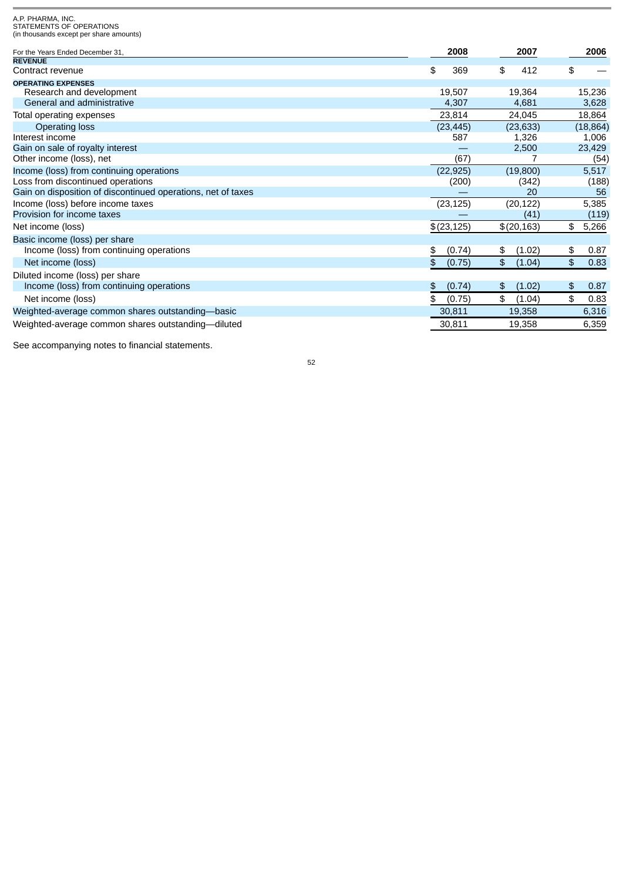A.P. PHARMA, INC. STATEMENTS OF OPERATIONS (in thousands except per share amounts)

| For the Years Ended December 31,                             | 2008         |               | 2007       | 2006        |
|--------------------------------------------------------------|--------------|---------------|------------|-------------|
| <b>REVENUE</b>                                               |              |               |            |             |
| Contract revenue                                             | \$<br>369    | \$            | 412        | \$          |
| <b>OPERATING EXPENSES</b>                                    |              |               |            |             |
| Research and development                                     | 19,507       |               | 19,364     | 15,236      |
| General and administrative                                   | 4,307        |               | 4,681      | 3,628       |
| Total operating expenses                                     | 23,814       |               | 24,045     | 18,864      |
| <b>Operating loss</b>                                        | (23, 445)    |               | (23, 633)  | (18, 864)   |
| Interest income                                              | 587          |               | 1,326      | 1,006       |
| Gain on sale of royalty interest                             |              |               | 2,500      | 23,429      |
| Other income (loss), net                                     | (67)         |               |            | (54)        |
| Income (loss) from continuing operations                     | (22, 925)    |               | (19,800)   | 5,517       |
| Loss from discontinued operations                            | (200)        |               | (342)      | (188)       |
| Gain on disposition of discontinued operations, net of taxes |              |               | 20         | 56          |
| Income (loss) before income taxes                            | (23, 125)    |               | (20, 122)  | 5,385       |
| Provision for income taxes                                   |              |               | (41)       | (119)       |
| Net income (loss)                                            | \$(23,125)   |               | \$(20,163) | \$<br>5,266 |
| Basic income (loss) per share                                |              |               |            |             |
| Income (loss) from continuing operations                     | \$<br>(0.74) | \$            | (1.02)     | \$<br>0.87  |
| Net income (loss)                                            | \$<br>(0.75) | $\frac{2}{3}$ | (1.04)     | \$<br>0.83  |
| Diluted income (loss) per share                              |              |               |            |             |
| Income (loss) from continuing operations                     | \$<br>(0.74) | \$            | (1.02)     | \$<br>0.87  |
| Net income (loss)                                            | \$<br>(0.75) | \$            | (1.04)     | \$<br>0.83  |
| Weighted-average common shares outstanding-basic             | 30,811       |               | 19,358     | 6,316       |
| Weighted-average common shares outstanding-diluted           | 30,811       |               | 19,358     | 6,359       |

See accompanying notes to financial statements.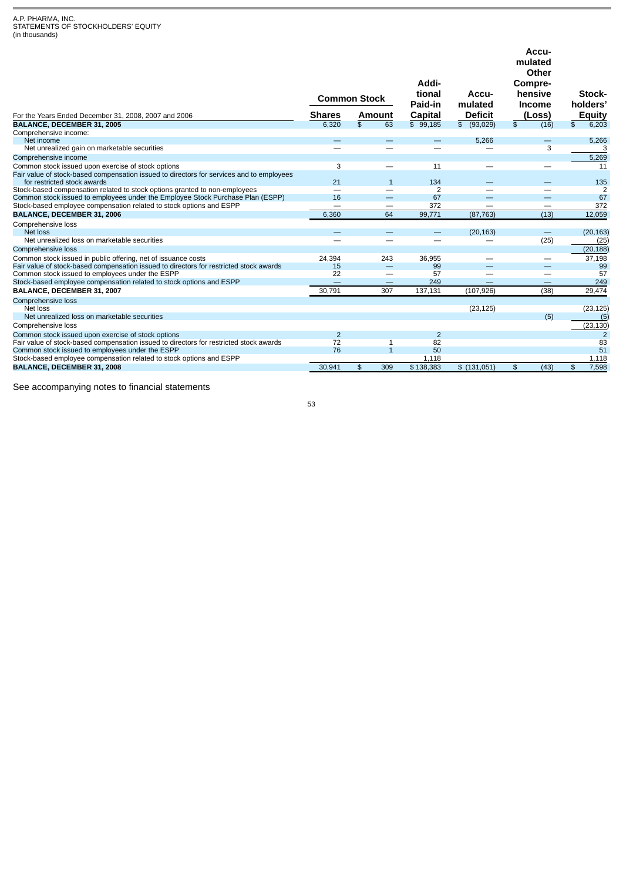# A.P. PHARMA, INC. STATEMENTS OF STOCKHOLDERS' EQUITY (in thousands)

|                                                                                                                         | <b>Common Stock</b>      |                         |                          | Addi-<br>tional          | Accu-           | Accu-<br>mulated<br><b>Other</b><br>Compre-<br>hensive | Stock-         |
|-------------------------------------------------------------------------------------------------------------------------|--------------------------|-------------------------|--------------------------|--------------------------|-----------------|--------------------------------------------------------|----------------|
|                                                                                                                         |                          |                         |                          | Paid-in                  | mulated         | <b>Income</b>                                          | holders'       |
| For the Years Ended December 31, 2008, 2007 and 2006                                                                    | <b>Shares</b>            | <b>Amount</b>           |                          | Capital                  | <b>Deficit</b>  | (Loss)                                                 | <b>Equity</b>  |
| <b>BALANCE, DECEMBER 31, 2005</b>                                                                                       | 6.320                    | $\overline{\mathbf{s}}$ | 63                       | \$99.185                 | $\sqrt{93,029}$ | $\mathfrak{L}$<br>(16)                                 | \$<br>6.203    |
| Comprehensive income:                                                                                                   |                          |                         |                          |                          |                 |                                                        |                |
| Net income                                                                                                              |                          |                         |                          | $\overline{\phantom{0}}$ | 5.266           | —<br>3                                                 | 5,266          |
| Net unrealized gain on marketable securities                                                                            |                          |                         |                          |                          |                 |                                                        |                |
| Comprehensive income                                                                                                    |                          |                         |                          |                          |                 |                                                        | 5,269          |
| Common stock issued upon exercise of stock options                                                                      | 3                        |                         | $\overline{\phantom{0}}$ | 11                       |                 | –                                                      | 11             |
| Fair value of stock-based compensation issued to directors for services and to employees<br>for restricted stock awards | 21                       |                         | $\mathbf{1}$             | 134                      |                 |                                                        | 135            |
| Stock-based compensation related to stock options granted to non-employees                                              |                          |                         |                          | $\overline{2}$           |                 |                                                        | $\overline{2}$ |
| Common stock issued to employees under the Employee Stock Purchase Plan (ESPP)                                          | 16                       |                         | $\qquad \qquad -$        | 67                       | $\sim$          | -                                                      | 67             |
| Stock-based employee compensation related to stock options and ESPP                                                     |                          |                         | ÷.                       | 372                      |                 |                                                        | 372            |
| <b>BALANCE, DECEMBER 31, 2006</b>                                                                                       | 6,360                    |                         | 64                       | 99,771                   | (87, 763)       | (13)                                                   | 12,059         |
| Comprehensive loss                                                                                                      |                          |                         |                          |                          |                 |                                                        |                |
| Net loss                                                                                                                |                          |                         |                          |                          | (20, 163)       | $\hspace{0.05cm}$                                      | (20, 163)      |
| Net unrealized loss on marketable securities                                                                            |                          |                         |                          |                          |                 | (25)                                                   | (25)           |
| Comprehensive loss                                                                                                      |                          |                         |                          |                          |                 |                                                        | (20, 188)      |
| Common stock issued in public offering, net of issuance costs                                                           | 24.394                   |                         | 243                      | 36,955                   |                 |                                                        | 37,198         |
| Fair value of stock-based compensation issued to directors for restricted stock awards                                  | 15                       |                         | $\equiv$                 | 99                       |                 |                                                        | 99             |
| Common stock issued to employees under the ESPP                                                                         | 22                       |                         |                          | 57                       |                 |                                                        | 57             |
| Stock-based employee compensation related to stock options and ESPP                                                     | $\overline{\phantom{0}}$ |                         |                          | 249                      |                 |                                                        | 249            |
| BALANCE, DECEMBER 31, 2007                                                                                              | 30,791                   |                         | 307                      | 137,131                  | (107, 926)      | (38)                                                   | 29,474         |
| Comprehensive loss                                                                                                      |                          |                         |                          |                          |                 |                                                        |                |
| Net loss                                                                                                                |                          |                         |                          |                          | (23, 125)       |                                                        | (23, 125)      |
| Net unrealized loss on marketable securities                                                                            |                          |                         |                          |                          |                 | (5)                                                    | (5)            |
| Comprehensive loss                                                                                                      |                          |                         |                          |                          |                 |                                                        | (23, 130)      |
| Common stock issued upon exercise of stock options                                                                      | $\overline{2}$           |                         |                          | $\overline{2}$           |                 |                                                        | $\overline{2}$ |
| Fair value of stock-based compensation issued to directors for restricted stock awards                                  | 72                       |                         | $\mathbf{1}$             | 82                       |                 |                                                        | 83             |
| Common stock issued to employees under the ESPP                                                                         | 76                       |                         | $\mathbf{1}$             | 50                       |                 |                                                        | 51             |
| Stock-based employee compensation related to stock options and ESPP                                                     |                          |                         |                          | 1,118                    |                 |                                                        | 1,118          |
| BALANCE, DECEMBER 31, 2008                                                                                              | 30,941                   | $\mathfrak{S}$          | 309                      | \$138.383                | \$(131.051)     | \$<br>(43)                                             | 7,598<br>\$    |
|                                                                                                                         |                          |                         |                          |                          |                 |                                                        |                |

See accompanying notes to financial statements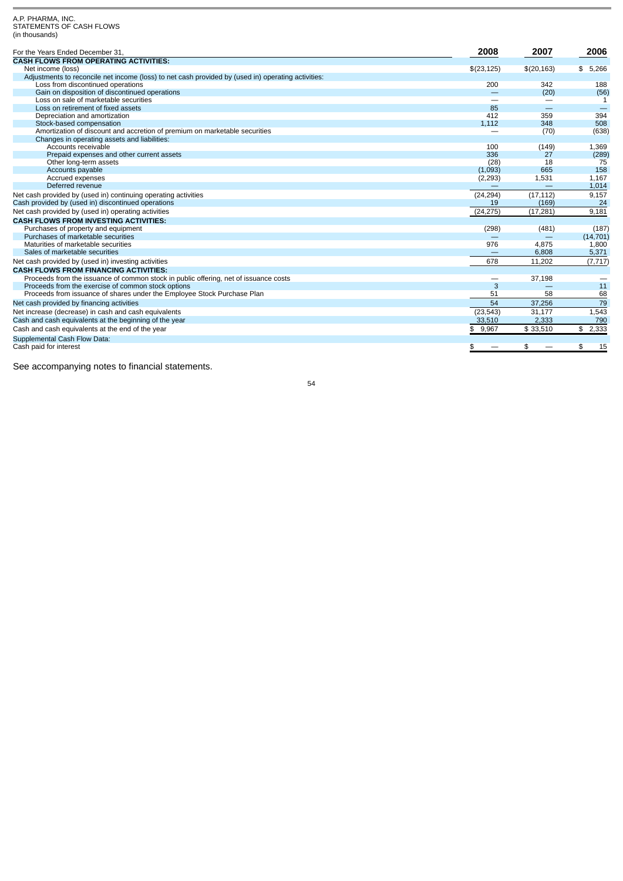| For the Years Ended December 31,                                                                   | 2008                                | 2007        | 2006      |
|----------------------------------------------------------------------------------------------------|-------------------------------------|-------------|-----------|
| <b>CASH FLOWS FROM OPERATING ACTIVITIES:</b>                                                       |                                     |             |           |
| Net income (loss)                                                                                  | \$(23,125)                          | \$(20, 163) | \$5,266   |
| Adjustments to reconcile net income (loss) to net cash provided by (used in) operating activities: |                                     |             |           |
| Loss from discontinued operations                                                                  | 200                                 | 342         | 188       |
| Gain on disposition of discontinued operations                                                     | and the contract of the contract of | (20)        | (56)      |
| Loss on sale of marketable securities                                                              |                                     |             | 1         |
| Loss on retirement of fixed assets                                                                 | 85                                  |             |           |
| Depreciation and amortization                                                                      | 412                                 | 359         | 394       |
| Stock-based compensation                                                                           | 1,112                               | 348         | 508       |
| Amortization of discount and accretion of premium on marketable securities                         |                                     | (70)        | (638)     |
| Changes in operating assets and liabilities:                                                       |                                     |             |           |
| Accounts receivable                                                                                | 100                                 | (149)       | 1,369     |
| Prepaid expenses and other current assets                                                          | 336                                 | 27          | (289)     |
| Other long-term assets                                                                             | (28)                                | 18          | 75        |
| Accounts payable                                                                                   | (1,093)                             | 665         | 158       |
| Accrued expenses                                                                                   | (2, 293)                            | 1,531       | 1,167     |
| Deferred revenue                                                                                   |                                     |             | 1,014     |
| Net cash provided by (used in) continuing operating activities                                     | (24, 294)                           | (17, 112)   | 9,157     |
| Cash provided by (used in) discontinued operations                                                 | 19                                  | (169)       | 24        |
| Net cash provided by (used in) operating activities                                                | (24, 275)                           | (17, 281)   | 9,181     |
| <b>CASH FLOWS FROM INVESTING ACTIVITIES:</b>                                                       |                                     |             |           |
| Purchases of property and equipment                                                                | (298)                               | (481)       | (187)     |
| Purchases of marketable securities                                                                 |                                     |             | (14, 701) |
| Maturities of marketable securities                                                                | 976                                 | 4,875       | 1,800     |
| Sales of marketable securities                                                                     | -                                   | 6,808       | 5,371     |
| Net cash provided by (used in) investing activities                                                | 678                                 | 11,202      | (7, 717)  |
| <b>CASH FLOWS FROM FINANCING ACTIVITIES:</b>                                                       |                                     |             |           |
| Proceeds from the issuance of common stock in public offering, net of issuance costs               | --                                  | 37,198      |           |
| Proceeds from the exercise of common stock options                                                 | 3                                   |             | 11        |
| Proceeds from issuance of shares under the Employee Stock Purchase Plan                            | 51                                  | 58          | 68        |
| Net cash provided by financing activities                                                          | 54                                  | 37.256      | 79        |
| Net increase (decrease) in cash and cash equivalents                                               | (23, 543)                           | 31,177      | 1,543     |
| Cash and cash equivalents at the beginning of the year                                             | 33,510                              | 2,333       | 790       |
| Cash and cash equivalents at the end of the year                                                   | 9,967<br>\$                         | \$33,510    | \$2,333   |
| Supplemental Cash Flow Data:                                                                       |                                     |             |           |
| Cash paid for interest                                                                             | \$                                  | \$          | \$<br>15  |

See accompanying notes to financial statements.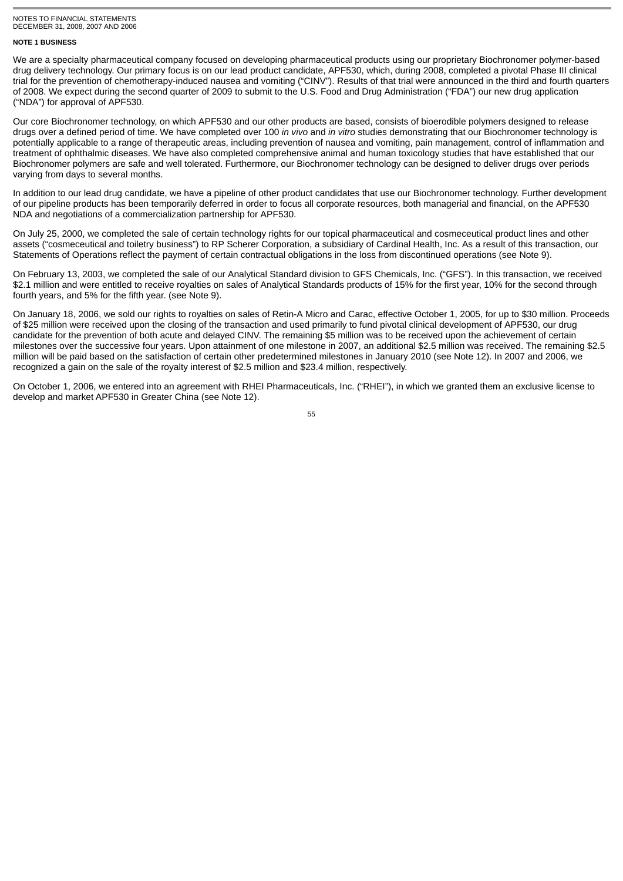# **NOTE 1 BUSINESS**

We are a specialty pharmaceutical company focused on developing pharmaceutical products using our proprietary Biochronomer polymer-based drug delivery technology. Our primary focus is on our lead product candidate, APF530, which, during 2008, completed a pivotal Phase III clinical trial for the prevention of chemotherapy-induced nausea and vomiting ("CINV"). Results of that trial were announced in the third and fourth quarters of 2008. We expect during the second quarter of 2009 to submit to the U.S. Food and Drug Administration ("FDA") our new drug application ("NDA") for approval of APF530.

Our core Biochronomer technology, on which APF530 and our other products are based, consists of bioerodible polymers designed to release drugs over a defined period of time. We have completed over 100 *in vivo* and *in vitro* studies demonstrating that our Biochronomer technology is potentially applicable to a range of therapeutic areas, including prevention of nausea and vomiting, pain management, control of inflammation and treatment of ophthalmic diseases. We have also completed comprehensive animal and human toxicology studies that have established that our Biochronomer polymers are safe and well tolerated. Furthermore, our Biochronomer technology can be designed to deliver drugs over periods varying from days to several months.

In addition to our lead drug candidate, we have a pipeline of other product candidates that use our Biochronomer technology. Further development of our pipeline products has been temporarily deferred in order to focus all corporate resources, both managerial and financial, on the APF530 NDA and negotiations of a commercialization partnership for APF530.

On July 25, 2000, we completed the sale of certain technology rights for our topical pharmaceutical and cosmeceutical product lines and other assets ("cosmeceutical and toiletry business") to RP Scherer Corporation, a subsidiary of Cardinal Health, Inc. As a result of this transaction, our Statements of Operations reflect the payment of certain contractual obligations in the loss from discontinued operations (see Note 9).

On February 13, 2003, we completed the sale of our Analytical Standard division to GFS Chemicals, Inc. ("GFS"). In this transaction, we received \$2.1 million and were entitled to receive royalties on sales of Analytical Standards products of 15% for the first year, 10% for the second through fourth years, and 5% for the fifth year. (see Note 9).

On January 18, 2006, we sold our rights to royalties on sales of Retin-A Micro and Carac, effective October 1, 2005, for up to \$30 million. Proceeds of \$25 million were received upon the closing of the transaction and used primarily to fund pivotal clinical development of APF530, our drug candidate for the prevention of both acute and delayed CINV. The remaining \$5 million was to be received upon the achievement of certain milestones over the successive four years. Upon attainment of one milestone in 2007, an additional \$2.5 million was received. The remaining \$2.5 million will be paid based on the satisfaction of certain other predetermined milestones in January 2010 (see Note 12). In 2007 and 2006, we recognized a gain on the sale of the royalty interest of \$2.5 million and \$23.4 million, respectively.

On October 1, 2006, we entered into an agreement with RHEI Pharmaceuticals, Inc. ("RHEI"), in which we granted them an exclusive license to develop and market APF530 in Greater China (see Note 12).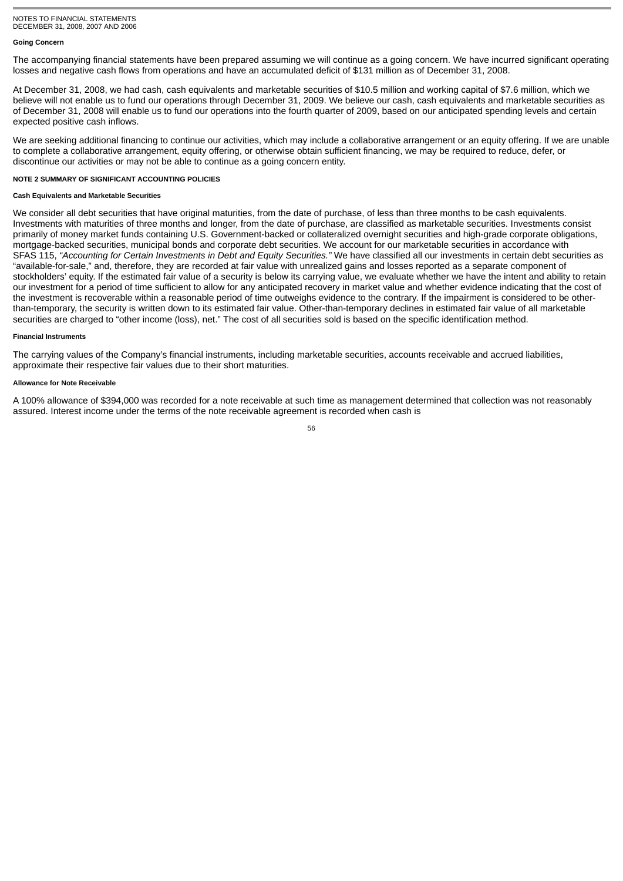#### **Going Concern**

The accompanying financial statements have been prepared assuming we will continue as a going concern. We have incurred significant operating losses and negative cash flows from operations and have an accumulated deficit of \$131 million as of December 31, 2008.

At December 31, 2008, we had cash, cash equivalents and marketable securities of \$10.5 million and working capital of \$7.6 million, which we believe will not enable us to fund our operations through December 31, 2009. We believe our cash, cash equivalents and marketable securities as of December 31, 2008 will enable us to fund our operations into the fourth quarter of 2009, based on our anticipated spending levels and certain expected positive cash inflows.

We are seeking additional financing to continue our activities, which may include a collaborative arrangement or an equity offering. If we are unable to complete a collaborative arrangement, equity offering, or otherwise obtain sufficient financing, we may be required to reduce, defer, or discontinue our activities or may not be able to continue as a going concern entity.

# **NOTE 2 SUMMARY OF SIGNIFICANT ACCOUNTING POLICIES**

# **Cash Equivalents and Marketable Securities**

We consider all debt securities that have original maturities, from the date of purchase, of less than three months to be cash equivalents. Investments with maturities of three months and longer, from the date of purchase, are classified as marketable securities. Investments consist primarily of money market funds containing U.S. Government-backed or collateralized overnight securities and high-grade corporate obligations, mortgage-backed securities, municipal bonds and corporate debt securities. We account for our marketable securities in accordance with SFAS 115, *"Accounting for Certain Investments in Debt and Equity Securities."* We have classified all our investments in certain debt securities as "available-for-sale," and, therefore, they are recorded at fair value with unrealized gains and losses reported as a separate component of stockholders' equity. If the estimated fair value of a security is below its carrying value, we evaluate whether we have the intent and ability to retain our investment for a period of time sufficient to allow for any anticipated recovery in market value and whether evidence indicating that the cost of the investment is recoverable within a reasonable period of time outweighs evidence to the contrary. If the impairment is considered to be otherthan-temporary, the security is written down to its estimated fair value. Other-than-temporary declines in estimated fair value of all marketable securities are charged to "other income (loss), net." The cost of all securities sold is based on the specific identification method.

# **Financial Instruments**

The carrying values of the Company's financial instruments, including marketable securities, accounts receivable and accrued liabilities, approximate their respective fair values due to their short maturities.

# **Allowance for Note Receivable**

A 100% allowance of \$394,000 was recorded for a note receivable at such time as management determined that collection was not reasonably assured. Interest income under the terms of the note receivable agreement is recorded when cash is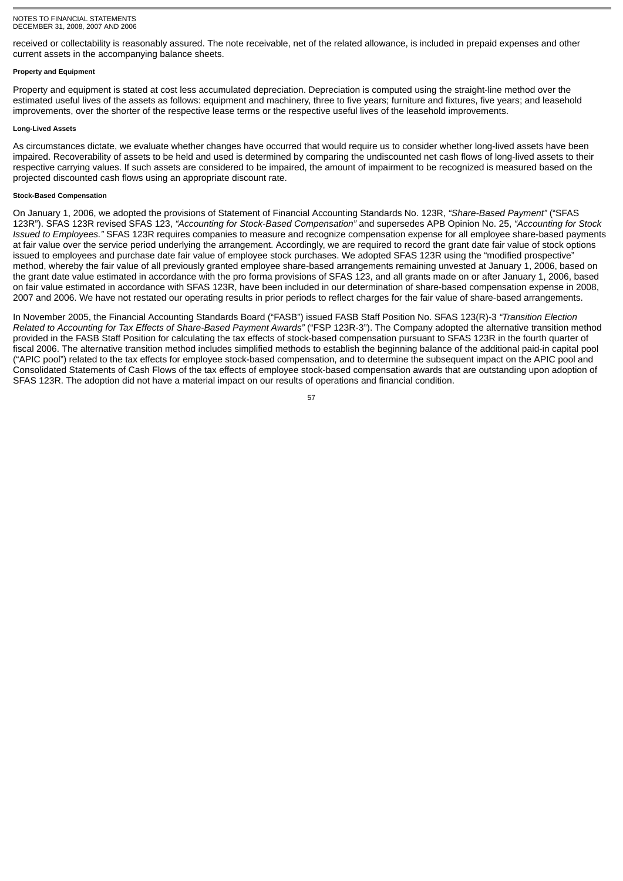received or collectability is reasonably assured. The note receivable, net of the related allowance, is included in prepaid expenses and other current assets in the accompanying balance sheets.

# **Property and Equipment**

Property and equipment is stated at cost less accumulated depreciation. Depreciation is computed using the straight-line method over the estimated useful lives of the assets as follows: equipment and machinery, three to five years; furniture and fixtures, five years; and leasehold improvements, over the shorter of the respective lease terms or the respective useful lives of the leasehold improvements.

# **Long-Lived Assets**

As circumstances dictate, we evaluate whether changes have occurred that would require us to consider whether long-lived assets have been impaired. Recoverability of assets to be held and used is determined by comparing the undiscounted net cash flows of long-lived assets to their respective carrying values. If such assets are considered to be impaired, the amount of impairment to be recognized is measured based on the projected discounted cash flows using an appropriate discount rate.

# **Stock-Based Compensation**

On January 1, 2006, we adopted the provisions of Statement of Financial Accounting Standards No. 123R, *"Share-Based Payment"* ("SFAS 123R"). SFAS 123R revised SFAS 123, *"Accounting for Stock-Based Compensation"* and supersedes APB Opinion No. 25, *"Accounting for Stock Issued to Employees."* SFAS 123R requires companies to measure and recognize compensation expense for all employee share-based payments at fair value over the service period underlying the arrangement. Accordingly, we are required to record the grant date fair value of stock options issued to employees and purchase date fair value of employee stock purchases. We adopted SFAS 123R using the "modified prospective" method, whereby the fair value of all previously granted employee share-based arrangements remaining unvested at January 1, 2006, based on the grant date value estimated in accordance with the pro forma provisions of SFAS 123, and all grants made on or after January 1, 2006, based on fair value estimated in accordance with SFAS 123R, have been included in our determination of share-based compensation expense in 2008, 2007 and 2006. We have not restated our operating results in prior periods to reflect charges for the fair value of share-based arrangements.

In November 2005, the Financial Accounting Standards Board ("FASB") issued FASB Staff Position No. SFAS 123(R)-3 *"Transition Election Related to Accounting for Tax Effects of Share-Based Payment Awards"* ("FSP 123R-3"). The Company adopted the alternative transition method provided in the FASB Staff Position for calculating the tax effects of stock-based compensation pursuant to SFAS 123R in the fourth quarter of fiscal 2006. The alternative transition method includes simplified methods to establish the beginning balance of the additional paid-in capital pool ("APIC pool") related to the tax effects for employee stock-based compensation, and to determine the subsequent impact on the APIC pool and Consolidated Statements of Cash Flows of the tax effects of employee stock-based compensation awards that are outstanding upon adoption of SFAS 123R. The adoption did not have a material impact on our results of operations and financial condition.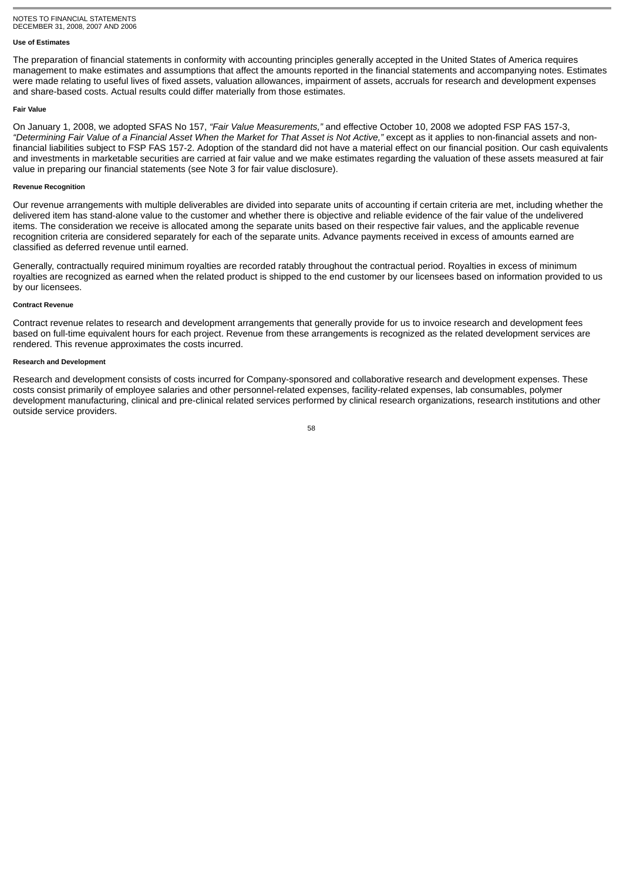#### **Use of Estimates**

The preparation of financial statements in conformity with accounting principles generally accepted in the United States of America requires management to make estimates and assumptions that affect the amounts reported in the financial statements and accompanying notes. Estimates were made relating to useful lives of fixed assets, valuation allowances, impairment of assets, accruals for research and development expenses and share-based costs. Actual results could differ materially from those estimates.

# **Fair Value**

On January 1, 2008, we adopted SFAS No 157, *"Fair Value Measurements,"* and effective October 10, 2008 we adopted FSP FAS 157-3, *"Determining Fair Value of a Financial Asset When the Market for That Asset is Not Active,"* except as it applies to non-financial assets and nonfinancial liabilities subject to FSP FAS 157-2. Adoption of the standard did not have a material effect on our financial position. Our cash equivalents and investments in marketable securities are carried at fair value and we make estimates regarding the valuation of these assets measured at fair value in preparing our financial statements (see Note 3 for fair value disclosure).

# **Revenue Recognition**

Our revenue arrangements with multiple deliverables are divided into separate units of accounting if certain criteria are met, including whether the delivered item has stand-alone value to the customer and whether there is objective and reliable evidence of the fair value of the undelivered items. The consideration we receive is allocated among the separate units based on their respective fair values, and the applicable revenue recognition criteria are considered separately for each of the separate units. Advance payments received in excess of amounts earned are classified as deferred revenue until earned.

Generally, contractually required minimum royalties are recorded ratably throughout the contractual period. Royalties in excess of minimum royalties are recognized as earned when the related product is shipped to the end customer by our licensees based on information provided to us by our licensees.

# **Contract Revenue**

Contract revenue relates to research and development arrangements that generally provide for us to invoice research and development fees based on full-time equivalent hours for each project. Revenue from these arrangements is recognized as the related development services are rendered. This revenue approximates the costs incurred.

# **Research and Development**

Research and development consists of costs incurred for Company-sponsored and collaborative research and development expenses. These costs consist primarily of employee salaries and other personnel-related expenses, facility-related expenses, lab consumables, polymer development manufacturing, clinical and pre-clinical related services performed by clinical research organizations, research institutions and other outside service providers.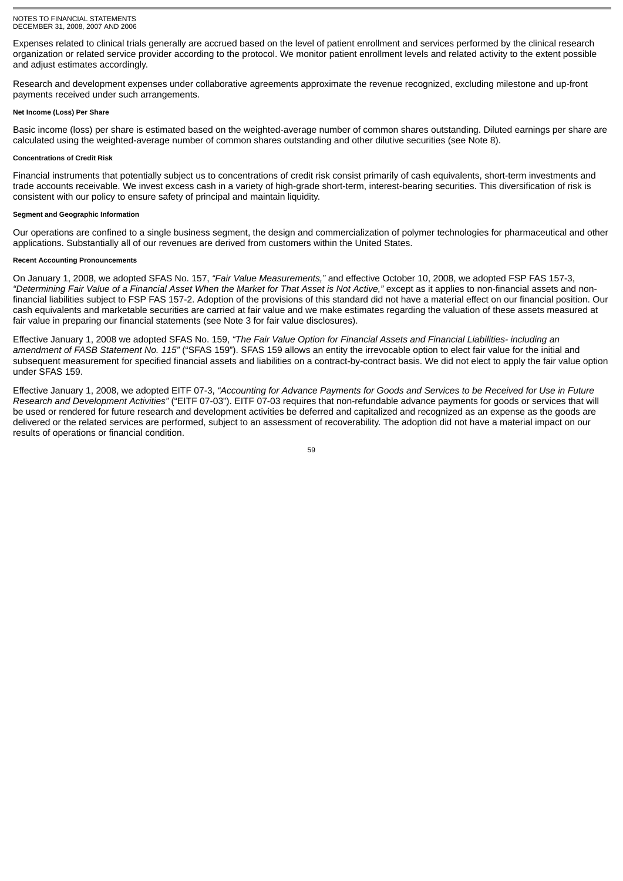#### NOTES TO FINANCIAL STATEMENTS DECEMBER 31, 2008, 2007 AND 2006

Expenses related to clinical trials generally are accrued based on the level of patient enrollment and services performed by the clinical research organization or related service provider according to the protocol. We monitor patient enrollment levels and related activity to the extent possible and adjust estimates accordingly.

Research and development expenses under collaborative agreements approximate the revenue recognized, excluding milestone and up-front payments received under such arrangements.

# **Net Income (Loss) Per Share**

Basic income (loss) per share is estimated based on the weighted-average number of common shares outstanding. Diluted earnings per share are calculated using the weighted-average number of common shares outstanding and other dilutive securities (see Note 8).

# **Concentrations of Credit Risk**

Financial instruments that potentially subject us to concentrations of credit risk consist primarily of cash equivalents, short-term investments and trade accounts receivable. We invest excess cash in a variety of high-grade short-term, interest-bearing securities. This diversification of risk is consistent with our policy to ensure safety of principal and maintain liquidity.

# **Segment and Geographic Information**

Our operations are confined to a single business segment, the design and commercialization of polymer technologies for pharmaceutical and other applications. Substantially all of our revenues are derived from customers within the United States.

# **Recent Accounting Pronouncements**

On January 1, 2008, we adopted SFAS No. 157, *"Fair Value Measurements,"* and effective October 10, 2008, we adopted FSP FAS 157-3, *"Determining Fair Value of a Financial Asset When the Market for That Asset is Not Active,"* except as it applies to non-financial assets and nonfinancial liabilities subject to FSP FAS 157-2. Adoption of the provisions of this standard did not have a material effect on our financial position. Our cash equivalents and marketable securities are carried at fair value and we make estimates regarding the valuation of these assets measured at fair value in preparing our financial statements (see Note 3 for fair value disclosures).

Effective January 1, 2008 we adopted SFAS No. 159, *"The Fair Value Option for Financial Assets and Financial Liabilities- including an amendment of FASB Statement No. 115"* ("SFAS 159"). SFAS 159 allows an entity the irrevocable option to elect fair value for the initial and subsequent measurement for specified financial assets and liabilities on a contract-by-contract basis. We did not elect to apply the fair value option under SFAS 159.

Effective January 1, 2008, we adopted EITF 07-3, *"Accounting for Advance Payments for Goods and Services to be Received for Use in Future Research and Development Activities"* ("EITF 07-03"). EITF 07-03 requires that non-refundable advance payments for goods or services that will be used or rendered for future research and development activities be deferred and capitalized and recognized as an expense as the goods are delivered or the related services are performed, subject to an assessment of recoverability. The adoption did not have a material impact on our results of operations or financial condition.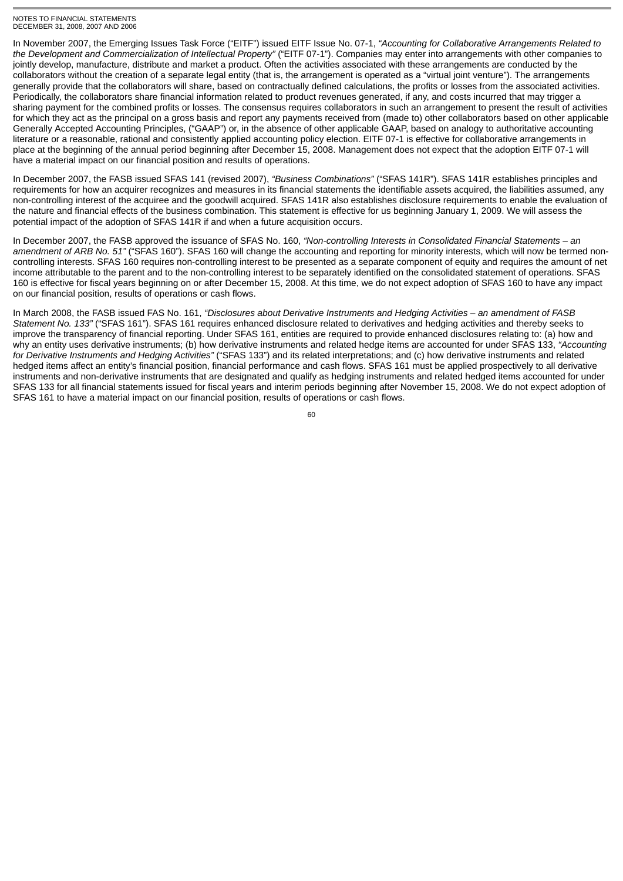In November 2007, the Emerging Issues Task Force ("EITF") issued EITF Issue No. 07-1, *"Accounting for Collaborative Arrangements Related to the Development and Commercialization of Intellectual Property"* ("EITF 07-1"). Companies may enter into arrangements with other companies to jointly develop, manufacture, distribute and market a product. Often the activities associated with these arrangements are conducted by the collaborators without the creation of a separate legal entity (that is, the arrangement is operated as a "virtual joint venture"). The arrangements generally provide that the collaborators will share, based on contractually defined calculations, the profits or losses from the associated activities. Periodically, the collaborators share financial information related to product revenues generated, if any, and costs incurred that may trigger a sharing payment for the combined profits or losses. The consensus requires collaborators in such an arrangement to present the result of activities for which they act as the principal on a gross basis and report any payments received from (made to) other collaborators based on other applicable Generally Accepted Accounting Principles, ("GAAP") or, in the absence of other applicable GAAP, based on analogy to authoritative accounting literature or a reasonable, rational and consistently applied accounting policy election. EITF 07-1 is effective for collaborative arrangements in place at the beginning of the annual period beginning after December 15, 2008. Management does not expect that the adoption EITF 07-1 will have a material impact on our financial position and results of operations.

In December 2007, the FASB issued SFAS 141 (revised 2007), *"Business Combinations"* ("SFAS 141R"). SFAS 141R establishes principles and requirements for how an acquirer recognizes and measures in its financial statements the identifiable assets acquired, the liabilities assumed, any non-controlling interest of the acquiree and the goodwill acquired. SFAS 141R also establishes disclosure requirements to enable the evaluation of the nature and financial effects of the business combination. This statement is effective for us beginning January 1, 2009. We will assess the potential impact of the adoption of SFAS 141R if and when a future acquisition occurs.

In December 2007, the FASB approved the issuance of SFAS No. 160, *"Non-controlling Interests in Consolidated Financial Statements – an amendment of ARB No. 51"* ("SFAS 160"). SFAS 160 will change the accounting and reporting for minority interests, which will now be termed noncontrolling interests. SFAS 160 requires non-controlling interest to be presented as a separate component of equity and requires the amount of net income attributable to the parent and to the non-controlling interest to be separately identified on the consolidated statement of operations. SFAS 160 is effective for fiscal years beginning on or after December 15, 2008. At this time, we do not expect adoption of SFAS 160 to have any impact on our financial position, results of operations or cash flows.

In March 2008, the FASB issued FAS No. 161, *"Disclosures about Derivative Instruments and Hedging Activities – an amendment of FASB Statement No. 133"* ("SFAS 161"). SFAS 161 requires enhanced disclosure related to derivatives and hedging activities and thereby seeks to improve the transparency of financial reporting. Under SFAS 161, entities are required to provide enhanced disclosures relating to: (a) how and why an entity uses derivative instruments; (b) how derivative instruments and related hedge items are accounted for under SFAS 133, *"Accounting for Derivative Instruments and Hedging Activities"* ("SFAS 133") and its related interpretations; and (c) how derivative instruments and related hedged items affect an entity's financial position, financial performance and cash flows. SFAS 161 must be applied prospectively to all derivative instruments and non-derivative instruments that are designated and qualify as hedging instruments and related hedged items accounted for under SFAS 133 for all financial statements issued for fiscal years and interim periods beginning after November 15, 2008. We do not expect adoption of SFAS 161 to have a material impact on our financial position, results of operations or cash flows.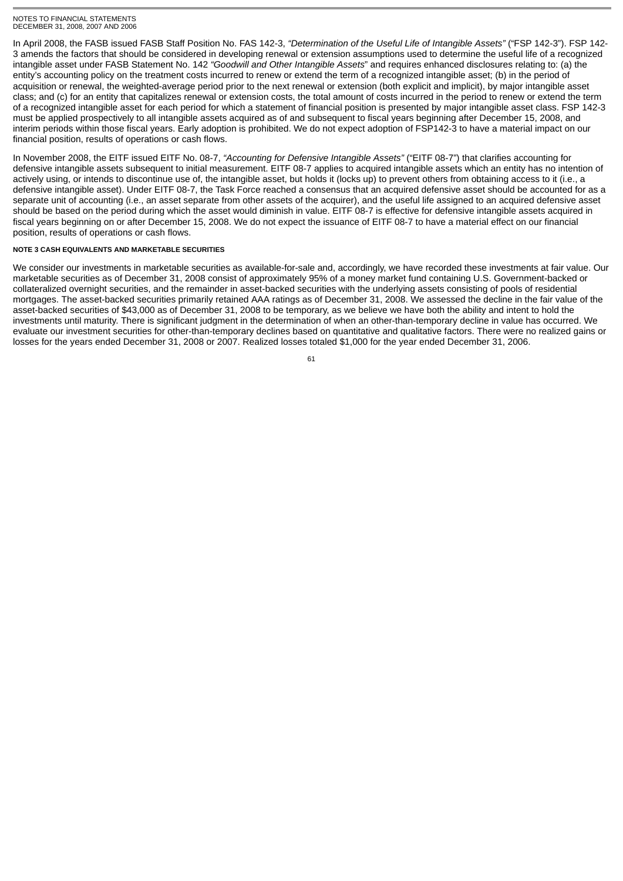In April 2008, the FASB issued FASB Staff Position No. FAS 142-3, *"Determination of the Useful Life of Intangible Assets"* ("FSP 142-3"). FSP 142- 3 amends the factors that should be considered in developing renewal or extension assumptions used to determine the useful life of a recognized intangible asset under FASB Statement No. 142 *"Goodwill and Other Intangible Assets*" and requires enhanced disclosures relating to: (a) the entity's accounting policy on the treatment costs incurred to renew or extend the term of a recognized intangible asset; (b) in the period of acquisition or renewal, the weighted-average period prior to the next renewal or extension (both explicit and implicit), by major intangible asset class; and (c) for an entity that capitalizes renewal or extension costs, the total amount of costs incurred in the period to renew or extend the term of a recognized intangible asset for each period for which a statement of financial position is presented by major intangible asset class. FSP 142-3 must be applied prospectively to all intangible assets acquired as of and subsequent to fiscal years beginning after December 15, 2008, and interim periods within those fiscal years. Early adoption is prohibited. We do not expect adoption of FSP142-3 to have a material impact on our financial position, results of operations or cash flows.

In November 2008, the EITF issued EITF No. 08-7, *"Accounting for Defensive Intangible Assets"* ("EITF 08-7") that clarifies accounting for defensive intangible assets subsequent to initial measurement. EITF 08-7 applies to acquired intangible assets which an entity has no intention of actively using, or intends to discontinue use of, the intangible asset, but holds it (locks up) to prevent others from obtaining access to it (i.e., a defensive intangible asset). Under EITF 08-7, the Task Force reached a consensus that an acquired defensive asset should be accounted for as a separate unit of accounting (i.e., an asset separate from other assets of the acquirer), and the useful life assigned to an acquired defensive asset should be based on the period during which the asset would diminish in value. EITF 08-7 is effective for defensive intangible assets acquired in fiscal years beginning on or after December 15, 2008. We do not expect the issuance of EITF 08-7 to have a material effect on our financial position, results of operations or cash flows.

# **NOTE 3 CASH EQUIVALENTS AND MARKETABLE SECURITIES**

We consider our investments in marketable securities as available-for-sale and, accordingly, we have recorded these investments at fair value. Our marketable securities as of December 31, 2008 consist of approximately 95% of a money market fund containing U.S. Government-backed or collateralized overnight securities, and the remainder in asset-backed securities with the underlying assets consisting of pools of residential mortgages. The asset-backed securities primarily retained AAA ratings as of December 31, 2008. We assessed the decline in the fair value of the asset-backed securities of \$43,000 as of December 31, 2008 to be temporary, as we believe we have both the ability and intent to hold the investments until maturity. There is significant judgment in the determination of when an other-than-temporary decline in value has occurred. We evaluate our investment securities for other-than-temporary declines based on quantitative and qualitative factors. There were no realized gains or losses for the years ended December 31, 2008 or 2007. Realized losses totaled \$1,000 for the year ended December 31, 2006.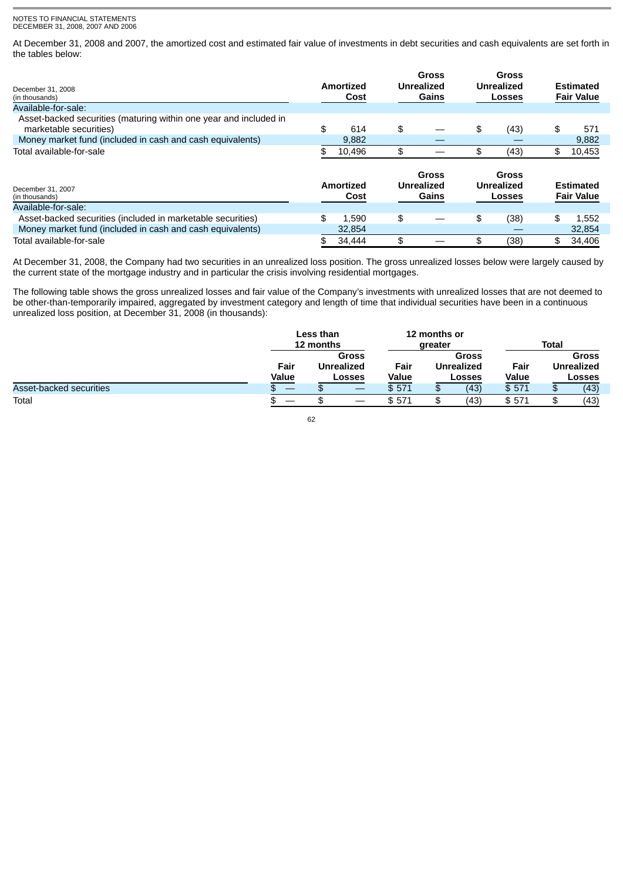#### NOTES TO FINANCIAL STATEMENTS DECEMBER 31, 2008, 2007 AND 2006

At December 31, 2008 and 2007, the amortized cost and estimated fair value of investments in debt securities and cash equivalents are set forth in the tables below:

| December 31, 2008<br>(in thousands)<br>Available-for-sale:                                  | Amortized<br>Cost | <b>Gross</b><br><b>Unrealized</b><br>Gains | <b>Gross</b><br><b>Unrealized</b><br>Losses | Estimated<br><b>Fair Value</b> |
|---------------------------------------------------------------------------------------------|-------------------|--------------------------------------------|---------------------------------------------|--------------------------------|
| Asset-backed securities (maturing within one year and included in<br>marketable securities) | \$<br>614         | \$                                         | \$<br>(43)                                  | \$<br>571                      |
| Money market fund (included in cash and cash equivalents)                                   | 9,882             |                                            |                                             | 9,882                          |
| Total available-for-sale                                                                    | \$<br>10,496      | \$                                         | \$<br>(43)                                  | \$<br>10,453                   |
| December 31, 2007<br>(in thousands)                                                         | Amortized<br>Cost | <b>Gross</b><br>Unrealized<br>Gains        | <b>Gross</b><br>Unrealized<br>Losses        | Estimated<br><b>Fair Value</b> |
| Available-for-sale:                                                                         |                   |                                            |                                             |                                |
| Asset-backed securities (included in marketable securities)                                 | \$<br>1,590       | \$                                         | \$<br>(38)                                  | \$<br>1,552                    |
| Money market fund (included in cash and cash equivalents)                                   | 32,854            |                                            |                                             | 32,854                         |
| Total available-for-sale                                                                    | \$<br>34.444      | \$                                         | \$<br>(38)                                  | \$<br>34,406                   |

At December 31, 2008, the Company had two securities in an unrealized loss position. The gross unrealized losses below were largely caused by the current state of the mortgage industry and in particular the crisis involving residential mortgages.

The following table shows the gross unrealized losses and fair value of the Company's investments with unrealized losses that are not deemed to be other-than-temporarily impaired, aggregated by investment category and length of time that individual securities have been in a continuous unrealized loss position, at December 31, 2008 (in thousands):

|                         | <b>Less than</b><br>12 months |                   |                        | 12 months or<br>greater |    |                                      | Total         |   |                                                    |
|-------------------------|-------------------------------|-------------------|------------------------|-------------------------|----|--------------------------------------|---------------|---|----------------------------------------------------|
|                         | Fair<br>Value                 | <b>Unrealized</b> | Gross<br><b>Losses</b> | Fair<br>Value           |    | <b>Gross</b><br>Unrealized<br>Losses | Fair<br>Value |   | <b>Gross</b><br><b>Unrealized</b><br><b>Losses</b> |
| Asset-backed securities |                               |                   |                        | \$571                   | œ  | (43)                                 | \$571         | ന | (43)                                               |
| Total                   |                               |                   |                        | \$571                   | ۰D | (43)                                 | \$571         |   | (43)                                               |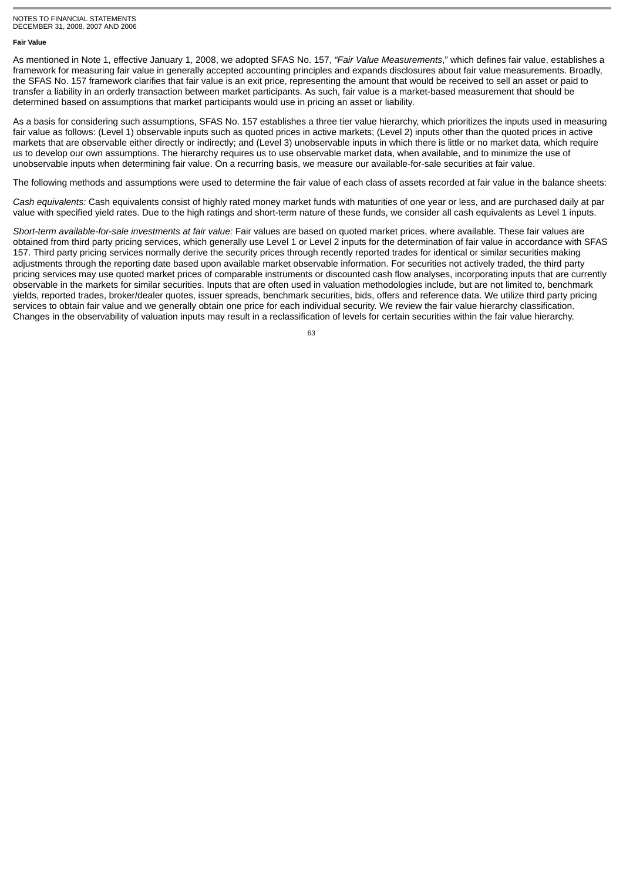# **Fair Value**

As mentioned in Note 1, effective January 1, 2008, we adopted SFAS No. 157, *"Fair Value Measurements*," which defines fair value, establishes a framework for measuring fair value in generally accepted accounting principles and expands disclosures about fair value measurements. Broadly, the SFAS No. 157 framework clarifies that fair value is an exit price, representing the amount that would be received to sell an asset or paid to transfer a liability in an orderly transaction between market participants. As such, fair value is a market-based measurement that should be determined based on assumptions that market participants would use in pricing an asset or liability.

As a basis for considering such assumptions, SFAS No. 157 establishes a three tier value hierarchy, which prioritizes the inputs used in measuring fair value as follows: (Level 1) observable inputs such as quoted prices in active markets; (Level 2) inputs other than the quoted prices in active markets that are observable either directly or indirectly; and (Level 3) unobservable inputs in which there is little or no market data, which require us to develop our own assumptions. The hierarchy requires us to use observable market data, when available, and to minimize the use of unobservable inputs when determining fair value. On a recurring basis, we measure our available-for-sale securities at fair value.

The following methods and assumptions were used to determine the fair value of each class of assets recorded at fair value in the balance sheets:

*Cash equivalents:* Cash equivalents consist of highly rated money market funds with maturities of one year or less, and are purchased daily at par value with specified yield rates. Due to the high ratings and short-term nature of these funds, we consider all cash equivalents as Level 1 inputs.

*Short-term available-for-sale investments at fair value:* Fair values are based on quoted market prices, where available. These fair values are obtained from third party pricing services, which generally use Level 1 or Level 2 inputs for the determination of fair value in accordance with SFAS 157. Third party pricing services normally derive the security prices through recently reported trades for identical or similar securities making adjustments through the reporting date based upon available market observable information. For securities not actively traded, the third party pricing services may use quoted market prices of comparable instruments or discounted cash flow analyses, incorporating inputs that are currently observable in the markets for similar securities. Inputs that are often used in valuation methodologies include, but are not limited to, benchmark yields, reported trades, broker/dealer quotes, issuer spreads, benchmark securities, bids, offers and reference data. We utilize third party pricing services to obtain fair value and we generally obtain one price for each individual security. We review the fair value hierarchy classification. Changes in the observability of valuation inputs may result in a reclassification of levels for certain securities within the fair value hierarchy.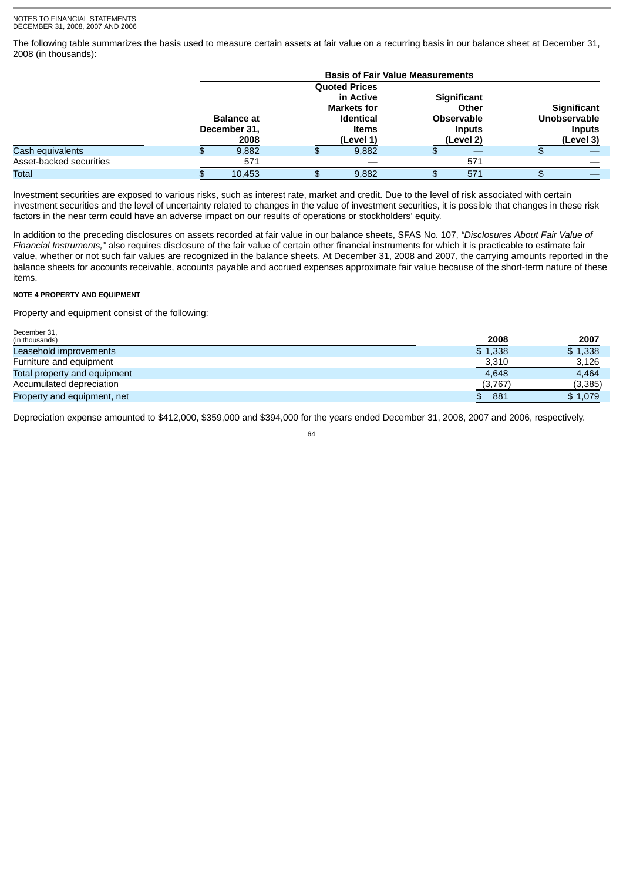The following table summarizes the basis used to measure certain assets at fair value on a recurring basis in our balance sheet at December 31, 2008 (in thousands):

|                         |                                   | <b>Basis of Fair Value Measurements</b> |        |                                                         |      |                             |     |                                               |  |                                                 |  |                                                   |
|-------------------------|-----------------------------------|-----------------------------------------|--------|---------------------------------------------------------|------|-----------------------------|-----|-----------------------------------------------|--|-------------------------------------------------|--|---------------------------------------------------|
|                         |                                   |                                         |        | <b>Quoted Prices</b><br>in Active<br><b>Markets for</b> |      | Significant<br><b>Other</b> |     | Significant                                   |  |                                                 |  |                                                   |
|                         | <b>Balance at</b><br>December 31, |                                         |        |                                                         | 2008 |                             |     | <b>Identical</b><br><b>Items</b><br>(Level 1) |  | <b>Observable</b><br><b>Inputs</b><br>(Level 2) |  | <b>Unobservable</b><br><b>Inputs</b><br>(Level 3) |
| Cash equivalents        | \$                                | 9,882                                   | \$     | 9.882                                                   | \$   |                             | \$. |                                               |  |                                                 |  |                                                   |
| Asset-backed securities |                                   | 571                                     |        |                                                         |      | 571                         |     |                                               |  |                                                 |  |                                                   |
| Total                   |                                   | 10.453                                  | Φ<br>Ф | 9,882                                                   |      | 571                         |     |                                               |  |                                                 |  |                                                   |

Investment securities are exposed to various risks, such as interest rate, market and credit. Due to the level of risk associated with certain investment securities and the level of uncertainty related to changes in the value of investment securities, it is possible that changes in these risk factors in the near term could have an adverse impact on our results of operations or stockholders' equity.

In addition to the preceding disclosures on assets recorded at fair value in our balance sheets, SFAS No. 107, *"Disclosures About Fair Value of Financial Instruments,"* also requires disclosure of the fair value of certain other financial instruments for which it is practicable to estimate fair value, whether or not such fair values are recognized in the balance sheets. At December 31, 2008 and 2007, the carrying amounts reported in the balance sheets for accounts receivable, accounts payable and accrued expenses approximate fair value because of the short-term nature of these items.

# **NOTE 4 PROPERTY AND EQUIPMENT**

Property and equipment consist of the following:

| December 31,                 |         |         |
|------------------------------|---------|---------|
| (in thousands)               | 2008    | 2007    |
| Leasehold improvements       | \$1,338 | \$1,338 |
| Furniture and equipment      | 3,310   | 3,126   |
| Total property and equipment | 4.648   | 4.464   |
| Accumulated depreciation     | (3,767) | (3,385) |
| Property and equipment, net  | 881     | \$1,079 |

Depreciation expense amounted to \$412,000, \$359,000 and \$394,000 for the years ended December 31, 2008, 2007 and 2006, respectively.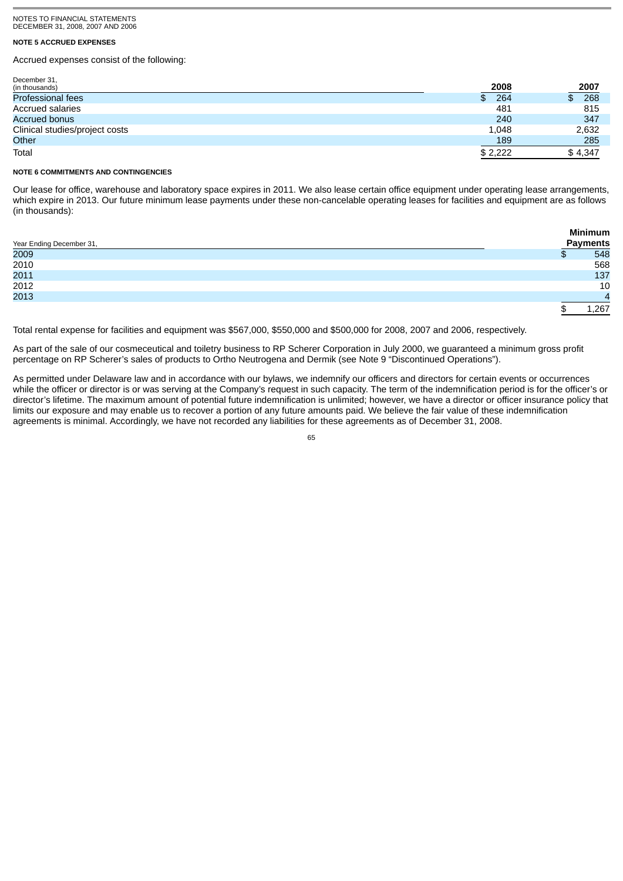# **NOTE 5 ACCRUED EXPENSES**

Accrued expenses consist of the following:

| December 31,<br>(in thousands) | 2008      |                          |
|--------------------------------|-----------|--------------------------|
| <b>Professional fees</b>       | 264<br>\$ | $\frac{2007}{268}$<br>\$ |
| Accrued salaries               | 481       | 815                      |
| <b>Accrued bonus</b>           | 240       | 347                      |
| Clinical studies/project costs | 1,048     | 2,632                    |
| Other                          | 189       | 285                      |
| Total                          | \$2,222   | \$4,347                  |

# **NOTE 6 COMMITMENTS AND CONTINGENCIES**

Our lease for office, warehouse and laboratory space expires in 2011. We also lease certain office equipment under operating lease arrangements, which expire in 2013. Our future minimum lease payments under these non-cancelable operating leases for facilities and equipment are as follows (in thousands):

|                          | <b>Minimum</b>  |
|--------------------------|-----------------|
| Year Ending December 31, | <b>Payments</b> |
| 2009                     | 548             |
| 2010                     | 568             |
| 2011                     | 137             |
| 2012                     | 10              |
| 2013                     |                 |
|                          | L,267           |

Total rental expense for facilities and equipment was \$567,000, \$550,000 and \$500,000 for 2008, 2007 and 2006, respectively.

As part of the sale of our cosmeceutical and toiletry business to RP Scherer Corporation in July 2000, we guaranteed a minimum gross profit percentage on RP Scherer's sales of products to Ortho Neutrogena and Dermik (see Note 9 "Discontinued Operations").

As permitted under Delaware law and in accordance with our bylaws, we indemnify our officers and directors for certain events or occurrences while the officer or director is or was serving at the Company's request in such capacity. The term of the indemnification period is for the officer's or director's lifetime. The maximum amount of potential future indemnification is unlimited; however, we have a director or officer insurance policy that limits our exposure and may enable us to recover a portion of any future amounts paid. We believe the fair value of these indemnification agreements is minimal. Accordingly, we have not recorded any liabilities for these agreements as of December 31, 2008.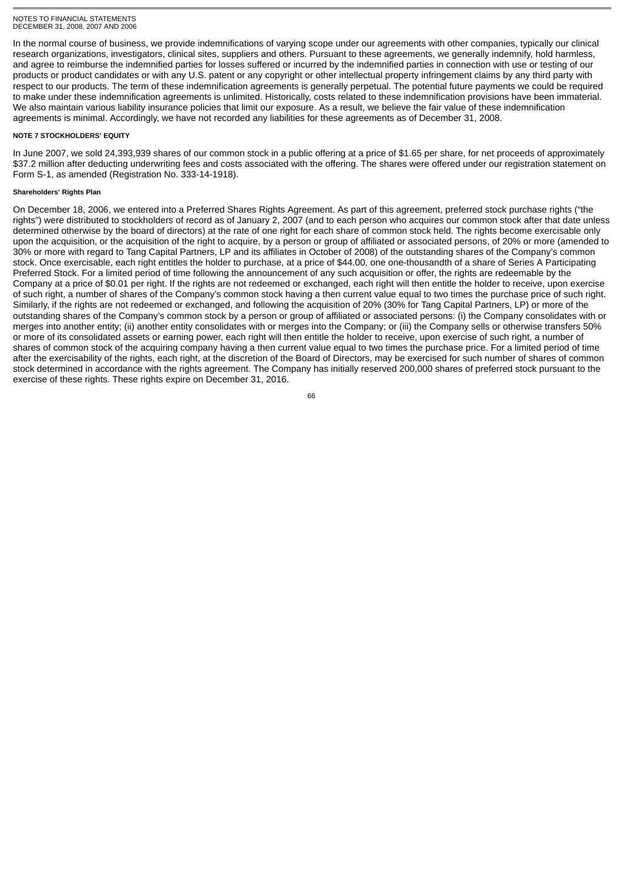In the normal course of business, we provide indemnifications of varying scope under our agreements with other companies, typically our clinical research organizations, investigators, clinical sites, suppliers and others. Pursuant to these agreements, we generally indemnify, hold harmless, and agree to reimburse the indemnified parties for losses suffered or incurred by the indemnified parties in connection with use or testing of our products or product candidates or with any U.S. patent or any copyright or other intellectual property infringement claims by any third party with respect to our products. The term of these indemnification agreements is generally perpetual. The potential future payments we could be required to make under these indemnification agreements is unlimited. Historically, costs related to these indemnification provisions have been immaterial. We also maintain various liability insurance policies that limit our exposure. As a result, we believe the fair value of these indemnification agreements is minimal. Accordingly, we have not recorded any liabilities for these agreements as of December 31, 2008.

# **NOTE 7 STOCKHOLDERS' EQUITY**

In June 2007, we sold 24,393,939 shares of our common stock in a public offering at a price of \$1.65 per share, for net proceeds of approximately \$37.2 million after deducting underwriting fees and costs associated with the offering. The shares were offered under our registration statement on Form S-1, as amended (Registration No. 333-14-1918).

# **Shareholders' Rights Plan**

On December 18, 2006, we entered into a Preferred Shares Rights Agreement. As part of this agreement, preferred stock purchase rights ("the rights") were distributed to stockholders of record as of January 2, 2007 (and to each person who acquires our common stock after that date unless determined otherwise by the board of directors) at the rate of one right for each share of common stock held. The rights become exercisable only upon the acquisition, or the acquisition of the right to acquire, by a person or group of affiliated or associated persons, of 20% or more (amended to 30% or more with regard to Tang Capital Partners, LP and its affiliates in October of 2008) of the outstanding shares of the Company's common stock. Once exercisable, each right entitles the holder to purchase, at a price of \$44.00, one one-thousandth of a share of Series A Participating Preferred Stock. For a limited period of time following the announcement of any such acquisition or offer, the rights are redeemable by the Company at a price of \$0.01 per right. If the rights are not redeemed or exchanged, each right will then entitle the holder to receive, upon exercise of such right, a number of shares of the Company's common stock having a then current value equal to two times the purchase price of such right. Similarly, if the rights are not redeemed or exchanged, and following the acquisition of 20% (30% for Tang Capital Partners, LP) or more of the outstanding shares of the Company's common stock by a person or group of affiliated or associated persons: (i) the Company consolidates with or merges into another entity; (ii) another entity consolidates with or merges into the Company; or (iii) the Company sells or otherwise transfers 50% or more of its consolidated assets or earning power, each right will then entitle the holder to receive, upon exercise of such right, a number of shares of common stock of the acquiring company having a then current value equal to two times the purchase price. For a limited period of time after the exercisability of the rights, each right, at the discretion of the Board of Directors, may be exercised for such number of shares of common stock determined in accordance with the rights agreement. The Company has initially reserved 200,000 shares of preferred stock pursuant to the exercise of these rights. These rights expire on December 31, 2016.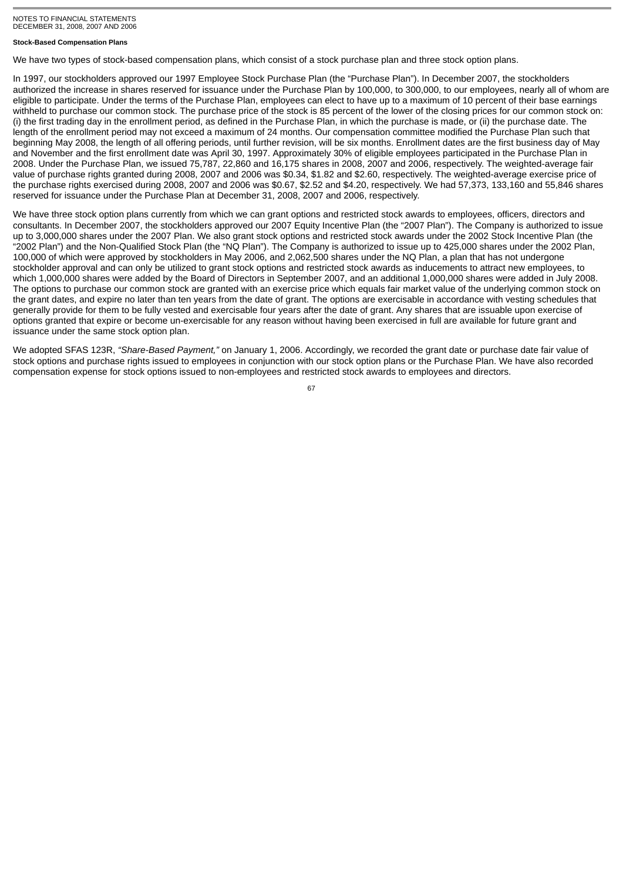#### **Stock-Based Compensation Plans**

We have two types of stock-based compensation plans, which consist of a stock purchase plan and three stock option plans.

In 1997, our stockholders approved our 1997 Employee Stock Purchase Plan (the "Purchase Plan"). In December 2007, the stockholders authorized the increase in shares reserved for issuance under the Purchase Plan by 100,000, to 300,000, to our employees, nearly all of whom are eligible to participate. Under the terms of the Purchase Plan, employees can elect to have up to a maximum of 10 percent of their base earnings withheld to purchase our common stock. The purchase price of the stock is 85 percent of the lower of the closing prices for our common stock on: (i) the first trading day in the enrollment period, as defined in the Purchase Plan, in which the purchase is made, or (ii) the purchase date. The length of the enrollment period may not exceed a maximum of 24 months. Our compensation committee modified the Purchase Plan such that beginning May 2008, the length of all offering periods, until further revision, will be six months. Enrollment dates are the first business day of May and November and the first enrollment date was April 30, 1997. Approximately 30% of eligible employees participated in the Purchase Plan in 2008. Under the Purchase Plan, we issued 75,787, 22,860 and 16,175 shares in 2008, 2007 and 2006, respectively. The weighted-average fair value of purchase rights granted during 2008, 2007 and 2006 was \$0.34, \$1.82 and \$2.60, respectively. The weighted-average exercise price of the purchase rights exercised during 2008, 2007 and 2006 was \$0.67, \$2.52 and \$4.20, respectively. We had 57,373, 133,160 and 55,846 shares reserved for issuance under the Purchase Plan at December 31, 2008, 2007 and 2006, respectively.

We have three stock option plans currently from which we can grant options and restricted stock awards to employees, officers, directors and consultants. In December 2007, the stockholders approved our 2007 Equity Incentive Plan (the "2007 Plan"). The Company is authorized to issue up to 3,000,000 shares under the 2007 Plan. We also grant stock options and restricted stock awards under the 2002 Stock Incentive Plan (the "2002 Plan") and the Non-Qualified Stock Plan (the "NQ Plan"). The Company is authorized to issue up to 425,000 shares under the 2002 Plan, 100,000 of which were approved by stockholders in May 2006, and 2,062,500 shares under the NQ Plan, a plan that has not undergone stockholder approval and can only be utilized to grant stock options and restricted stock awards as inducements to attract new employees, to which 1,000,000 shares were added by the Board of Directors in September 2007, and an additional 1,000,000 shares were added in July 2008. The options to purchase our common stock are granted with an exercise price which equals fair market value of the underlying common stock on the grant dates, and expire no later than ten years from the date of grant. The options are exercisable in accordance with vesting schedules that generally provide for them to be fully vested and exercisable four years after the date of grant. Any shares that are issuable upon exercise of options granted that expire or become un-exercisable for any reason without having been exercised in full are available for future grant and issuance under the same stock option plan.

We adopted SFAS 123R, *"Share-Based Payment,"* on January 1, 2006. Accordingly, we recorded the grant date or purchase date fair value of stock options and purchase rights issued to employees in conjunction with our stock option plans or the Purchase Plan. We have also recorded compensation expense for stock options issued to non-employees and restricted stock awards to employees and directors.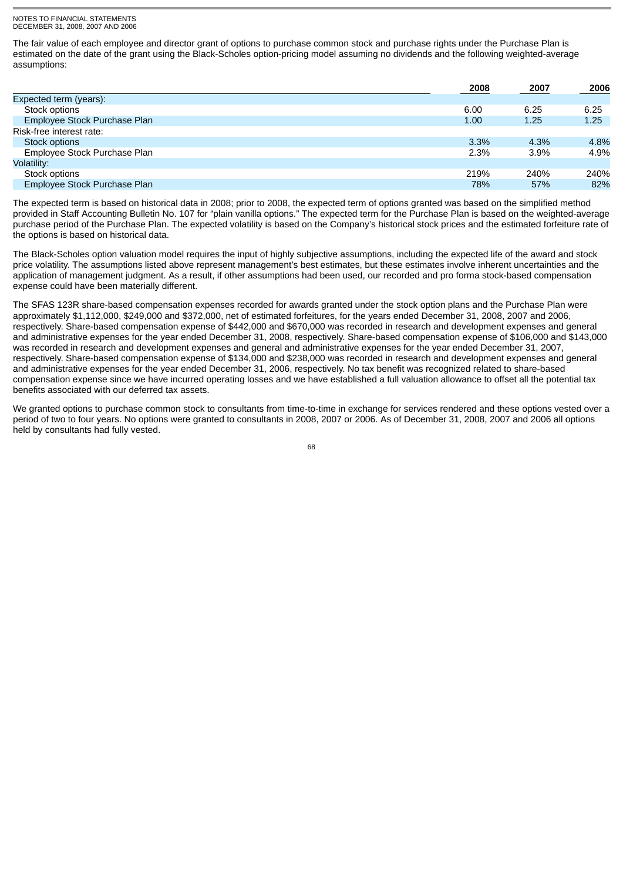#### NOTES TO FINANCIAL STATEMENTS DECEMBER 31, 2008, 2007 AND 2006

The fair value of each employee and director grant of options to purchase common stock and purchase rights under the Purchase Plan is estimated on the date of the grant using the Black-Scholes option-pricing model assuming no dividends and the following weighted-average assumptions:

|                              | 2008 | 2007 | 2006 |
|------------------------------|------|------|------|
| Expected term (years):       |      |      |      |
| Stock options                | 6.00 | 6.25 | 6.25 |
| Employee Stock Purchase Plan | 1.00 | 1.25 | 1.25 |
| Risk-free interest rate:     |      |      |      |
| Stock options                | 3.3% | 4.3% | 4.8% |
| Employee Stock Purchase Plan | 2.3% | 3.9% | 4.9% |
| Volatility:                  |      |      |      |
| Stock options                | 219% | 240% | 240% |
| Employee Stock Purchase Plan | 78%  | 57%  | 82%  |

The expected term is based on historical data in 2008; prior to 2008, the expected term of options granted was based on the simplified method provided in Staff Accounting Bulletin No. 107 for "plain vanilla options." The expected term for the Purchase Plan is based on the weighted-average purchase period of the Purchase Plan. The expected volatility is based on the Company's historical stock prices and the estimated forfeiture rate of the options is based on historical data.

The Black-Scholes option valuation model requires the input of highly subjective assumptions, including the expected life of the award and stock price volatility. The assumptions listed above represent management's best estimates, but these estimates involve inherent uncertainties and the application of management judgment. As a result, if other assumptions had been used, our recorded and pro forma stock-based compensation expense could have been materially different.

The SFAS 123R share-based compensation expenses recorded for awards granted under the stock option plans and the Purchase Plan were approximately \$1,112,000, \$249,000 and \$372,000, net of estimated forfeitures, for the years ended December 31, 2008, 2007 and 2006, respectively. Share-based compensation expense of \$442,000 and \$670,000 was recorded in research and development expenses and general and administrative expenses for the year ended December 31, 2008, respectively. Share-based compensation expense of \$106,000 and \$143,000 was recorded in research and development expenses and general and administrative expenses for the year ended December 31, 2007, respectively. Share-based compensation expense of \$134,000 and \$238,000 was recorded in research and development expenses and general and administrative expenses for the year ended December 31, 2006, respectively. No tax benefit was recognized related to share-based compensation expense since we have incurred operating losses and we have established a full valuation allowance to offset all the potential tax benefits associated with our deferred tax assets.

We granted options to purchase common stock to consultants from time-to-time in exchange for services rendered and these options vested over a period of two to four years. No options were granted to consultants in 2008, 2007 or 2006. As of December 31, 2008, 2007 and 2006 all options held by consultants had fully vested.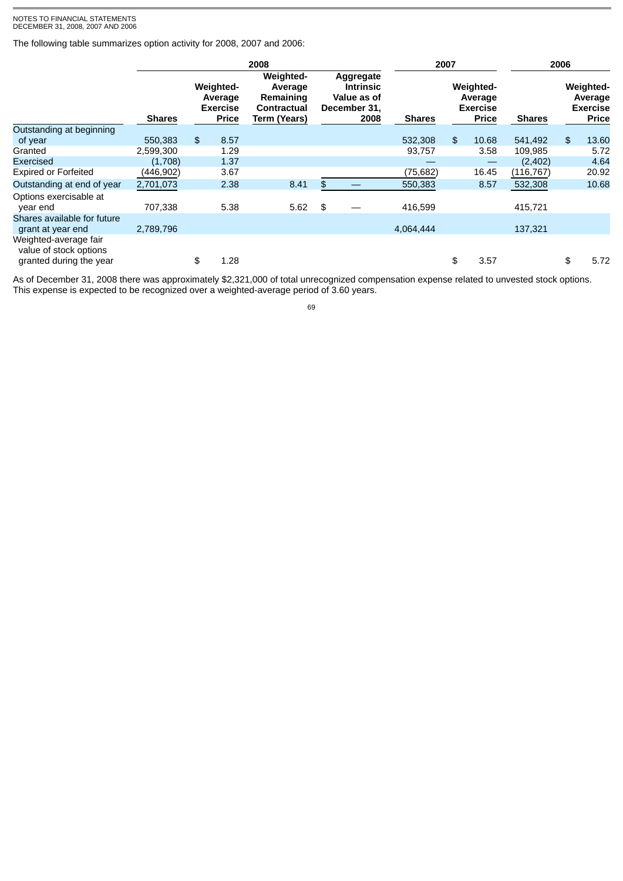# NOTES TO FINANCIAL STATEMENTS DECEMBER 31, 2008, 2007 AND 2006

The following table summarizes option activity for 2008, 2007 and 2006:

|                                                                            |               | 2008 |                                                         |                                                                  | 2007                                                                 |               |    | 2006                                                    |               |    |                                                         |
|----------------------------------------------------------------------------|---------------|------|---------------------------------------------------------|------------------------------------------------------------------|----------------------------------------------------------------------|---------------|----|---------------------------------------------------------|---------------|----|---------------------------------------------------------|
|                                                                            | <b>Shares</b> |      | Weighted-<br>Average<br><b>Exercise</b><br><b>Price</b> | Weighted-<br>Average<br>Remaining<br>Contractual<br>Term (Years) | Aggregate<br><b>Intrinsic</b><br>Value as of<br>December 31.<br>2008 | <b>Shares</b> |    | Weighted-<br>Average<br><b>Exercise</b><br><b>Price</b> | <b>Shares</b> |    | Weighted-<br>Average<br><b>Exercise</b><br><b>Price</b> |
| Outstanding at beginning                                                   |               |      |                                                         |                                                                  |                                                                      |               |    |                                                         |               |    |                                                         |
| of year                                                                    | 550.383       | \$   | 8.57                                                    |                                                                  |                                                                      | 532,308       | \$ | 10.68                                                   | 541.492       | \$ | 13.60                                                   |
| Granted                                                                    | 2,599,300     |      | 1.29                                                    |                                                                  |                                                                      | 93,757        |    | 3.58                                                    | 109,985       |    | 5.72                                                    |
| Exercised                                                                  | (1,708)       |      | 1.37                                                    |                                                                  |                                                                      |               |    |                                                         | (2,402)       |    | 4.64                                                    |
| <b>Expired or Forfeited</b>                                                | (446,902)     |      | 3.67                                                    |                                                                  |                                                                      | (75, 682)     |    | 16.45                                                   | (116, 767)    |    | 20.92                                                   |
| Outstanding at end of year                                                 | 2,701,073     |      | 2.38                                                    | 8.41                                                             |                                                                      | 550,383       |    | 8.57                                                    | 532,308       |    | 10.68                                                   |
| Options exercisable at<br>year end                                         | 707,338       |      | 5.38                                                    | 5.62                                                             | \$                                                                   | 416,599       |    |                                                         | 415,721       |    |                                                         |
| Shares available for future<br>grant at year end                           | 2,789,796     |      |                                                         |                                                                  |                                                                      | 4.064.444     |    |                                                         | 137,321       |    |                                                         |
| Weighted-average fair<br>value of stock options<br>granted during the year |               | \$   | 1.28                                                    |                                                                  |                                                                      |               | \$ | 3.57                                                    |               | \$ | 5.72                                                    |

As of December 31, 2008 there was approximately \$2,321,000 of total unrecognized compensation expense related to unvested stock options. This expense is expected to be recognized over a weighted-average period of 3.60 years.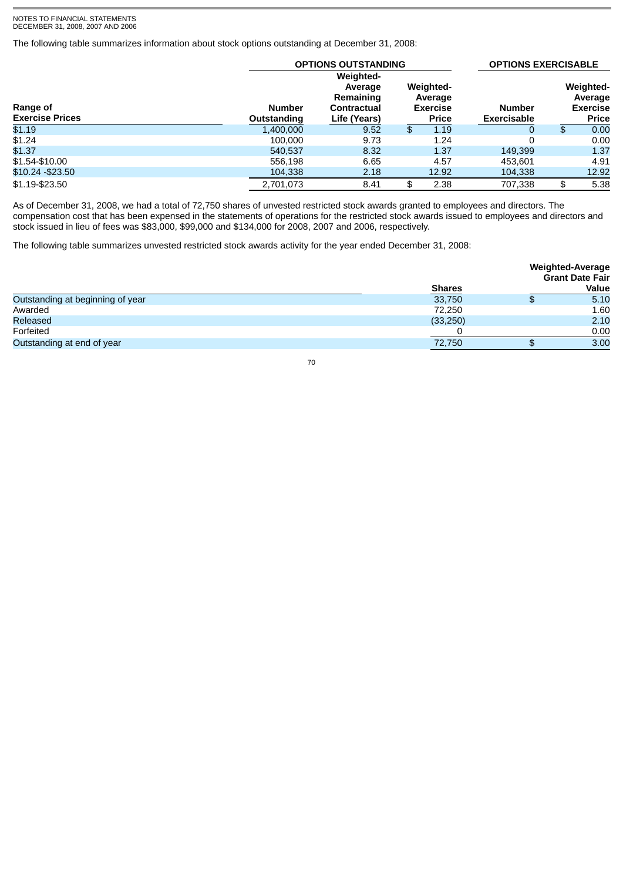The following table summarizes information about stock options outstanding at December 31, 2008:

|                                    |                              | <b>OPTIONS OUTSTANDING</b>                                              |                                                         | <b>OPTIONS EXERCISABLE</b>          |    |                                                         |  |
|------------------------------------|------------------------------|-------------------------------------------------------------------------|---------------------------------------------------------|-------------------------------------|----|---------------------------------------------------------|--|
| Range of<br><b>Exercise Prices</b> | <b>Number</b><br>Outstanding | <b>Weighted-</b><br>Average<br>Remaining<br>Contractual<br>Life (Years) | Weighted-<br>Average<br><b>Exercise</b><br><b>Price</b> | <b>Number</b><br><b>Exercisable</b> |    | Weighted-<br>Average<br><b>Exercise</b><br><b>Price</b> |  |
| \$1.19                             | 1.400.000                    | 9.52                                                                    | 1.19<br>\$                                              |                                     | \$ | 0.00                                                    |  |
| \$1.24                             | 100.000                      | 9.73                                                                    | 1.24                                                    | 0                                   |    | 0.00                                                    |  |
| \$1.37                             | 540,537                      | 8.32                                                                    | 1.37                                                    | 149.399                             |    | 1.37                                                    |  |
| \$1.54-\$10.00                     | 556,198                      | 6.65                                                                    | 4.57                                                    | 453.601                             |    | 4.91                                                    |  |
| \$10.24 - \$23.50                  | 104,338                      | 2.18                                                                    | 12.92                                                   | 104,338                             |    | 12.92                                                   |  |
| \$1.19-\$23.50                     | 2.701.073                    | 8.41                                                                    | 2.38<br>\$                                              | 707.338                             |    | 5.38                                                    |  |

As of December 31, 2008, we had a total of 72,750 shares of unvested restricted stock awards granted to employees and directors. The compensation cost that has been expensed in the statements of operations for the restricted stock awards issued to employees and directors and stock issued in lieu of fees was \$83,000, \$99,000 and \$134,000 for 2008, 2007 and 2006, respectively.

The following table summarizes unvested restricted stock awards activity for the year ended December 31, 2008:

|                                  |               | <b>Weighted-Average</b><br><b>Grant Date Fair</b> |
|----------------------------------|---------------|---------------------------------------------------|
|                                  | <b>Shares</b> | Value                                             |
| Outstanding at beginning of year | 33,750        | 5.10                                              |
| Awarded                          | 72.250        | 1.60                                              |
| Released                         | (33,250)      | 2.10                                              |
| Forfeited                        |               | 0.00                                              |
| Outstanding at end of year       | 72.750        | 3.00                                              |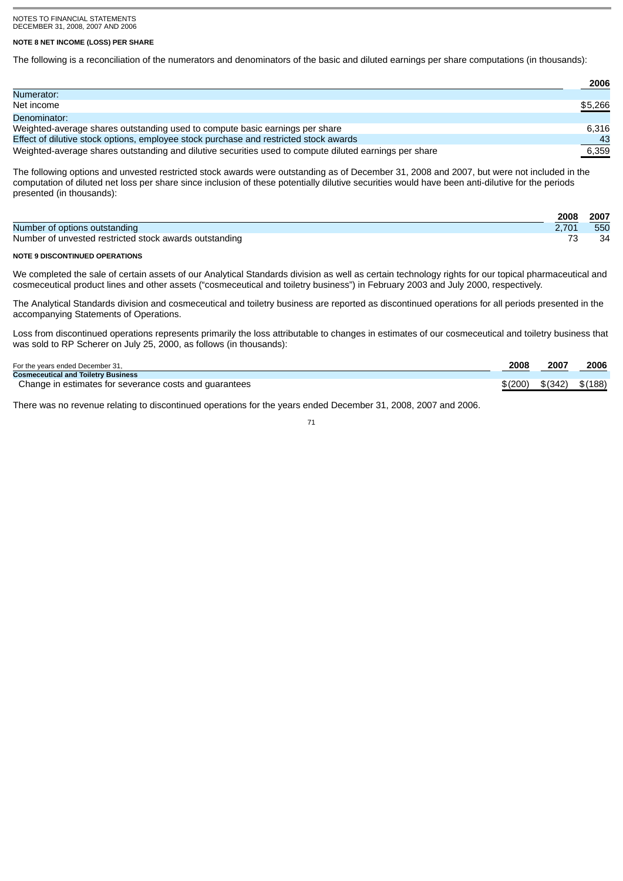# **NOTE 8 NET INCOME (LOSS) PER SHARE**

The following is a reconciliation of the numerators and denominators of the basic and diluted earnings per share computations (in thousands):

|                                                                                                        | 2006    |
|--------------------------------------------------------------------------------------------------------|---------|
| Numerator:                                                                                             |         |
| Net income                                                                                             | \$5,266 |
| Denominator:                                                                                           |         |
| Weighted-average shares outstanding used to compute basic earnings per share                           | 6.316   |
| Effect of dilutive stock options, employee stock purchase and restricted stock awards                  | 43      |
| Weighted-average shares outstanding and dilutive securities used to compute diluted earnings per share | 6.359   |

The following options and unvested restricted stock awards were outstanding as of December 31, 2008 and 2007, but were not included in the computation of diluted net loss per share since inclusion of these potentially dilutive securities would have been anti-dilutive for the periods presented (in thousands):

|                                                        | 2008  | 2007 |
|--------------------------------------------------------|-------|------|
| Number of options outstanding                          | 2.701 | 550  |
| Number of unvested restricted stock awards outstanding |       |      |

# **NOTE 9 DISCONTINUED OPERATIONS**

We completed the sale of certain assets of our Analytical Standards division as well as certain technology rights for our topical pharmaceutical and cosmeceutical product lines and other assets ("cosmeceutical and toiletry business") in February 2003 and July 2000, respectively.

The Analytical Standards division and cosmeceutical and toiletry business are reported as discontinued operations for all periods presented in the accompanying Statements of Operations.

Loss from discontinued operations represents primarily the loss attributable to changes in estimates of our cosmeceutical and toiletry business that was sold to RP Scherer on July 25, 2000, as follows (in thousands):

| For the years ended December 31,                       | 2008               | 2007     | 2006    |
|--------------------------------------------------------|--------------------|----------|---------|
| <b>Cosmeceutical and Toiletry Business</b>             |                    |          |         |
| Change in estimates for severance costs and guarantees | $\frac{1}{2}(200)$ | \$ (342) | \$(188) |

There was no revenue relating to discontinued operations for the years ended December 31, 2008, 2007 and 2006.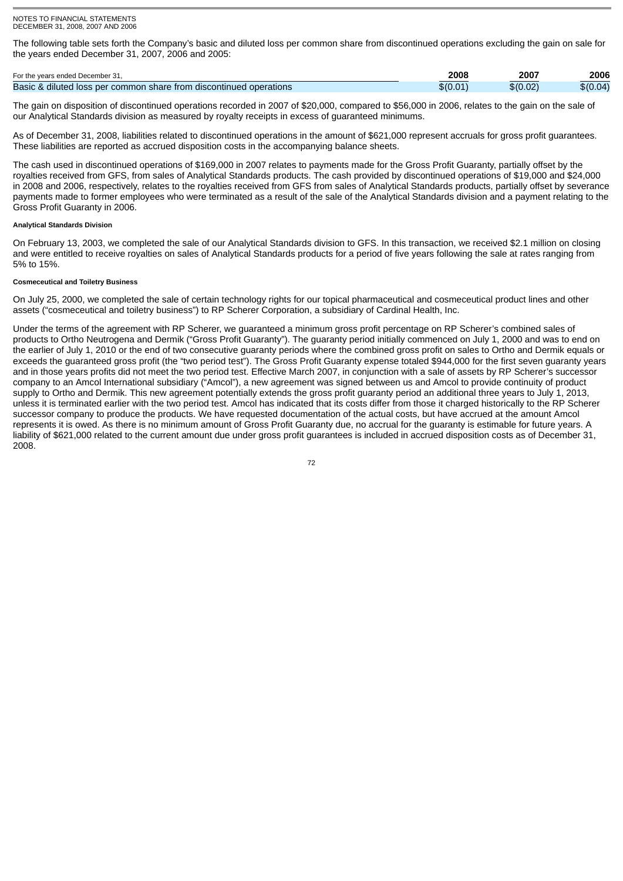The following table sets forth the Company's basic and diluted loss per common share from discontinued operations excluding the gain on sale for the years ended December 31, 2007, 2006 and 2005:

| For the years ended December 31,                                   | 2008     | 2007     | 2006     |
|--------------------------------------------------------------------|----------|----------|----------|
| Basic & diluted loss per common share from discontinued operations | \$(0.01) | \$(0.02) | \$(0.04) |

The gain on disposition of discontinued operations recorded in 2007 of \$20,000, compared to \$56,000 in 2006, relates to the gain on the sale of our Analytical Standards division as measured by royalty receipts in excess of guaranteed minimums.

As of December 31, 2008, liabilities related to discontinued operations in the amount of \$621,000 represent accruals for gross profit guarantees. These liabilities are reported as accrued disposition costs in the accompanying balance sheets.

The cash used in discontinued operations of \$169,000 in 2007 relates to payments made for the Gross Profit Guaranty, partially offset by the royalties received from GFS, from sales of Analytical Standards products. The cash provided by discontinued operations of \$19,000 and \$24,000 in 2008 and 2006, respectively, relates to the royalties received from GFS from sales of Analytical Standards products, partially offset by severance payments made to former employees who were terminated as a result of the sale of the Analytical Standards division and a payment relating to the Gross Profit Guaranty in 2006.

# **Analytical Standards Division**

On February 13, 2003, we completed the sale of our Analytical Standards division to GFS. In this transaction, we received \$2.1 million on closing and were entitled to receive royalties on sales of Analytical Standards products for a period of five years following the sale at rates ranging from 5% to 15%.

# **Cosmeceutical and Toiletry Business**

On July 25, 2000, we completed the sale of certain technology rights for our topical pharmaceutical and cosmeceutical product lines and other assets ("cosmeceutical and toiletry business") to RP Scherer Corporation, a subsidiary of Cardinal Health, Inc.

Under the terms of the agreement with RP Scherer, we guaranteed a minimum gross profit percentage on RP Scherer's combined sales of products to Ortho Neutrogena and Dermik ("Gross Profit Guaranty"). The guaranty period initially commenced on July 1, 2000 and was to end on the earlier of July 1, 2010 or the end of two consecutive guaranty periods where the combined gross profit on sales to Ortho and Dermik equals or exceeds the guaranteed gross profit (the "two period test"). The Gross Profit Guaranty expense totaled \$944,000 for the first seven guaranty years and in those years profits did not meet the two period test. Effective March 2007, in conjunction with a sale of assets by RP Scherer's successor company to an Amcol International subsidiary ("Amcol"), a new agreement was signed between us and Amcol to provide continuity of product supply to Ortho and Dermik. This new agreement potentially extends the gross profit guaranty period an additional three years to July 1, 2013, unless it is terminated earlier with the two period test. Amcol has indicated that its costs differ from those it charged historically to the RP Scherer successor company to produce the products. We have requested documentation of the actual costs, but have accrued at the amount Amcol represents it is owed. As there is no minimum amount of Gross Profit Guaranty due, no accrual for the guaranty is estimable for future years. A liability of \$621,000 related to the current amount due under gross profit guarantees is included in accrued disposition costs as of December 31, 2008.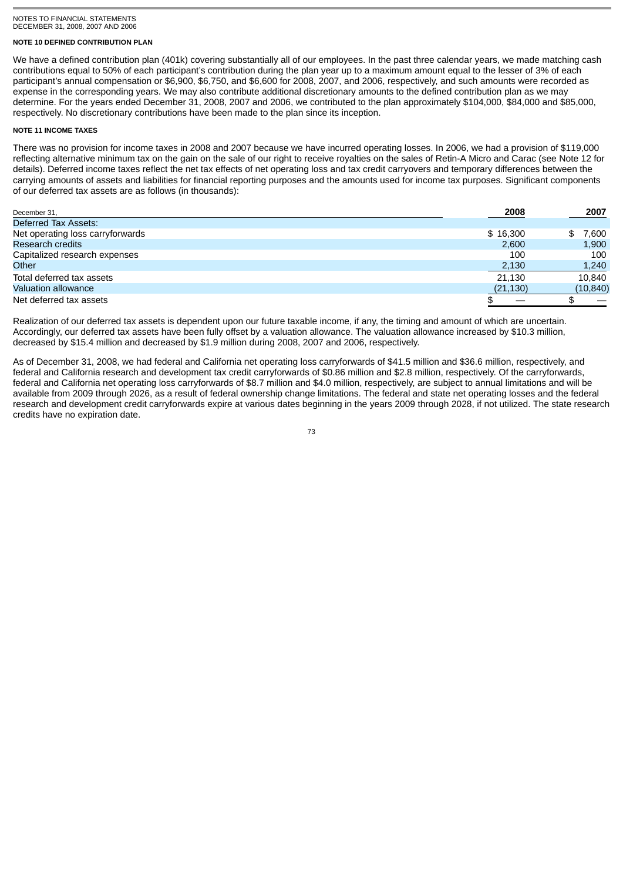# **NOTE 10 DEFINED CONTRIBUTION PLAN**

We have a defined contribution plan (401k) covering substantially all of our employees. In the past three calendar years, we made matching cash contributions equal to 50% of each participant's contribution during the plan year up to a maximum amount equal to the lesser of 3% of each participant's annual compensation or \$6,900, \$6,750, and \$6,600 for 2008, 2007, and 2006, respectively, and such amounts were recorded as expense in the corresponding years. We may also contribute additional discretionary amounts to the defined contribution plan as we may determine. For the years ended December 31, 2008, 2007 and 2006, we contributed to the plan approximately \$104,000, \$84,000 and \$85,000, respectively. No discretionary contributions have been made to the plan since its inception.

### **NOTE 11 INCOME TAXES**

There was no provision for income taxes in 2008 and 2007 because we have incurred operating losses. In 2006, we had a provision of \$119,000 reflecting alternative minimum tax on the gain on the sale of our right to receive royalties on the sales of Retin-A Micro and Carac (see Note 12 for details). Deferred income taxes reflect the net tax effects of net operating loss and tax credit carryovers and temporary differences between the carrying amounts of assets and liabilities for financial reporting purposes and the amounts used for income tax purposes. Significant components of our deferred tax assets are as follows (in thousands):

| December 31,                     | 2008      | 2007      |
|----------------------------------|-----------|-----------|
| Deferred Tax Assets:             |           |           |
| Net operating loss carryforwards | \$16,300  | \$7,600   |
| <b>Research credits</b>          | 2.600     | 1,900     |
| Capitalized research expenses    | 100       | 100       |
| Other                            | 2,130     | 1,240     |
| Total deferred tax assets        | 21.130    | 10.840    |
| <b>Valuation allowance</b>       | (21, 130) | (10, 840) |
| Net deferred tax assets          |           |           |

Realization of our deferred tax assets is dependent upon our future taxable income, if any, the timing and amount of which are uncertain. Accordingly, our deferred tax assets have been fully offset by a valuation allowance. The valuation allowance increased by \$10.3 million, decreased by \$15.4 million and decreased by \$1.9 million during 2008, 2007 and 2006, respectively.

As of December 31, 2008, we had federal and California net operating loss carryforwards of \$41.5 million and \$36.6 million, respectively, and federal and California research and development tax credit carryforwards of \$0.86 million and \$2.8 million, respectively. Of the carryforwards, federal and California net operating loss carryforwards of \$8.7 million and \$4.0 million, respectively, are subject to annual limitations and will be available from 2009 through 2026, as a result of federal ownership change limitations. The federal and state net operating losses and the federal research and development credit carryforwards expire at various dates beginning in the years 2009 through 2028, if not utilized. The state research credits have no expiration date.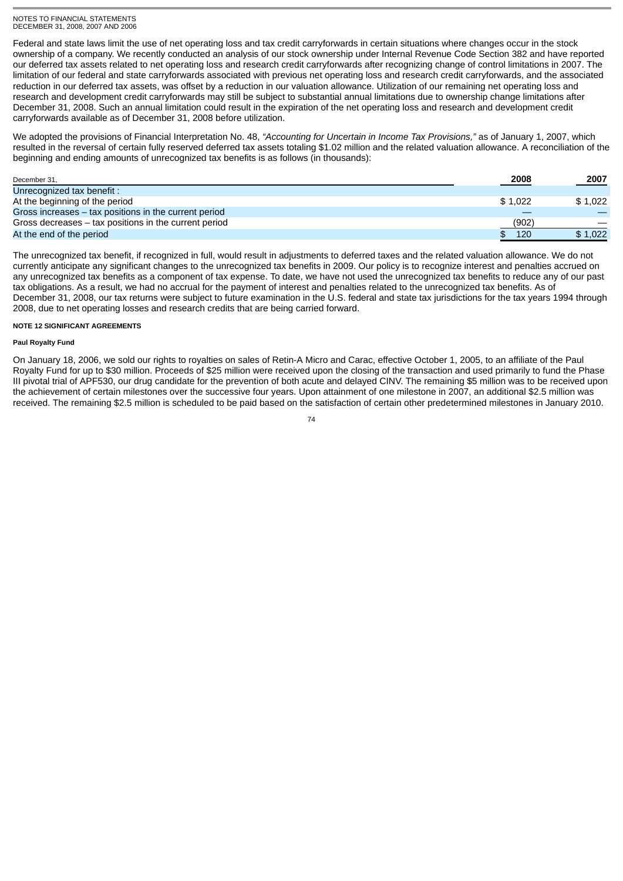#### NOTES TO FINANCIAL STATEMENTS DECEMBER 31, 2008, 2007 AND 2006

Federal and state laws limit the use of net operating loss and tax credit carryforwards in certain situations where changes occur in the stock ownership of a company. We recently conducted an analysis of our stock ownership under Internal Revenue Code Section 382 and have reported our deferred tax assets related to net operating loss and research credit carryforwards after recognizing change of control limitations in 2007. The limitation of our federal and state carryforwards associated with previous net operating loss and research credit carryforwards, and the associated reduction in our deferred tax assets, was offset by a reduction in our valuation allowance. Utilization of our remaining net operating loss and research and development credit carryforwards may still be subject to substantial annual limitations due to ownership change limitations after December 31, 2008. Such an annual limitation could result in the expiration of the net operating loss and research and development credit carryforwards available as of December 31, 2008 before utilization.

We adopted the provisions of Financial Interpretation No. 48, *"Accounting for Uncertain in Income Tax Provisions,"* as of January 1, 2007, which resulted in the reversal of certain fully reserved deferred tax assets totaling \$1.02 million and the related valuation allowance. A reconciliation of the beginning and ending amounts of unrecognized tax benefits is as follows (in thousands):

| December 31.                                          | 2008    | 2007    |
|-------------------------------------------------------|---------|---------|
| Unrecognized tax benefit :                            |         |         |
| At the beginning of the period                        | \$1.022 | \$1.022 |
| Gross increases – tax positions in the current period |         |         |
| Gross decreases – tax positions in the current period | (902)   |         |
| At the end of the period                              | - 120   | \$1.022 |

The unrecognized tax benefit, if recognized in full, would result in adjustments to deferred taxes and the related valuation allowance. We do not currently anticipate any significant changes to the unrecognized tax benefits in 2009. Our policy is to recognize interest and penalties accrued on any unrecognized tax benefits as a component of tax expense. To date, we have not used the unrecognized tax benefits to reduce any of our past tax obligations. As a result, we had no accrual for the payment of interest and penalties related to the unrecognized tax benefits. As of December 31, 2008, our tax returns were subject to future examination in the U.S. federal and state tax jurisdictions for the tax years 1994 through 2008, due to net operating losses and research credits that are being carried forward.

# **NOTE 12 SIGNIFICANT AGREEMENTS**

### **Paul Royalty Fund**

On January 18, 2006, we sold our rights to royalties on sales of Retin-A Micro and Carac, effective October 1, 2005, to an affiliate of the Paul Royalty Fund for up to \$30 million. Proceeds of \$25 million were received upon the closing of the transaction and used primarily to fund the Phase III pivotal trial of APF530, our drug candidate for the prevention of both acute and delayed CINV. The remaining \$5 million was to be received upon the achievement of certain milestones over the successive four years. Upon attainment of one milestone in 2007, an additional \$2.5 million was received. The remaining \$2.5 million is scheduled to be paid based on the satisfaction of certain other predetermined milestones in January 2010.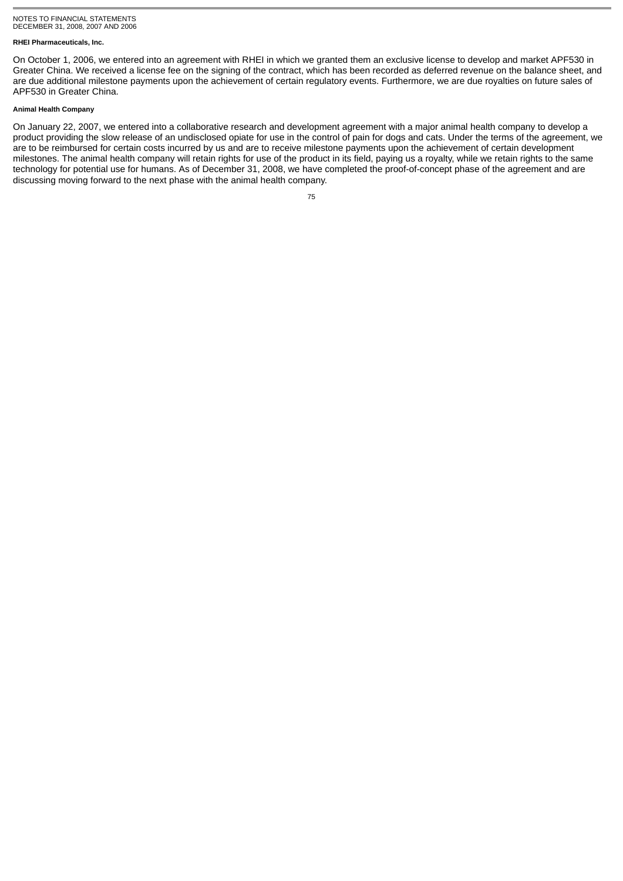### **RHEI Pharmaceuticals, Inc.**

On October 1, 2006, we entered into an agreement with RHEI in which we granted them an exclusive license to develop and market APF530 in Greater China. We received a license fee on the signing of the contract, which has been recorded as deferred revenue on the balance sheet, and are due additional milestone payments upon the achievement of certain regulatory events. Furthermore, we are due royalties on future sales of APF530 in Greater China.

# **Animal Health Company**

On January 22, 2007, we entered into a collaborative research and development agreement with a major animal health company to develop a product providing the slow release of an undisclosed opiate for use in the control of pain for dogs and cats. Under the terms of the agreement, we are to be reimbursed for certain costs incurred by us and are to receive milestone payments upon the achievement of certain development milestones. The animal health company will retain rights for use of the product in its field, paying us a royalty, while we retain rights to the same technology for potential use for humans. As of December 31, 2008, we have completed the proof-of-concept phase of the agreement and are discussing moving forward to the next phase with the animal health company.

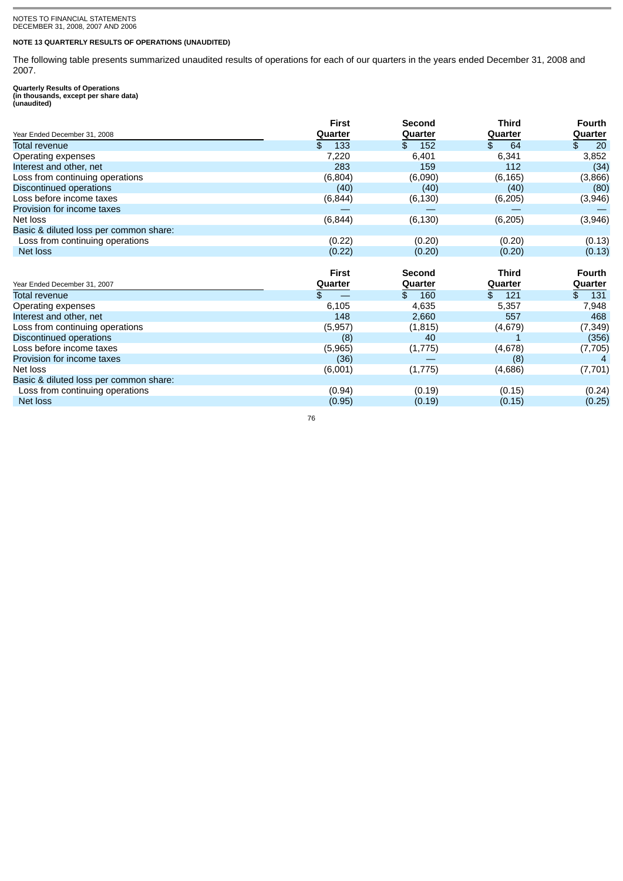# **NOTE 13 QUARTERLY RESULTS OF OPERATIONS (UNAUDITED)**

The following table presents summarized unaudited results of operations for each of our quarters in the years ended December 31, 2008 and 2007.

# **Quarterly Results of Operations (in thousands, except per share data) (unaudited)**

|                                        | First        | Second    | <b>Third</b> | <b>Fourth</b> |
|----------------------------------------|--------------|-----------|--------------|---------------|
| Year Ended December 31, 2008           | Quarter      | Quarter   | Quarter      | Quarter       |
| <b>Total revenue</b>                   | 133<br>\$    | 152<br>\$ | \$<br>64     | 20<br>\$      |
| Operating expenses                     | 7,220        | 6,401     | 6,341        | 3,852         |
| Interest and other, net                | 283          | 159       | 112          | (34)          |
| Loss from continuing operations        | (6,804)      | (6,090)   | (6, 165)     | (3,866)       |
| Discontinued operations                | (40)         | (40)      | (40)         | (80)          |
| Loss before income taxes               | (6, 844)     | (6, 130)  | (6, 205)     | (3,946)       |
| Provision for income taxes             |              |           |              |               |
| Net loss                               | (6, 844)     | (6, 130)  | (6, 205)     | (3,946)       |
| Basic & diluted loss per common share: |              |           |              |               |
| Loss from continuing operations        | (0.22)       | (0.20)    | (0.20)       | (0.13)        |
| Net loss                               | (0.22)       | (0.20)    | (0.20)       | (0.13)        |
|                                        |              |           |              |               |
|                                        |              |           |              |               |
|                                        | <b>First</b> | Second    | <b>Third</b> | <b>Fourth</b> |
| Year Ended December 31, 2007           | Quarter      | Quarter   | Quarter      | Quarter       |
| <b>Total revenue</b>                   | \$           | 160<br>\$ | 121<br>\$    | \$<br>131     |
| Operating expenses                     | 6,105        | 4,635     | 5,357        | 7,948         |
| Interest and other, net                | 148          | 2,660     | 557          | 468           |
| Loss from continuing operations        | (5, 957)     | (1, 815)  | (4,679)      | (7, 349)      |
| Discontinued operations                | (8)          | 40        |              | (356)         |
| Loss before income taxes               | (5,965)      | (1,775)   | (4,678)      | (7, 705)      |
| Provision for income taxes             | (36)         |           | (8)          | 4             |
| Net loss                               | (6,001)      | (1,775)   | (4,686)      | (7, 701)      |
| Basic & diluted loss per common share: |              |           |              |               |
| Loss from continuing operations        | (0.94)       | (0.19)    | (0.15)       | (0.24)        |
| Net loss                               | (0.95)       | (0.19)    | (0.15)       | (0.25)        |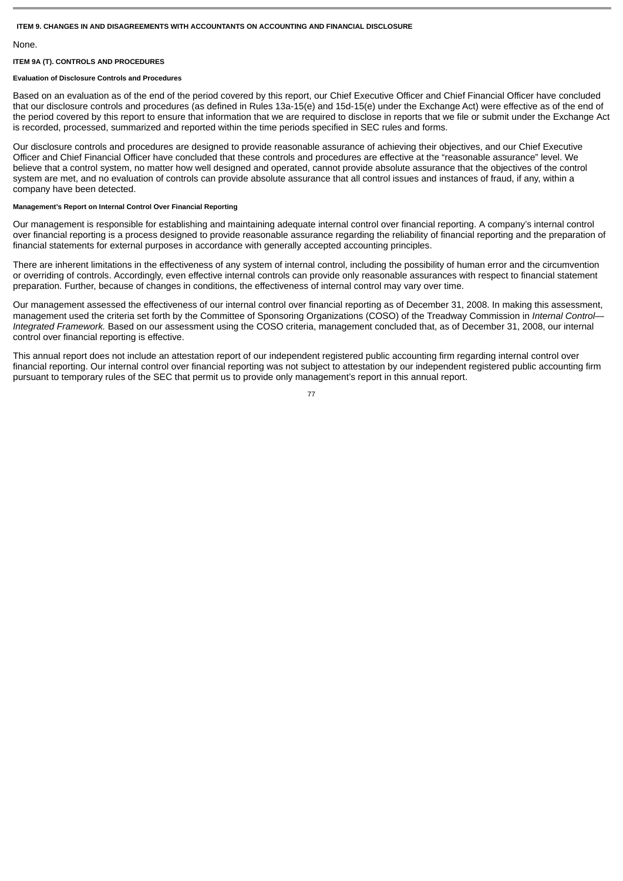#### **ITEM 9. CHANGES IN AND DISAGREEMENTS WITH ACCOUNTANTS ON ACCOUNTING AND FINANCIAL DISCLOSURE**

### None.

### **ITEM 9A (T). CONTROLS AND PROCEDURES**

#### **Evaluation of Disclosure Controls and Procedures**

Based on an evaluation as of the end of the period covered by this report, our Chief Executive Officer and Chief Financial Officer have concluded that our disclosure controls and procedures (as defined in Rules 13a-15(e) and 15d-15(e) under the Exchange Act) were effective as of the end of the period covered by this report to ensure that information that we are required to disclose in reports that we file or submit under the Exchange Act is recorded, processed, summarized and reported within the time periods specified in SEC rules and forms.

Our disclosure controls and procedures are designed to provide reasonable assurance of achieving their objectives, and our Chief Executive Officer and Chief Financial Officer have concluded that these controls and procedures are effective at the "reasonable assurance" level. We believe that a control system, no matter how well designed and operated, cannot provide absolute assurance that the objectives of the control system are met, and no evaluation of controls can provide absolute assurance that all control issues and instances of fraud, if any, within a company have been detected.

### **Management's Report on Internal Control Over Financial Reporting**

Our management is responsible for establishing and maintaining adequate internal control over financial reporting. A company's internal control over financial reporting is a process designed to provide reasonable assurance regarding the reliability of financial reporting and the preparation of financial statements for external purposes in accordance with generally accepted accounting principles.

There are inherent limitations in the effectiveness of any system of internal control, including the possibility of human error and the circumvention or overriding of controls. Accordingly, even effective internal controls can provide only reasonable assurances with respect to financial statement preparation. Further, because of changes in conditions, the effectiveness of internal control may vary over time.

Our management assessed the effectiveness of our internal control over financial reporting as of December 31, 2008. In making this assessment, management used the criteria set forth by the Committee of Sponsoring Organizations (COSO) of the Treadway Commission in *Internal Control— Integrated Framework.* Based on our assessment using the COSO criteria, management concluded that, as of December 31, 2008, our internal control over financial reporting is effective.

This annual report does not include an attestation report of our independent registered public accounting firm regarding internal control over financial reporting. Our internal control over financial reporting was not subject to attestation by our independent registered public accounting firm pursuant to temporary rules of the SEC that permit us to provide only management's report in this annual report.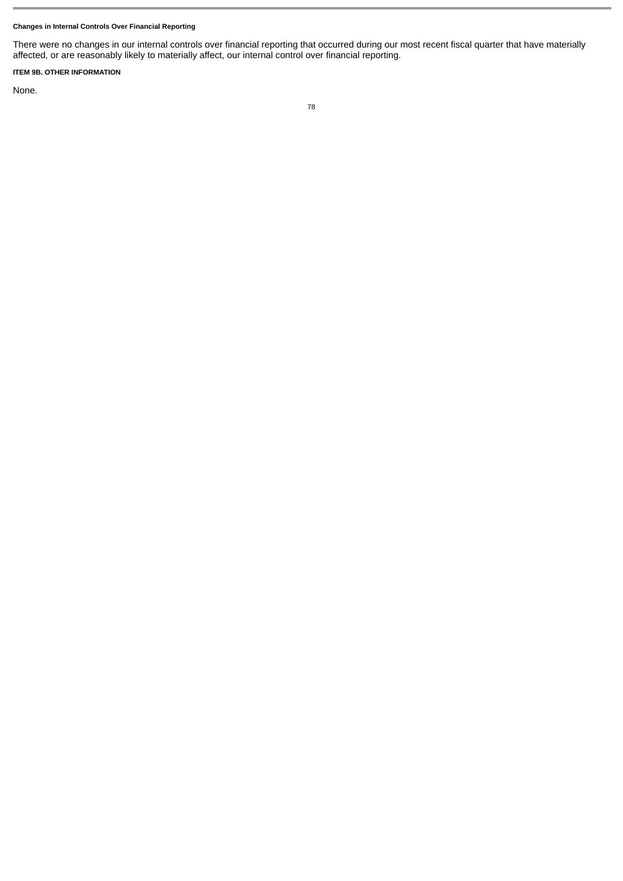### **Changes in Internal Controls Over Financial Reporting**

There were no changes in our internal controls over financial reporting that occurred during our most recent fiscal quarter that have materially affected, or are reasonably likely to materially affect, our internal control over financial reporting.

### **ITEM 9B. OTHER INFORMATION**

None.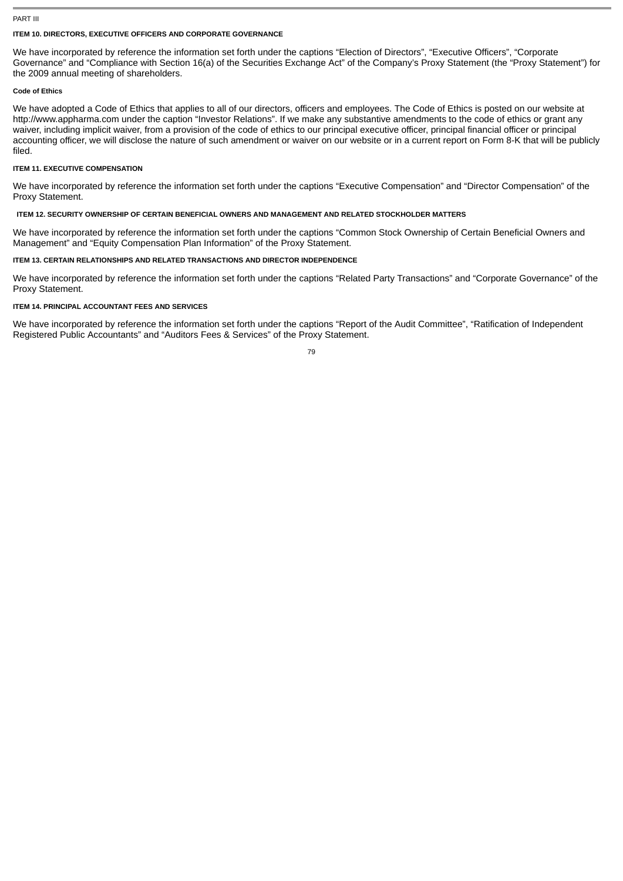### **ITEM 10. DIRECTORS, EXECUTIVE OFFICERS AND CORPORATE GOVERNANCE**

We have incorporated by reference the information set forth under the captions "Election of Directors", "Executive Officers", "Corporate Governance" and "Compliance with Section 16(a) of the Securities Exchange Act" of the Company's Proxy Statement (the "Proxy Statement") for the 2009 annual meeting of shareholders.

### **Code of Ethics**

We have adopted a Code of Ethics that applies to all of our directors, officers and employees. The Code of Ethics is posted on our website at http://www.appharma.com under the caption "Investor Relations". If we make any substantive amendments to the code of ethics or grant any waiver, including implicit waiver, from a provision of the code of ethics to our principal executive officer, principal financial officer or principal accounting officer, we will disclose the nature of such amendment or waiver on our website or in a current report on Form 8-K that will be publicly filed.

### **ITEM 11. EXECUTIVE COMPENSATION**

We have incorporated by reference the information set forth under the captions "Executive Compensation" and "Director Compensation" of the Proxy Statement.

### **ITEM 12. SECURITY OWNERSHIP OF CERTAIN BENEFICIAL OWNERS AND MANAGEMENT AND RELATED STOCKHOLDER MATTERS**

We have incorporated by reference the information set forth under the captions "Common Stock Ownership of Certain Beneficial Owners and Management" and "Equity Compensation Plan Information" of the Proxy Statement.

### **ITEM 13. CERTAIN RELATIONSHIPS AND RELATED TRANSACTIONS AND DIRECTOR INDEPENDENCE**

We have incorporated by reference the information set forth under the captions "Related Party Transactions" and "Corporate Governance" of the Proxy Statement.

# **ITEM 14. PRINCIPAL ACCOUNTANT FEES AND SERVICES**

We have incorporated by reference the information set forth under the captions "Report of the Audit Committee", "Ratification of Independent Registered Public Accountants" and "Auditors Fees & Services" of the Proxy Statement.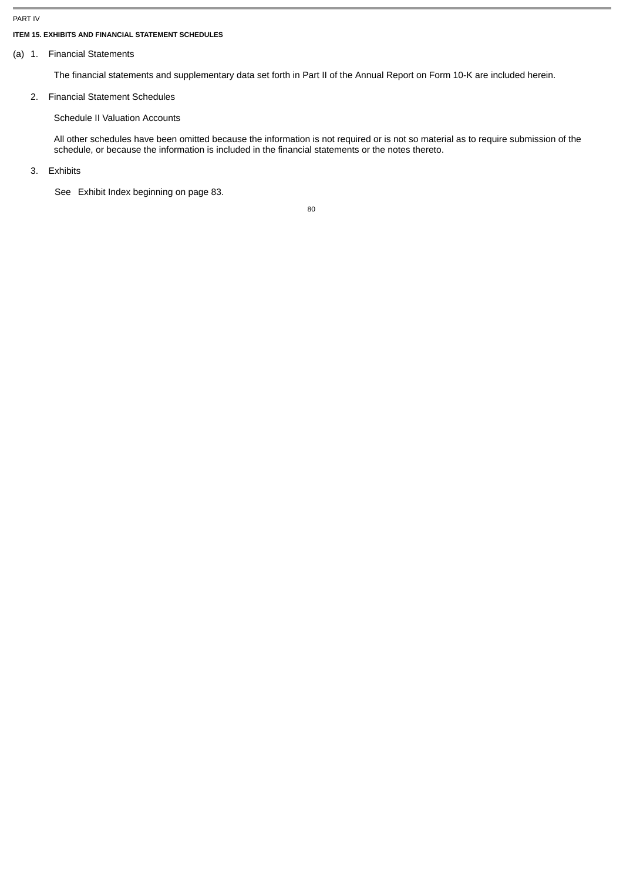# **ITEM 15. EXHIBITS AND FINANCIAL STATEMENT SCHEDULES**

(a) 1. Financial Statements

The financial statements and supplementary data set forth in Part II of the Annual Report on Form 10-K are included herein.

# 2. Financial Statement Schedules

Schedule II Valuation Accounts

All other schedules have been omitted because the information is not required or is not so material as to require submission of the schedule, or because the information is included in the financial statements or the notes thereto.

# 3. Exhibits

See Exhibit Index beginning on page 83.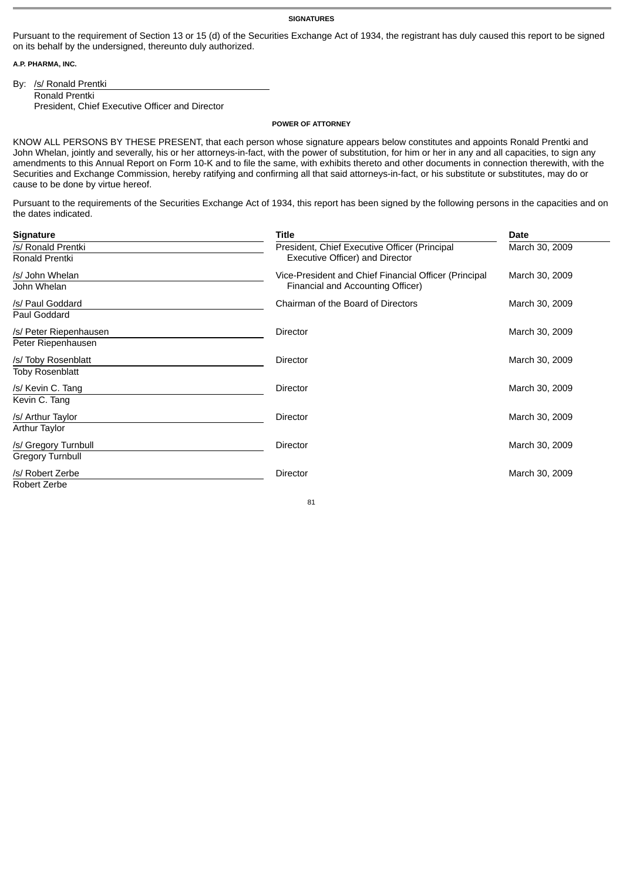# **SIGNATURES**

Pursuant to the requirement of Section 13 or 15 (d) of the Securities Exchange Act of 1934, the registrant has duly caused this report to be signed on its behalf by the undersigned, thereunto duly authorized.

**A.P. PHARMA, INC.**

By: /s/ Ronald Prentki Ronald Prentki President, Chief Executive Officer and Director

### **POWER OF ATTORNEY**

KNOW ALL PERSONS BY THESE PRESENT, that each person whose signature appears below constitutes and appoints Ronald Prentki and John Whelan, jointly and severally, his or her attorneys-in-fact, with the power of substitution, for him or her in any and all capacities, to sign any amendments to this Annual Report on Form 10-K and to file the same, with exhibits thereto and other documents in connection therewith, with the Securities and Exchange Commission, hereby ratifying and confirming all that said attorneys-in-fact, or his substitute or substitutes, may do or cause to be done by virtue hereof.

Pursuant to the requirements of the Securities Exchange Act of 1934, this report has been signed by the following persons in the capacities and on the dates indicated.

| <b>Signature</b>                                | Title                                                                                      | <b>Date</b>    |
|-------------------------------------------------|--------------------------------------------------------------------------------------------|----------------|
| /s/ Ronald Prentki<br>Ronald Prentki            | President, Chief Executive Officer (Principal<br>Executive Officer) and Director           | March 30, 2009 |
| /s/ John Whelan<br>John Whelan                  | Vice-President and Chief Financial Officer (Principal<br>Financial and Accounting Officer) | March 30, 2009 |
| /s/ Paul Goddard<br>Paul Goddard                | Chairman of the Board of Directors                                                         | March 30, 2009 |
| /s/ Peter Riepenhausen<br>Peter Riepenhausen    | <b>Director</b>                                                                            | March 30, 2009 |
| /s/ Toby Rosenblatt<br><b>Toby Rosenblatt</b>   | <b>Director</b>                                                                            | March 30, 2009 |
| /s/ Kevin C. Tang<br>Kevin C. Tang              | <b>Director</b>                                                                            | March 30, 2009 |
| /s/ Arthur Taylor<br><b>Arthur Taylor</b>       | Director                                                                                   | March 30, 2009 |
| /s/ Gregory Turnbull<br><b>Gregory Turnbull</b> | Director                                                                                   | March 30, 2009 |
| /s/ Robert Zerbe<br>Robert Zerbe                | Director                                                                                   | March 30, 2009 |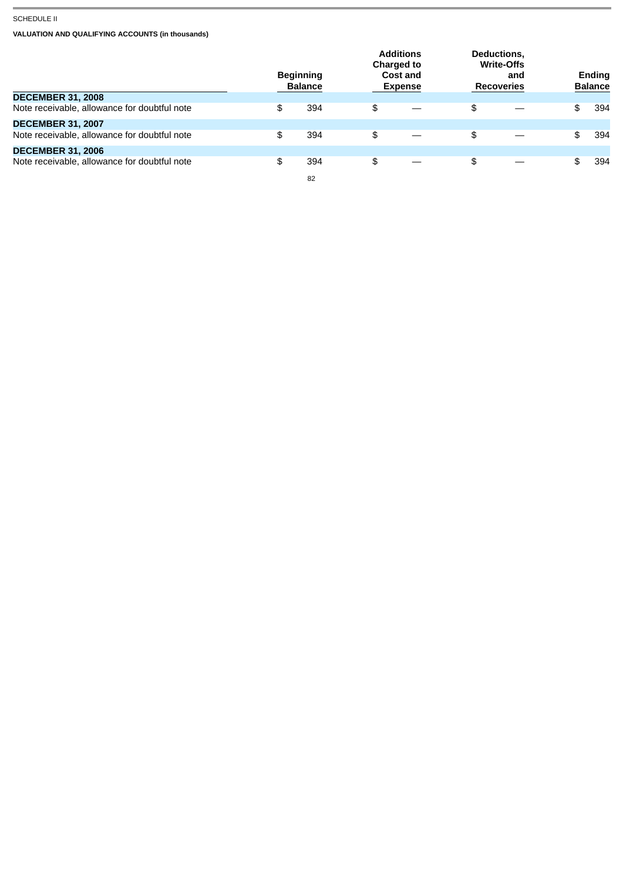# SCHEDULE II

**VALUATION AND QUALIFYING ACCOUNTS (in thousands)**

|                                              | <b>Beginning</b><br><b>Balance</b> |    | Deductions,<br><b>Additions</b><br><b>Write-Offs</b><br><b>Charged to</b><br>Cost and<br>and<br><b>Recoveries</b><br><b>Expense</b> |    | Ending<br><b>Balance</b> |     |
|----------------------------------------------|------------------------------------|----|-------------------------------------------------------------------------------------------------------------------------------------|----|--------------------------|-----|
| <b>DECEMBER 31, 2008</b>                     |                                    |    |                                                                                                                                     |    |                          |     |
| Note receivable, allowance for doubtful note | \$<br>394                          | \$ |                                                                                                                                     | \$ | \$                       | 394 |
| <b>DECEMBER 31, 2007</b>                     |                                    |    |                                                                                                                                     |    |                          |     |
| Note receivable, allowance for doubtful note | \$<br>394                          | \$ |                                                                                                                                     | \$ | \$                       | 394 |
| <b>DECEMBER 31, 2006</b>                     |                                    |    |                                                                                                                                     |    |                          |     |
| Note receivable, allowance for doubtful note | \$<br>394                          | \$ |                                                                                                                                     | \$ | \$                       | 394 |
|                                              | 82                                 |    |                                                                                                                                     |    |                          |     |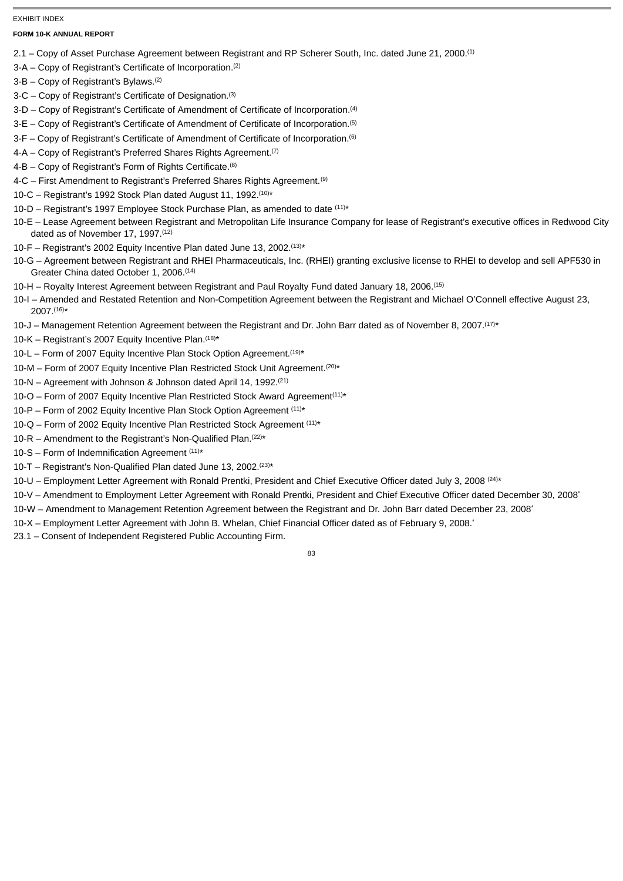**FORM 10-K ANNUAL REPORT**

- 2.1 Copy of Asset Purchase Agreement between Registrant and RP Scherer South, Inc. dated June 21, 2000.(1)
- 3-A Copy of Registrant's Certificate of Incorporation.(2)
- 3-B Copy of Registrant's Bylaws.(2)
- 3-C Copy of Registrant's Certificate of Designation.(3)
- 3-D Copy of Registrant's Certificate of Amendment of Certificate of Incorporation.(4)
- 3-E Copy of Registrant's Certificate of Amendment of Certificate of Incorporation.(5)
- 3-F Copy of Registrant's Certificate of Amendment of Certificate of Incorporation.<sup>(6)</sup>
- 4-A Copy of Registrant's Preferred Shares Rights Agreement.<sup>(7)</sup>
- 4-B Copy of Registrant's Form of Rights Certificate.(8)
- 4-C First Amendment to Registrant's Preferred Shares Rights Agreement.(9)
- 10-C Registrant's 1992 Stock Plan dated August 11, 1992.(10)\*
- 10-D Registrant's 1997 Employee Stock Purchase Plan, as amended to date (11)\*
- 10-E Lease Agreement between Registrant and Metropolitan Life Insurance Company for lease of Registrant's executive offices in Redwood City dated as of November 17, 1997.<sup>(12)</sup>
- 10-F Registrant's 2002 Equity Incentive Plan dated June 13, 2002.(13)\*
- 10-G Agreement between Registrant and RHEI Pharmaceuticals, Inc. (RHEI) granting exclusive license to RHEI to develop and sell APF530 in Greater China dated October 1, 2006.(14)
- 10-H Royalty Interest Agreement between Registrant and Paul Royalty Fund dated January 18, 2006.(15)
- 10-I Amended and Restated Retention and Non-Competition Agreement between the Registrant and Michael O'Connell effective August 23, 2007.(16)\*
- 10-J Management Retention Agreement between the Registrant and Dr. John Barr dated as of November 8, 2007.(17)\*
- 10-K Registrant's 2007 Equity Incentive Plan.(18)\*
- 10-L Form of 2007 Equity Incentive Plan Stock Option Agreement.<sup>(19)\*</sup>
- 10-M Form of 2007 Equity Incentive Plan Restricted Stock Unit Agreement.<sup>(20)\*</sup>
- 10-N Agreement with Johnson & Johnson dated April 14, 1992.(21)
- 10-O Form of 2007 Equity Incentive Plan Restricted Stock Award Agreement<sup>(11)\*</sup>
- 10-P Form of 2002 Equity Incentive Plan Stock Option Agreement (11)\*
- 10-Q Form of 2002 Equity Incentive Plan Restricted Stock Agreement (11)\*
- 10-R Amendment to the Registrant's Non-Qualified Plan.<sup>(22)\*</sup>
- 10-S Form of Indemnification Agreement  $(11)*$
- 10-T Registrant's Non-Qualified Plan dated June 13, 2002.(23)\*
- 10-U Employment Letter Agreement with Ronald Prentki, President and Chief Executive Officer dated July 3, 2008  $^{(24)*}$
- 10-V Amendment to Employment Letter Agreement with Ronald Prentki, President and Chief Executive Officer dated December 30, 2008\*
- 10-W Amendment to Management Retention Agreement between the Registrant and Dr. John Barr dated December 23, 2008\*
- 10-X Employment Letter Agreement with John B. Whelan, Chief Financial Officer dated as of February 9, 2008.\*
- 23.1 Consent of Independent Registered Public Accounting Firm.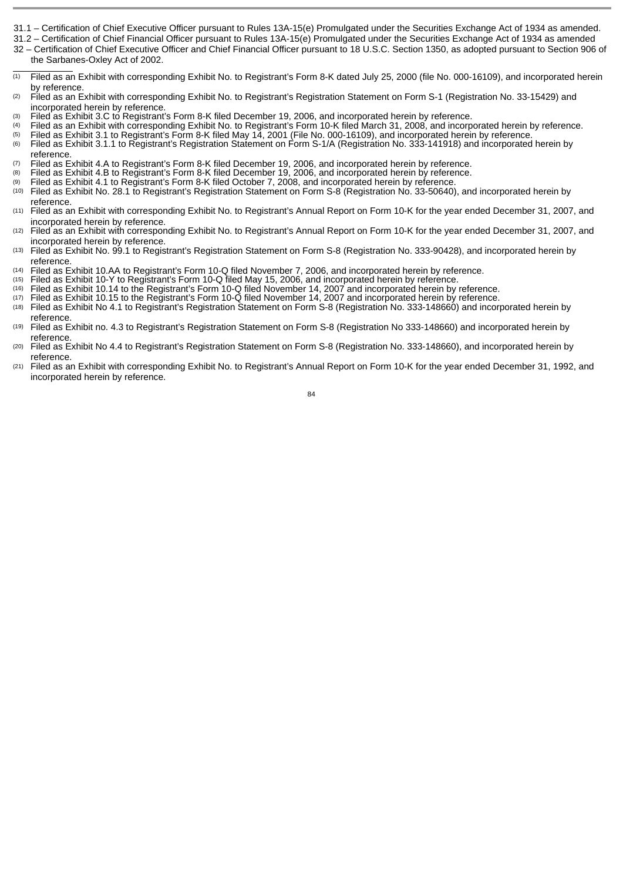- 31.1 Certification of Chief Executive Officer pursuant to Rules 13A-15(e) Promulgated under the Securities Exchange Act of 1934 as amended.
- 31.2 Certification of Chief Financial Officer pursuant to Rules 13A-15(e) Promulgated under the Securities Exchange Act of 1934 as amended
- 32 Certification of Chief Executive Officer and Chief Financial Officer pursuant to 18 U.S.C. Section 1350, as adopted pursuant to Section 906 of the Sarbanes-Oxley Act of 2002.
- $\overline{p}$  Filed as an Exhibit with corresponding Exhibit No. to Registrant's Form 8-K dated July 25, 2000 (file No. 000-16109), and incorporated herein by reference
- (2) Filed as an Exhibit with corresponding Exhibit No. to Registrant's Registration Statement on Form S-1 (Registration No. 33-15429) and incorporated herein by reference.
- (3) Filed as Exhibit 3.C to Registrant's Form 8-K filed December 19, 2006, and incorporated herein by reference.
- (4) Filed as an Exhibit with corresponding Exhibit No. to Registrant's Form 10-K filed March 31, 2008, and incorporated herein by reference.<br>(5) Filed as Exhibit 3.1 to Registrant's Form 8-K filed May 14, 2001 (File No. 00
- (5) Filed as Exhibit 3.1 to Registrant's Form 8-K filed May 14, 2001 (File No. 000-16109), and incorporated herein by reference.
- Filed as Exhibit 3.1.1 to Registrant's Registration Statement on Form S-1/A (Registration No. 333-141918) and incorporated herein by reference.
- (7) Filed as Exhibit 4.A to Registrant's Form 8-K filed December 19, 2006, and incorporated herein by reference.
- (8) Filed as Exhibit 4.B to Registrant's Form 8-K filed December 19, 2006, and incorporated herein by reference.
- (9) Filed as Exhibit 4.1 to Registrant's Form 8-K filed October 7, 2008, and incorporated herein by reference.
- (10) Filed as Exhibit No. 28.1 to Registrant's Registration Statement on Form S-8 (Registration No. 33-50640), and incorporated herein by reference.
- (11) Filed as an Exhibit with corresponding Exhibit No. to Registrant's Annual Report on Form 10-K for the year ended December 31, 2007, and incorporated herein by reference.
- (12) Filed as an Exhibit with corresponding Exhibit No. to Registrant's Annual Report on Form 10-K for the year ended December 31, 2007, and incorporated herein by reference.
- (13) Filed as Exhibit No. 99.1 to Registrant's Registration Statement on Form S-8 (Registration No. 333-90428), and incorporated herein by reference.
- (14) Filed as Exhibit 10.AA to Registrant's Form 10-Q filed November 7, 2006, and incorporated herein by reference.
- (15) Filed as Exhibit 10-Y to Registrant's Form 10-Q filed May 15, 2006, and incorporated herein by reference.
- (16) Filed as Exhibit 10.14 to the Registrant's Form 10-Q filed November 14, 2007 and incorporated herein by reference.
- $(17)$  Filed as Exhibit 10.15 to the Registrant's Form 10-Q filed November 14, 2007 and incorporated herein by reference.
- (18) Filed as Exhibit No 4.1 to Registrant's Registration Statement on Form S-8 (Registration No. 333-148660) and incorporated herein by reference.
- (19) Filed as Exhibit no. 4.3 to Registrant's Registration Statement on Form S-8 (Registration No 333-148660) and incorporated herein by reference.
- (20) Filed as Exhibit No 4.4 to Registrant's Registration Statement on Form S-8 (Registration No. 333-148660), and incorporated herein by reference.
- (21) Filed as an Exhibit with corresponding Exhibit No. to Registrant's Annual Report on Form 10-K for the year ended December 31, 1992, and incorporated herein by reference.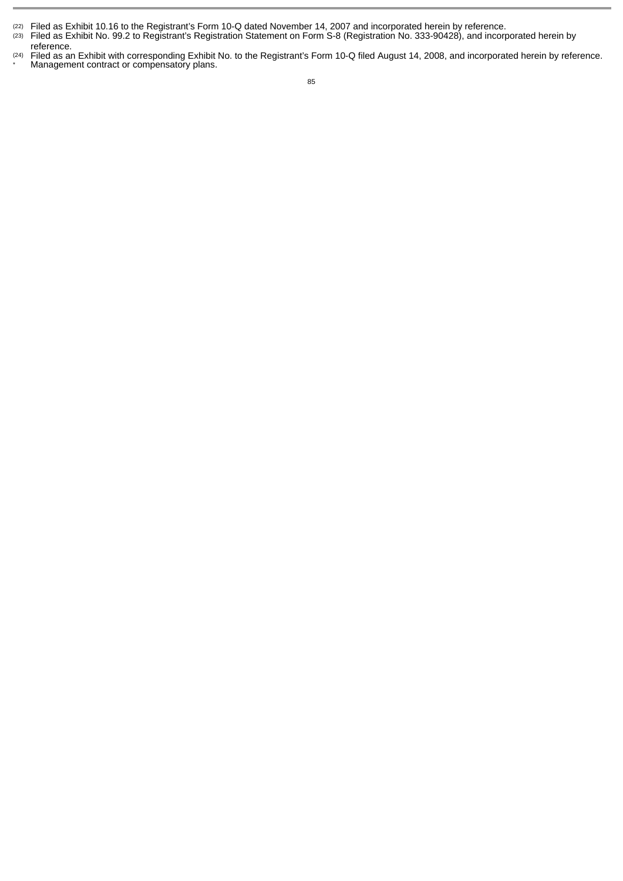(24) Filed as an Exhibit with corresponding Exhibit No. to the Registrant's Form 10-Q filed August 14, 2008, and incorporated herein by reference. \* Management contract or compensatory plans.

<sup>(22)</sup> Filed as Exhibit 10.16 to the Registrant's Form 10-Q dated November 14, 2007 and incorporated herein by reference.

<sup>(23)</sup> Filed as Exhibit No. 99.2 to Registrant's Registration Statement on Form S-8 (Registration No. 333-90428), and incorporated herein by reference.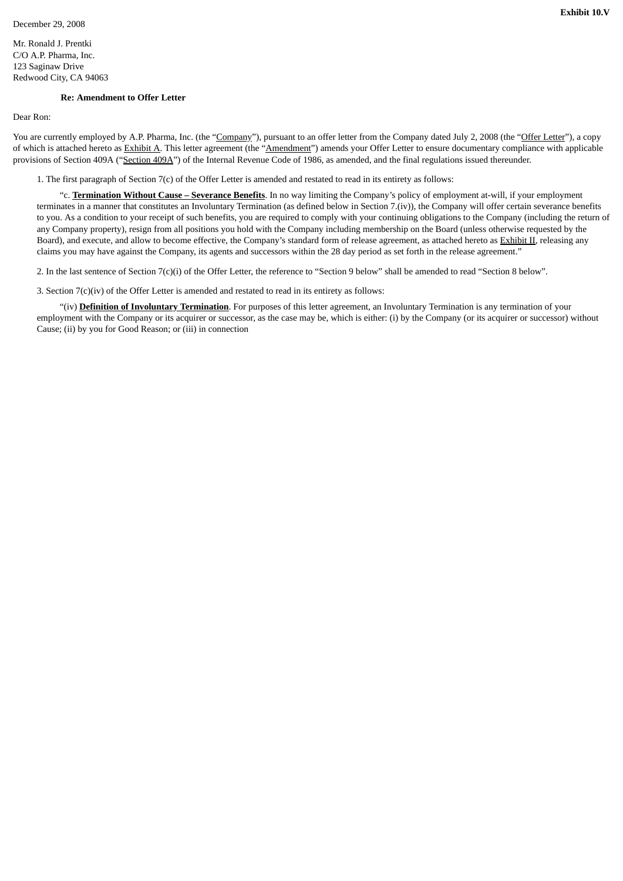Mr. Ronald J. Prentki C/O A.P. Pharma, Inc. 123 Saginaw Drive Redwood City, CA 94063

# **Re: Amendment to Offer Letter**

Dear Ron:

You are currently employed by A.P. Pharma, Inc. (the "Company"), pursuant to an offer letter from the Company dated July 2, 2008 (the "Offer Letter"), a copy of which is attached hereto as **Exhibit A**. This letter agreement (the "Amendment") amends your Offer Letter to ensure documentary compliance with applicable provisions of Section 409A ("Section 409A") of the Internal Revenue Code of 1986, as amended, and the final regulations issued thereunder.

1. The first paragraph of Section 7(c) of the Offer Letter is amended and restated to read in its entirety as follows:

"c. **Termination Without Cause – Severance Benefits**. In no way limiting the Company's policy of employment at-will, if your employment terminates in a manner that constitutes an Involuntary Termination (as defined below in Section 7.(iv)), the Company will offer certain severance benefits to you. As a condition to your receipt of such benefits, you are required to comply with your continuing obligations to the Company (including the return of any Company property), resign from all positions you hold with the Company including membership on the Board (unless otherwise requested by the Board), and execute, and allow to become effective, the Company's standard form of release agreement, as attached hereto as Exhibit II, releasing any claims you may have against the Company, its agents and successors within the 28 day period as set forth in the release agreement."

2. In the last sentence of Section 7(c)(i) of the Offer Letter, the reference to "Section 9 below" shall be amended to read "Section 8 below".

3. Section 7(c)(iv) of the Offer Letter is amended and restated to read in its entirety as follows:

"(iv) **Definition of Involuntary Termination**. For purposes of this letter agreement, an Involuntary Termination is any termination of your employment with the Company or its acquirer or successor, as the case may be, which is either: (i) by the Company (or its acquirer or successor) without Cause; (ii) by you for Good Reason; or (iii) in connection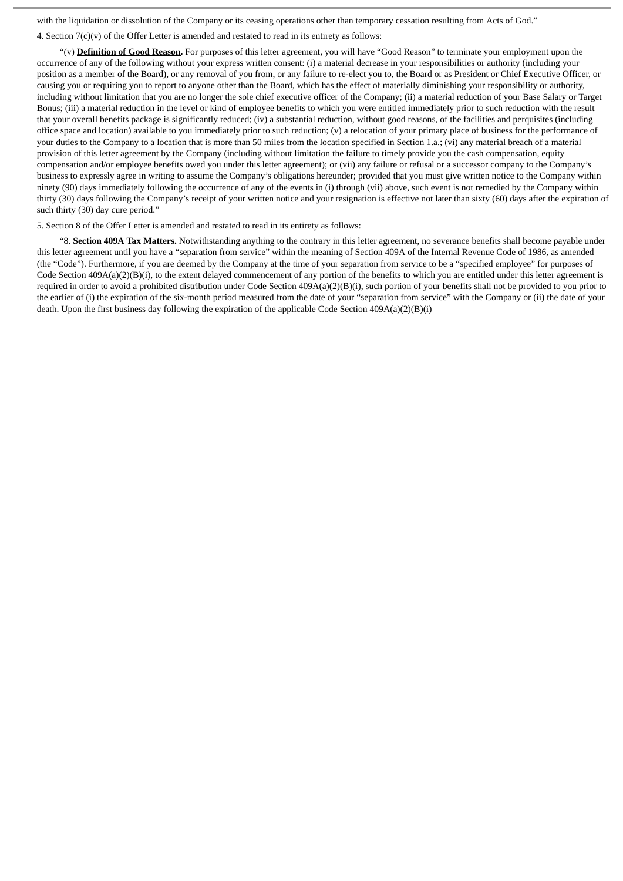with the liquidation or dissolution of the Company or its ceasing operations other than temporary cessation resulting from Acts of God."

4. Section  $7(c)(y)$  of the Offer Letter is amended and restated to read in its entirety as follows:

"(v) **Definition of Good Reason.** For purposes of this letter agreement, you will have "Good Reason" to terminate your employment upon the occurrence of any of the following without your express written consent: (i) a material decrease in your responsibilities or authority (including your position as a member of the Board), or any removal of you from, or any failure to re-elect you to, the Board or as President or Chief Executive Officer, or causing you or requiring you to report to anyone other than the Board, which has the effect of materially diminishing your responsibility or authority, including without limitation that you are no longer the sole chief executive officer of the Company; (ii) a material reduction of your Base Salary or Target Bonus; (iii) a material reduction in the level or kind of employee benefits to which you were entitled immediately prior to such reduction with the result that your overall benefits package is significantly reduced; (iv) a substantial reduction, without good reasons, of the facilities and perquisites (including office space and location) available to you immediately prior to such reduction; (v) a relocation of your primary place of business for the performance of your duties to the Company to a location that is more than 50 miles from the location specified in Section 1.a.; (vi) any material breach of a material provision of this letter agreement by the Company (including without limitation the failure to timely provide you the cash compensation, equity compensation and/or employee benefits owed you under this letter agreement); or (vii) any failure or refusal or a successor company to the Company's business to expressly agree in writing to assume the Company's obligations hereunder; provided that you must give written notice to the Company within ninety (90) days immediately following the occurrence of any of the events in (i) through (vii) above, such event is not remedied by the Company within thirty (30) days following the Company's receipt of your written notice and your resignation is effective not later than sixty (60) days after the expiration of such thirty (30) day cure period."

5. Section 8 of the Offer Letter is amended and restated to read in its entirety as follows:

"8. **Section 409A Tax Matters.** Notwithstanding anything to the contrary in this letter agreement, no severance benefits shall become payable under this letter agreement until you have a "separation from service" within the meaning of Section 409A of the Internal Revenue Code of 1986, as amended (the "Code"). Furthermore, if you are deemed by the Company at the time of your separation from service to be a "specified employee" for purposes of Code Section  $409A(a)(2)(B)(i)$ , to the extent delayed commencement of any portion of the benefits to which you are entitled under this letter agreement is required in order to avoid a prohibited distribution under Code Section 409A(a)(2)(B)(i), such portion of your benefits shall not be provided to you prior to the earlier of (i) the expiration of the six-month period measured from the date of your "separation from service" with the Company or (ii) the date of your death. Upon the first business day following the expiration of the applicable Code Section  $409A(a)(2)(B)(i)$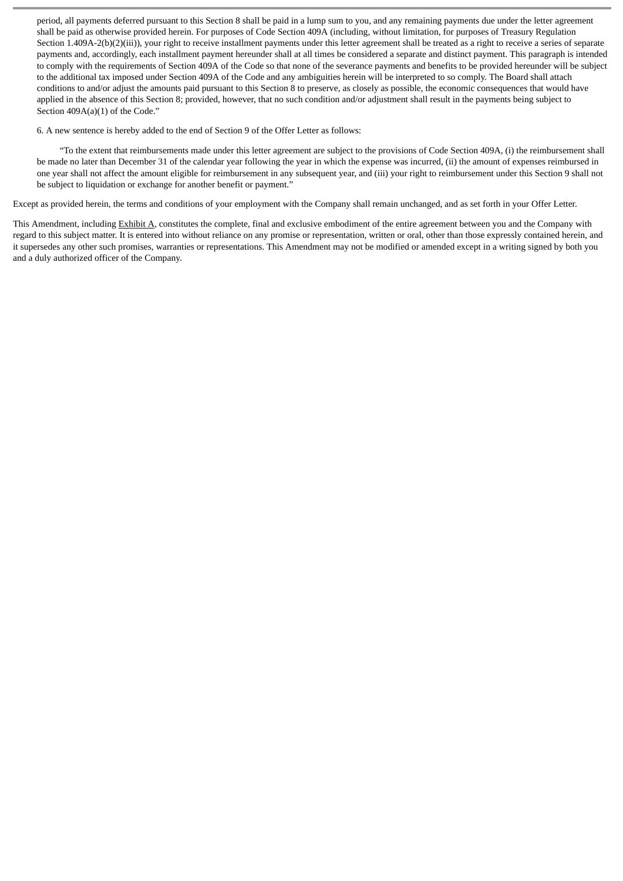period, all payments deferred pursuant to this Section 8 shall be paid in a lump sum to you, and any remaining payments due under the letter agreement shall be paid as otherwise provided herein. For purposes of Code Section 409A (including, without limitation, for purposes of Treasury Regulation Section 1.409A-2(b)(2)(iii)), your right to receive installment payments under this letter agreement shall be treated as a right to receive a series of separate payments and, accordingly, each installment payment hereunder shall at all times be considered a separate and distinct payment. This paragraph is intended to comply with the requirements of Section 409A of the Code so that none of the severance payments and benefits to be provided hereunder will be subject to the additional tax imposed under Section 409A of the Code and any ambiguities herein will be interpreted to so comply. The Board shall attach conditions to and/or adjust the amounts paid pursuant to this Section 8 to preserve, as closely as possible, the economic consequences that would have applied in the absence of this Section 8; provided, however, that no such condition and/or adjustment shall result in the payments being subject to Section 409A(a)(1) of the Code."

6. A new sentence is hereby added to the end of Section 9 of the Offer Letter as follows:

"To the extent that reimbursements made under this letter agreement are subject to the provisions of Code Section 409A, (i) the reimbursement shall be made no later than December 31 of the calendar year following the year in which the expense was incurred, (ii) the amount of expenses reimbursed in one year shall not affect the amount eligible for reimbursement in any subsequent year, and (iii) your right to reimbursement under this Section 9 shall not be subject to liquidation or exchange for another benefit or payment."

Except as provided herein, the terms and conditions of your employment with the Company shall remain unchanged, and as set forth in your Offer Letter.

This Amendment, including Exhibit A, constitutes the complete, final and exclusive embodiment of the entire agreement between you and the Company with regard to this subject matter. It is entered into without reliance on any promise or representation, written or oral, other than those expressly contained herein, and it supersedes any other such promises, warranties or representations. This Amendment may not be modified or amended except in a writing signed by both you and a duly authorized officer of the Company.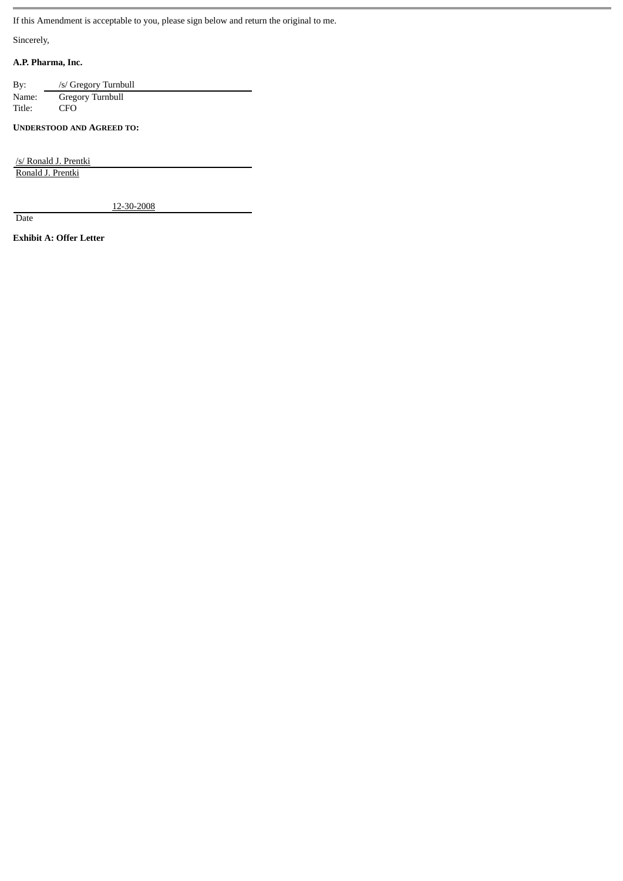If this Amendment is acceptable to you, please sign below and return the original to me.

Sincerely,

# **A.P. Pharma, Inc.**

By: /s/ Gregory Turnbull Name: Gregory Turnbull Title: CFO

**UNDERSTOOD AND AGREED TO:**

/s/ Ronald J. Prentki

Ronald J. Prentki

12-30-2008

Date

**Exhibit A: Offer Letter**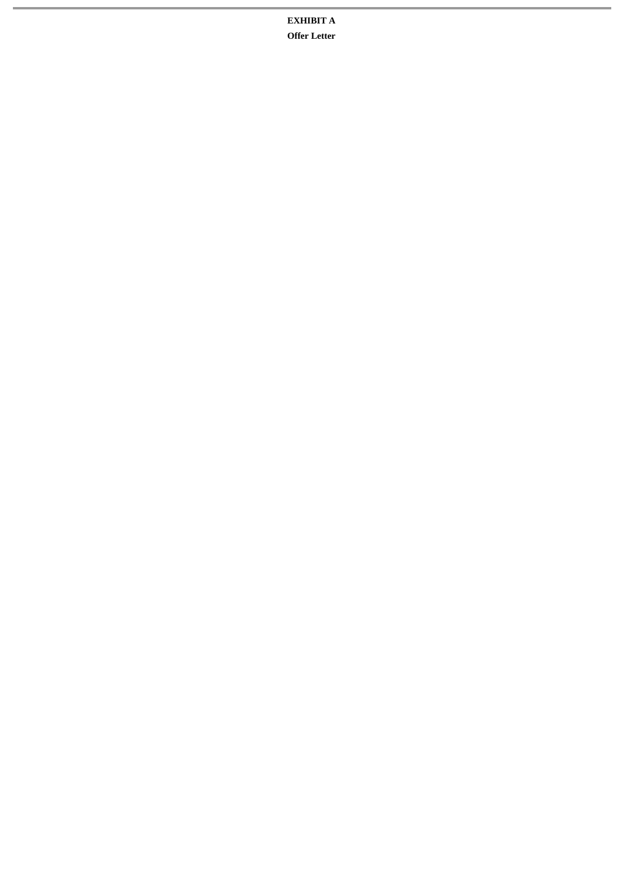**EXHIBIT A Offer Letter**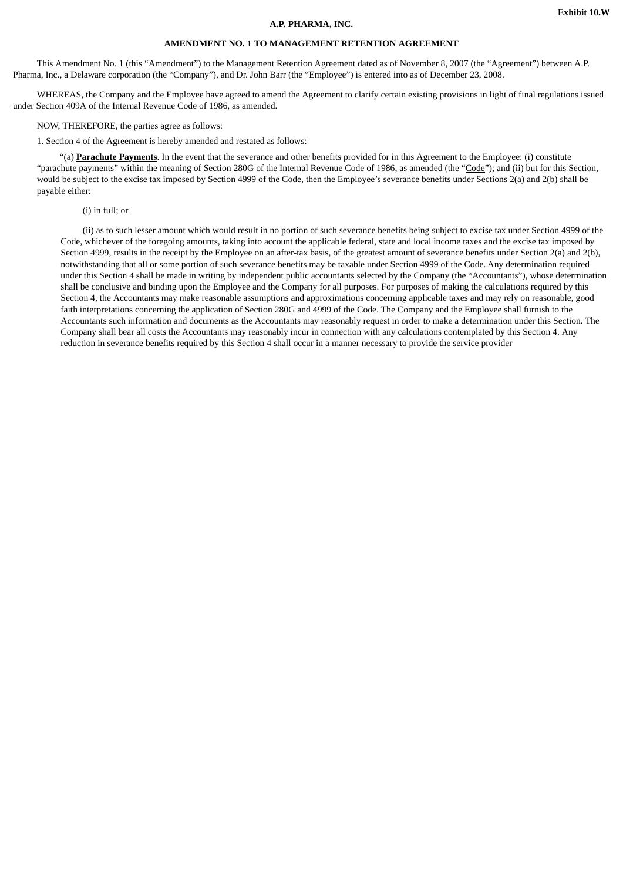### **A.P. PHARMA, INC.**

### **AMENDMENT NO. 1 TO MANAGEMENT RETENTION AGREEMENT**

This Amendment No. 1 (this "Amendment") to the Management Retention Agreement dated as of November 8, 2007 (the "Agreement") between A.P. Pharma, Inc., a Delaware corporation (the "Company"), and Dr. John Barr (the "Employee") is entered into as of December 23, 2008.

WHEREAS, the Company and the Employee have agreed to amend the Agreement to clarify certain existing provisions in light of final regulations issued under Section 409A of the Internal Revenue Code of 1986, as amended.

NOW, THEREFORE, the parties agree as follows:

1. Section 4 of the Agreement is hereby amended and restated as follows:

"(a) **Parachute Payments**. In the event that the severance and other benefits provided for in this Agreement to the Employee: (i) constitute "parachute payments" within the meaning of Section 280G of the Internal Revenue Code of 1986, as amended (the "Code"); and (ii) but for this Section, would be subject to the excise tax imposed by Section 4999 of the Code, then the Employee's severance benefits under Sections 2(a) and 2(b) shall be payable either:

# (i) in full; or

(ii) as to such lesser amount which would result in no portion of such severance benefits being subject to excise tax under Section 4999 of the Code, whichever of the foregoing amounts, taking into account the applicable federal, state and local income taxes and the excise tax imposed by Section 4999, results in the receipt by the Employee on an after-tax basis, of the greatest amount of severance benefits under Section 2(a) and 2(b), notwithstanding that all or some portion of such severance benefits may be taxable under Section 4999 of the Code. Any determination required under this Section 4 shall be made in writing by independent public accountants selected by the Company (the "Accountants"), whose determination shall be conclusive and binding upon the Employee and the Company for all purposes. For purposes of making the calculations required by this Section 4, the Accountants may make reasonable assumptions and approximations concerning applicable taxes and may rely on reasonable, good faith interpretations concerning the application of Section 280G and 4999 of the Code. The Company and the Employee shall furnish to the Accountants such information and documents as the Accountants may reasonably request in order to make a determination under this Section. The Company shall bear all costs the Accountants may reasonably incur in connection with any calculations contemplated by this Section 4. Any reduction in severance benefits required by this Section 4 shall occur in a manner necessary to provide the service provider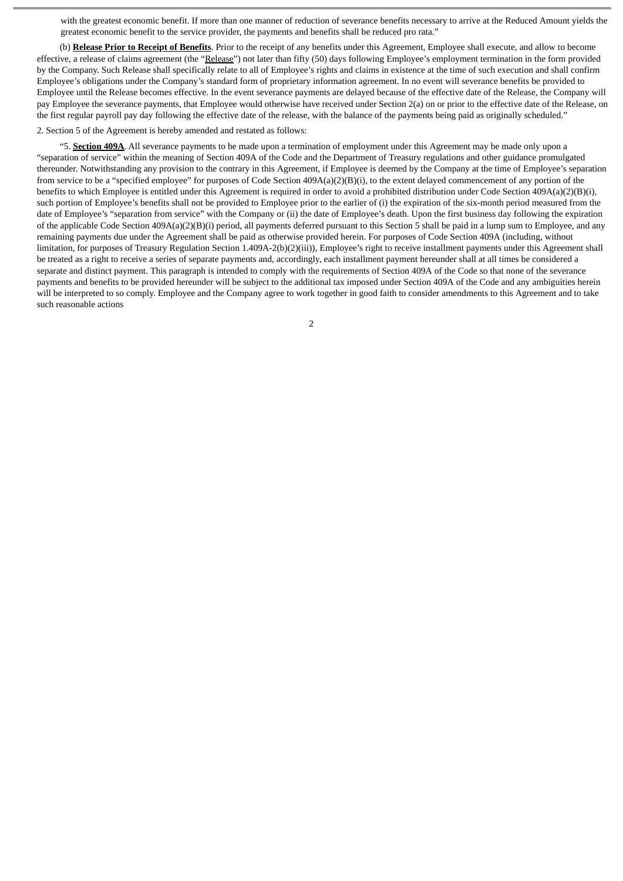with the greatest economic benefit. If more than one manner of reduction of severance benefits necessary to arrive at the Reduced Amount yields the greatest economic benefit to the service provider, the payments and benefits shall be reduced pro rata."

(b) **Release Prior to Receipt of Benefits**. Prior to the receipt of any benefits under this Agreement, Employee shall execute, and allow to become effective, a release of claims agreement (the "Release") not later than fifty (50) days following Employee's employment termination in the form provided by the Company. Such Release shall specifically relate to all of Employee's rights and claims in existence at the time of such execution and shall confirm Employee's obligations under the Company's standard form of proprietary information agreement. In no event will severance benefits be provided to Employee until the Release becomes effective. In the event severance payments are delayed because of the effective date of the Release, the Company will pay Employee the severance payments, that Employee would otherwise have received under Section 2(a) on or prior to the effective date of the Release, on the first regular payroll pay day following the effective date of the release, with the balance of the payments being paid as originally scheduled."

2. Section 5 of the Agreement is hereby amended and restated as follows:

"5. **Section 409A**. All severance payments to be made upon a termination of employment under this Agreement may be made only upon a "separation of service" within the meaning of Section 409A of the Code and the Department of Treasury regulations and other guidance promulgated thereunder. Notwithstanding any provision to the contrary in this Agreement, if Employee is deemed by the Company at the time of Employee's separation from service to be a "specified employee" for purposes of Code Section 409A(a)(2)(B)(i), to the extent delayed commencement of any portion of the benefits to which Employee is entitled under this Agreement is required in order to avoid a prohibited distribution under Code Section 409A(a)(2)(B)(i), such portion of Employee's benefits shall not be provided to Employee prior to the earlier of (i) the expiration of the six-month period measured from the date of Employee's "separation from service" with the Company or (ii) the date of Employee's death. Upon the first business day following the expiration of the applicable Code Section 409A(a)(2)(B)(i) period, all payments deferred pursuant to this Section 5 shall be paid in a lump sum to Employee, and any remaining payments due under the Agreement shall be paid as otherwise provided herein. For purposes of Code Section 409A (including, without limitation, for purposes of Treasury Regulation Section 1.409A-2(b)(2)(iii)), Employee's right to receive installment payments under this Agreement shall be treated as a right to receive a series of separate payments and, accordingly, each installment payment hereunder shall at all times be considered a separate and distinct payment. This paragraph is intended to comply with the requirements of Section 409A of the Code so that none of the severance payments and benefits to be provided hereunder will be subject to the additional tax imposed under Section 409A of the Code and any ambiguities herein will be interpreted to so comply. Employee and the Company agree to work together in good faith to consider amendments to this Agreement and to take such reasonable actions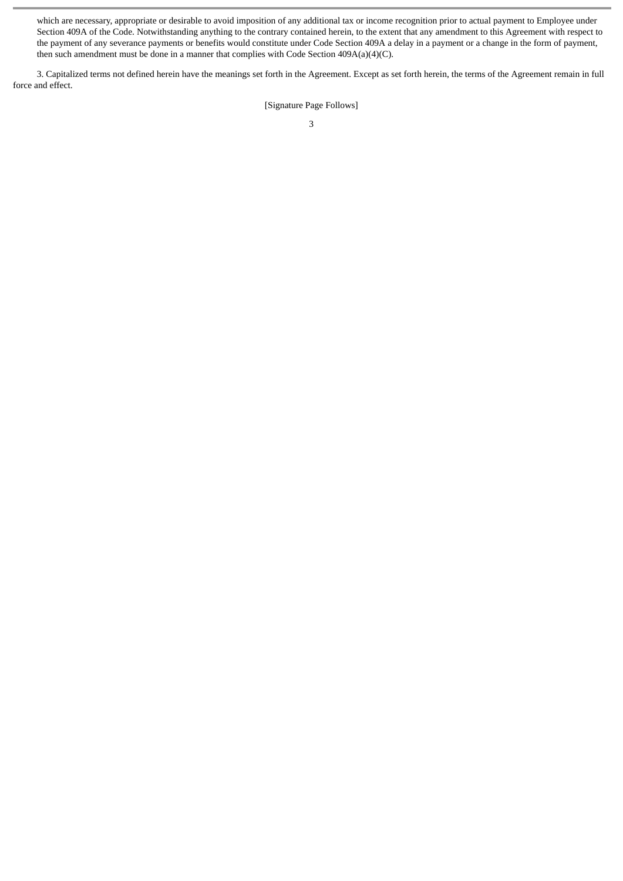which are necessary, appropriate or desirable to avoid imposition of any additional tax or income recognition prior to actual payment to Employee under Section 409A of the Code. Notwithstanding anything to the contrary contained herein, to the extent that any amendment to this Agreement with respect to the payment of any severance payments or benefits would constitute under Code Section 409A a delay in a payment or a change in the form of payment, then such amendment must be done in a manner that complies with Code Section 409A(a)(4)(C).

3. Capitalized terms not defined herein have the meanings set forth in the Agreement. Except as set forth herein, the terms of the Agreement remain in full force and effect.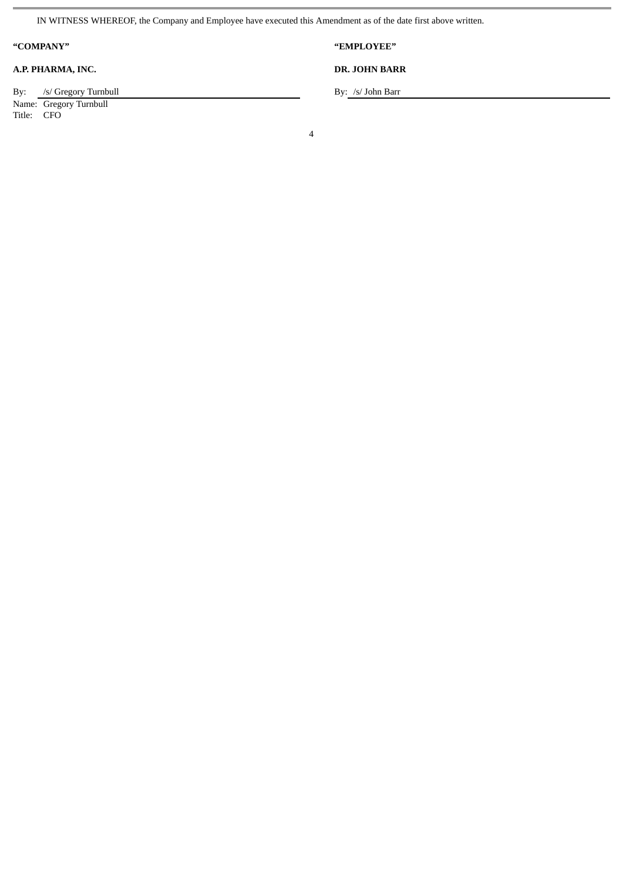IN WITNESS WHEREOF, the Company and Employee have executed this Amendment as of the date first above written.

# **A.P. PHARMA, INC. DR. JOHN BARR**

By: /s/ Gregory Turnbull By: /s/ John Barr Name: Gregory Turnbull Title: CFO

**"COMPANY" "EMPLOYEE"**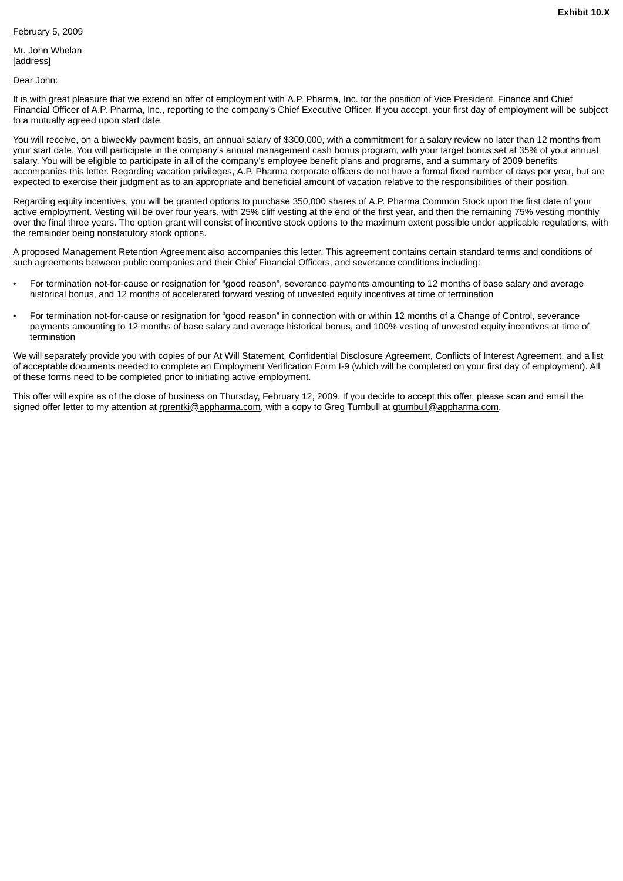February 5, 2009

Mr. John Whelan **[address]** 

Dear John:

It is with great pleasure that we extend an offer of employment with A.P. Pharma, Inc. for the position of Vice President, Finance and Chief Financial Officer of A.P. Pharma, Inc., reporting to the company's Chief Executive Officer. If you accept, your first day of employment will be subject to a mutually agreed upon start date.

You will receive, on a biweekly payment basis, an annual salary of \$300,000, with a commitment for a salary review no later than 12 months from your start date. You will participate in the company's annual management cash bonus program, with your target bonus set at 35% of your annual salary. You will be eligible to participate in all of the company's employee benefit plans and programs, and a summary of 2009 benefits accompanies this letter. Regarding vacation privileges, A.P. Pharma corporate officers do not have a formal fixed number of days per year, but are expected to exercise their judgment as to an appropriate and beneficial amount of vacation relative to the responsibilities of their position.

Regarding equity incentives, you will be granted options to purchase 350,000 shares of A.P. Pharma Common Stock upon the first date of your active employment. Vesting will be over four years, with 25% cliff vesting at the end of the first year, and then the remaining 75% vesting monthly over the final three years. The option grant will consist of incentive stock options to the maximum extent possible under applicable regulations, with the remainder being nonstatutory stock options.

A proposed Management Retention Agreement also accompanies this letter. This agreement contains certain standard terms and conditions of such agreements between public companies and their Chief Financial Officers, and severance conditions including:

- For termination not-for-cause or resignation for "good reason", severance payments amounting to 12 months of base salary and average historical bonus, and 12 months of accelerated forward vesting of unvested equity incentives at time of termination
- For termination not-for-cause or resignation for "good reason" in connection with or within 12 months of a Change of Control, severance payments amounting to 12 months of base salary and average historical bonus, and 100% vesting of unvested equity incentives at time of termination

We will separately provide you with copies of our At Will Statement, Confidential Disclosure Agreement, Conflicts of Interest Agreement, and a list of acceptable documents needed to complete an Employment Verification Form I-9 (which will be completed on your first day of employment). All of these forms need to be completed prior to initiating active employment.

This offer will expire as of the close of business on Thursday, February 12, 2009. If you decide to accept this offer, please scan and email the signed offer letter to my attention at rprentki@appharma.com, with a copy to Greg Turnbull at gturnbull@appharma.com.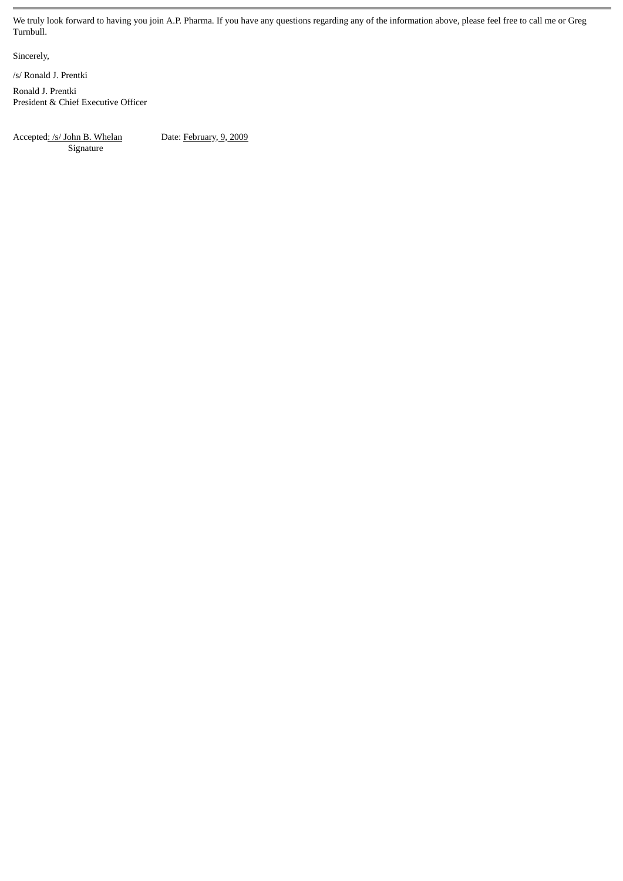We truly look forward to having you join A.P. Pharma. If you have any questions regarding any of the information above, please feel free to call me or Greg Turnbull.

Sincerely,

/s/ Ronald J. Prentki Ronald J. Prentki President & Chief Executive Officer

Accepted: /s/ John B. Whelan Date: February, 9, 2009 Signature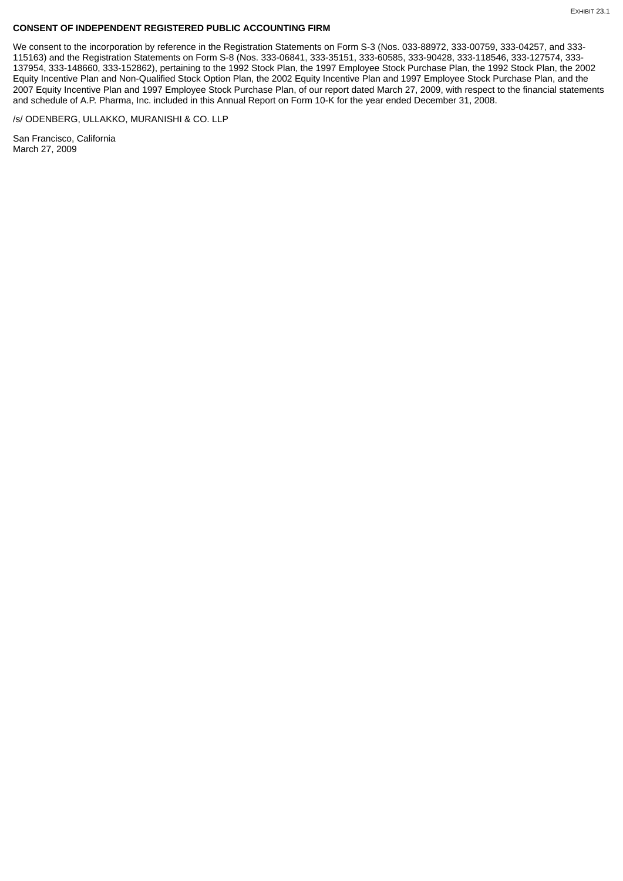# **CONSENT OF INDEPENDENT REGISTERED PUBLIC ACCOUNTING FIRM**

We consent to the incorporation by reference in the Registration Statements on Form S-3 (Nos. 033-88972, 333-00759, 333-04257, and 333- 115163) and the Registration Statements on Form S-8 (Nos. 333-06841, 333-35151, 333-60585, 333-90428, 333-118546, 333-127574, 333- 137954, 333-148660, 333-152862), pertaining to the 1992 Stock Plan, the 1997 Employee Stock Purchase Plan, the 1992 Stock Plan, the 2002 Equity Incentive Plan and Non-Qualified Stock Option Plan, the 2002 Equity Incentive Plan and 1997 Employee Stock Purchase Plan, and the 2007 Equity Incentive Plan and 1997 Employee Stock Purchase Plan, of our report dated March 27, 2009, with respect to the financial statements and schedule of A.P. Pharma, Inc. included in this Annual Report on Form 10-K for the year ended December 31, 2008.

/s/ ODENBERG, ULLAKKO, MURANISHI & CO. LLP

San Francisco, California March 27, 2009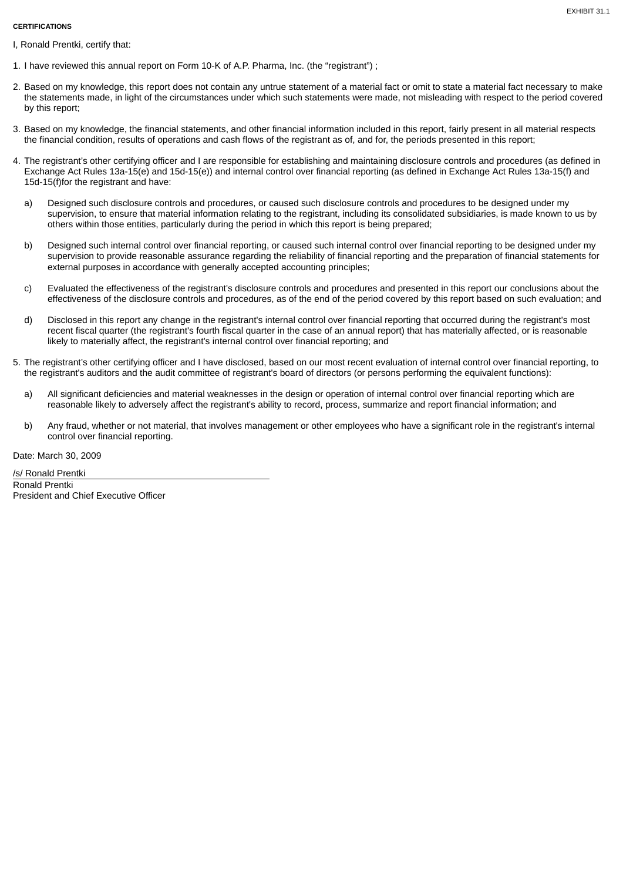### EXHIBIT 31.1

### **CERTIFICATIONS**

I, Ronald Prentki, certify that:

- 1. I have reviewed this annual report on Form 10-K of A.P. Pharma, Inc. (the "registrant") ;
- 2. Based on my knowledge, this report does not contain any untrue statement of a material fact or omit to state a material fact necessary to make the statements made, in light of the circumstances under which such statements were made, not misleading with respect to the period covered by this report;
- 3. Based on my knowledge, the financial statements, and other financial information included in this report, fairly present in all material respects the financial condition, results of operations and cash flows of the registrant as of, and for, the periods presented in this report;
- 4. The registrant's other certifying officer and I are responsible for establishing and maintaining disclosure controls and procedures (as defined in Exchange Act Rules 13a-15(e) and 15d-15(e)) and internal control over financial reporting (as defined in Exchange Act Rules 13a-15(f) and 15d-15(f)for the registrant and have:
	- a) Designed such disclosure controls and procedures, or caused such disclosure controls and procedures to be designed under my supervision, to ensure that material information relating to the registrant, including its consolidated subsidiaries, is made known to us by others within those entities, particularly during the period in which this report is being prepared;
	- b) Designed such internal control over financial reporting, or caused such internal control over financial reporting to be designed under my supervision to provide reasonable assurance regarding the reliability of financial reporting and the preparation of financial statements for external purposes in accordance with generally accepted accounting principles;
	- c) Evaluated the effectiveness of the registrant's disclosure controls and procedures and presented in this report our conclusions about the effectiveness of the disclosure controls and procedures, as of the end of the period covered by this report based on such evaluation; and
	- d) Disclosed in this report any change in the registrant's internal control over financial reporting that occurred during the registrant's most recent fiscal quarter (the registrant's fourth fiscal quarter in the case of an annual report) that has materially affected, or is reasonable likely to materially affect, the registrant's internal control over financial reporting; and
- 5. The registrant's other certifying officer and I have disclosed, based on our most recent evaluation of internal control over financial reporting, to the registrant's auditors and the audit committee of registrant's board of directors (or persons performing the equivalent functions):
	- a) All significant deficiencies and material weaknesses in the design or operation of internal control over financial reporting which are reasonable likely to adversely affect the registrant's ability to record, process, summarize and report financial information; and
	- b) Any fraud, whether or not material, that involves management or other employees who have a significant role in the registrant's internal control over financial reporting.

Date: March 30, 2009

/s/ Ronald Prentki Ronald Prentki President and Chief Executive Officer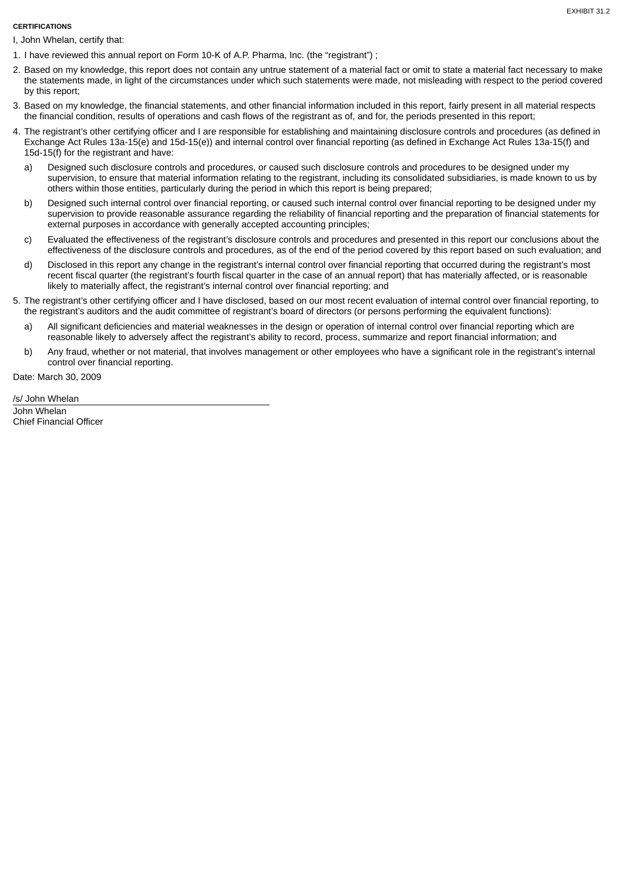### EXHIBIT 31.2

### **CERTIFICATIONS**

I, John Whelan, certify that:

- 1. I have reviewed this annual report on Form 10-K of A.P. Pharma, Inc. (the "registrant") ;
- 2. Based on my knowledge, this report does not contain any untrue statement of a material fact or omit to state a material fact necessary to make the statements made, in light of the circumstances under which such statements were made, not misleading with respect to the period covered by this report;
- 3. Based on my knowledge, the financial statements, and other financial information included in this report, fairly present in all material respects the financial condition, results of operations and cash flows of the registrant as of, and for, the periods presented in this report;
- 4. The registrant's other certifying officer and I are responsible for establishing and maintaining disclosure controls and procedures (as defined in Exchange Act Rules 13a-15(e) and 15d-15(e)) and internal control over financial reporting (as defined in Exchange Act Rules 13a-15(f) and 15d-15(f) for the registrant and have:
	- a) Designed such disclosure controls and procedures, or caused such disclosure controls and procedures to be designed under my supervision, to ensure that material information relating to the registrant, including its consolidated subsidiaries, is made known to us by others within those entities, particularly during the period in which this report is being prepared;
	- b) Designed such internal control over financial reporting, or caused such internal control over financial reporting to be designed under my supervision to provide reasonable assurance regarding the reliability of financial reporting and the preparation of financial statements for external purposes in accordance with generally accepted accounting principles:
	- c) Evaluated the effectiveness of the registrant's disclosure controls and procedures and presented in this report our conclusions about the effectiveness of the disclosure controls and procedures, as of the end of the period covered by this report based on such evaluation; and
	- d) Disclosed in this report any change in the registrant's internal control over financial reporting that occurred during the registrant's most recent fiscal quarter (the registrant's fourth fiscal quarter in the case of an annual report) that has materially affected, or is reasonable likely to materially affect, the registrant's internal control over financial reporting; and
- 5. The registrant's other certifying officer and I have disclosed, based on our most recent evaluation of internal control over financial reporting, to the registrant's auditors and the audit committee of registrant's board of directors (or persons performing the equivalent functions):
	- a) All significant deficiencies and material weaknesses in the design or operation of internal control over financial reporting which are reasonable likely to adversely affect the registrant's ability to record, process, summarize and report financial information; and
	- b) Any fraud, whether or not material, that involves management or other employees who have a significant role in the registrant's internal control over financial reporting.

Date: March 30, 2009

/s/ John Whelan John Whelan Chief Financial Officer